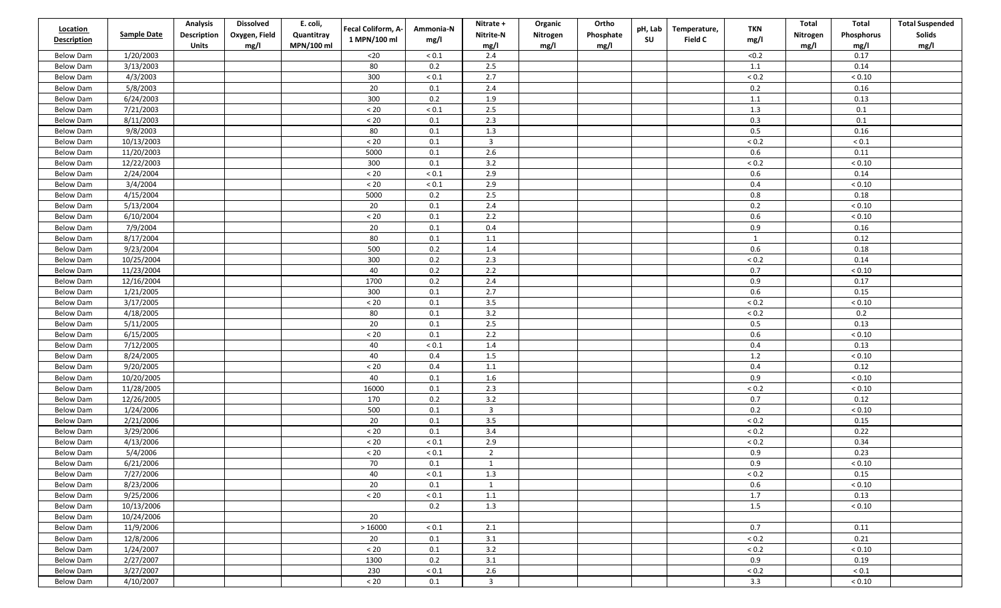| <b>Location</b>    |                      | <b>Analysis</b>             | <b>Dissolved</b>      | E. coli,                 | Fecal Coliform, A- | Ammonia-N    | Nitrate +               | Organic          | Ortho             | pH, Lab   | Temperature, | <b>TKN</b>   | Total            | Total              | <b>Total Suspended</b> |
|--------------------|----------------------|-----------------------------|-----------------------|--------------------------|--------------------|--------------|-------------------------|------------------|-------------------|-----------|--------------|--------------|------------------|--------------------|------------------------|
| <b>Description</b> | <b>Sample Date</b>   | Description<br><b>Units</b> | Oxygen, Field<br>mg/l | Quantitray<br>MPN/100 ml | 1 MPN/100 ml       | mg/l         | Nitrite-N<br>mg/l       | Nitrogen<br>mg/l | Phosphate<br>mg/l | <b>SU</b> | Field C      | mg/l         | Nitrogen<br>mg/l | Phosphorus<br>mg/l | Solids<br>mg/l         |
| <b>Below Dam</b>   | 1/20/2003            |                             |                       |                          | $20$               | ${}_{0.1}$   | 2.4                     |                  |                   |           |              | < 0.2        |                  | 0.17               |                        |
| <b>Below Dam</b>   | 3/13/2003            |                             |                       |                          | 80                 | 0.2          | 2.5                     |                  |                   |           |              | $1.1\,$      |                  | 0.14               |                        |
| <b>Below Dam</b>   | 4/3/2003             |                             |                       |                          | 300                | $< 0.1$      | 2.7                     |                  |                   |           |              | ${}_{0.2}$   |                  | < 0.10             |                        |
| <b>Below Dam</b>   | 5/8/2003             |                             |                       |                          | 20                 | $0.1\,$      | 2.4                     |                  |                   |           |              | 0.2          |                  | 0.16               |                        |
| <b>Below Dam</b>   | 6/24/2003            |                             |                       |                          | 300                | 0.2          | 1.9                     |                  |                   |           |              | 1.1          |                  | 0.13               |                        |
| <b>Below Dam</b>   | 7/21/2003            |                             |                       |                          | $< 20\,$           | $< 0.1$      | 2.5                     |                  |                   |           |              | $1.3\,$      |                  | $0.1\,$            |                        |
| <b>Below Dam</b>   | 8/11/2003            |                             |                       |                          | $< 20\,$           | 0.1          | 2.3                     |                  |                   |           |              | 0.3          |                  | $0.1\,$            |                        |
| <b>Below Dam</b>   | 9/8/2003             |                             |                       |                          | 80                 | 0.1          | 1.3                     |                  |                   |           |              | 0.5          |                  | 0.16               |                        |
| <b>Below Dam</b>   | 10/13/2003           |                             |                       |                          | $< 20\,$           | $0.1\,$      | $\overline{\mathbf{3}}$ |                  |                   |           |              | $< 0.2$      |                  | $< 0.1\,$          |                        |
| <b>Below Dam</b>   | 11/20/2003           |                             |                       |                          | 5000               | 0.1          | 2.6                     |                  |                   |           |              | 0.6          |                  | 0.11               |                        |
| <b>Below Dam</b>   | 12/22/2003           |                             |                       |                          | 300                | 0.1          | 3.2                     |                  |                   |           |              | ${}_{0.2}$   |                  | ${}< 0.10$         |                        |
| <b>Below Dam</b>   | 2/24/2004            |                             |                       |                          | $< 20\,$           | $< 0.1\,$    | 2.9                     |                  |                   |           |              | $0.6\,$      |                  | 0.14               |                        |
| <b>Below Dam</b>   | 3/4/2004             |                             |                       |                          | $< 20\,$           | ${}_{< 0.1}$ | 2.9                     |                  |                   |           |              | 0.4          |                  | ${}< 0.10$         |                        |
| <b>Below Dam</b>   | 4/15/2004            |                             |                       |                          | 5000               | 0.2          | 2.5                     |                  |                   |           |              | $0.8\,$      |                  | 0.18               |                        |
| <b>Below Dam</b>   | 5/13/2004            |                             |                       |                          | 20                 | 0.1          | 2.4                     |                  |                   |           |              | 0.2          |                  | ${}< 0.10$         |                        |
| <b>Below Dam</b>   | 6/10/2004            |                             |                       |                          | $\leq 20$          | $0.1\,$      | 2.2                     |                  |                   |           |              | 0.6          |                  | ${}< 0.10$         |                        |
| <b>Below Dam</b>   | 7/9/2004             |                             |                       |                          | $20\,$             | $0.1\,$      | 0.4                     |                  |                   |           |              | 0.9          |                  | 0.16               |                        |
|                    | 8/17/2004            |                             |                       |                          | 80                 | $0.1\,$      | $1.1\,$                 |                  |                   |           |              | $\mathbf{1}$ |                  | 0.12               |                        |
| <b>Below Dam</b>   | 9/23/2004            |                             |                       |                          | 500                | 0.2          |                         |                  |                   |           |              | 0.6          |                  | 0.18               |                        |
| <b>Below Dam</b>   |                      |                             |                       |                          |                    |              | 1.4<br>2.3              |                  |                   |           |              |              |                  |                    |                        |
| <b>Below Dam</b>   | 10/25/2004           |                             |                       |                          | 300                | $0.2\,$      | 2.2                     |                  |                   |           |              | < 0.2        |                  | 0.14               |                        |
| <b>Below Dam</b>   | 11/23/2004           |                             |                       |                          | 40                 | $0.2\,$      |                         |                  |                   |           |              | 0.7          |                  | ${}< 0.10$         |                        |
| <b>Below Dam</b>   | 12/16/2004           |                             |                       |                          | 1700               | 0.2          | 2.4                     |                  |                   |           |              | 0.9          |                  | 0.17               |                        |
| <b>Below Dam</b>   | 1/21/2005            |                             |                       |                          | 300                | 0.1          | 2.7                     |                  |                   |           |              | 0.6          |                  | 0.15               |                        |
| <b>Below Dam</b>   | 3/17/2005            |                             |                       |                          | $< 20\,$           | $0.1\,$      | 3.5                     |                  |                   |           |              | ${}_{< 0.2}$ |                  | ${}< 0.10$         |                        |
| <b>Below Dam</b>   | 4/18/2005            |                             |                       |                          | 80                 | 0.1          | 3.2                     |                  |                   |           |              | $< 0.2$      |                  | 0.2                |                        |
| <b>Below Dam</b>   | 5/11/2005            |                             |                       |                          | 20                 | 0.1          | 2.5<br>2.2              |                  |                   |           |              | 0.5          |                  | 0.13               |                        |
| <b>Below Dam</b>   | 6/15/2005            |                             |                       |                          | $\leq 20$          | 0.1          |                         |                  |                   |           |              | 0.6          |                  | < 0.10             |                        |
| <b>Below Dam</b>   | 7/12/2005            |                             |                       |                          | 40                 | $< 0.1$      | 1.4                     |                  |                   |           |              | 0.4          |                  | 0.13               |                        |
| <b>Below Dam</b>   | 8/24/2005            |                             |                       |                          | 40                 | 0.4          | 1.5                     |                  |                   |           |              | 1.2          |                  | ${}< 0.10$         |                        |
| <b>Below Dam</b>   | 9/20/2005            |                             |                       |                          | $< 20\,$           | 0.4          | 1.1                     |                  |                   |           |              | 0.4          |                  | 0.12               |                        |
| <b>Below Dam</b>   | 10/20/2005           |                             |                       |                          | 40                 | 0.1          | 1.6                     |                  |                   |           |              | 0.9          |                  | < 0.10             |                        |
| <b>Below Dam</b>   | 11/28/2005           |                             |                       |                          | 16000              | $0.1\,$      | 2.3                     |                  |                   |           |              | $< 0.2\,$    |                  | < 0.10             |                        |
| <b>Below Dam</b>   | 12/26/2005           |                             |                       |                          | 170                | 0.2          | 3.2                     |                  |                   |           |              | 0.7          |                  | 0.12               |                        |
| <b>Below Dam</b>   | 1/24/2006            |                             |                       |                          | 500                | $0.1\,$      | $\overline{\mathbf{3}}$ |                  |                   |           |              | 0.2          |                  | ${}< 0.10$         |                        |
| <b>Below Dam</b>   | 2/21/2006            |                             |                       |                          | 20                 | 0.1          | 3.5                     |                  |                   |           |              | $< 0.2$      |                  | 0.15               |                        |
| <b>Below Dam</b>   | 3/29/2006            |                             |                       |                          | $< 20$             | 0.1          | 3.4                     |                  |                   |           |              | ${}_{< 0.2}$ |                  | 0.22               |                        |
| <b>Below Dam</b>   | 4/13/2006            |                             |                       |                          | $\leq 20$          | $< 0.1\,$    | 2.9                     |                  |                   |           |              | $< 0.2$      |                  | 0.34               |                        |
| <b>Below Dam</b>   | 5/4/2006             |                             |                       |                          | $< 20\,$           | $< 0.1\,$    | $\overline{2}$          |                  |                   |           |              | 0.9          |                  | 0.23               |                        |
| <b>Below Dam</b>   | 6/21/2006            |                             |                       |                          | $70\,$             | $0.1\,$      | $\mathbf{1}$            |                  |                   |           |              | 0.9          |                  | $< 0.10\,$         |                        |
| Below Dam          | 7/27/2006            |                             |                       |                          | 40                 | ${}_{0.1}$   | 1.3                     |                  |                   |           |              | $< 0.2$      |                  | 0.15               |                        |
| <b>Below Dam</b>   | 8/23/2006            |                             |                       |                          | 20                 | 0.1          | 1                       |                  |                   |           |              | 0.6          |                  | ${}< 0.10$         |                        |
| <b>Below Dam</b>   | 9/25/2006            |                             |                       |                          | < 20               | $< 0.1\,$    | 1.1                     |                  |                   |           |              | $1.7\,$      |                  | 0.13               |                        |
| <b>Below Dam</b>   | $\frac{10}{13/2006}$ |                             |                       |                          |                    | 0.2          | 1.3                     |                  |                   |           |              | 1.5          |                  | ${}< 0.10$         |                        |
| <b>Below Dam</b>   | 10/24/2006           |                             |                       |                          | 20                 |              |                         |                  |                   |           |              |              |                  |                    |                        |
| Below Dam          | 11/9/2006            |                             |                       |                          | >16000             | $< 0.1$      | 2.1                     |                  |                   |           |              | 0.7          |                  | 0.11               |                        |
| <b>Below Dam</b>   | 12/8/2006            |                             |                       |                          | 20                 | 0.1          | 3.1                     |                  |                   |           |              | $< 0.2$      |                  | 0.21               |                        |
| Below Dam          | 1/24/2007            |                             |                       |                          | $< 20$             | 0.1          | 3.2                     |                  |                   |           |              | $< 0.2$      |                  | $< 0.10$           |                        |
| <b>Below Dam</b>   | 2/27/2007            |                             |                       |                          | 1300               | 0.2          | 3.1                     |                  |                   |           |              | 0.9          |                  | 0.19               |                        |
| Below Dam          | 3/27/2007            |                             |                       |                          | 230                | $< 0.1$      | 2.6                     |                  |                   |           |              | $< 0.2$      |                  | $< 0.1\,$          |                        |
| <b>Below Dam</b>   | 4/10/2007            |                             |                       |                          | $< 20$             | 0.1          | $\mathbf{3}$            |                  |                   |           |              | 3.3          |                  | $< 0.10$           |                        |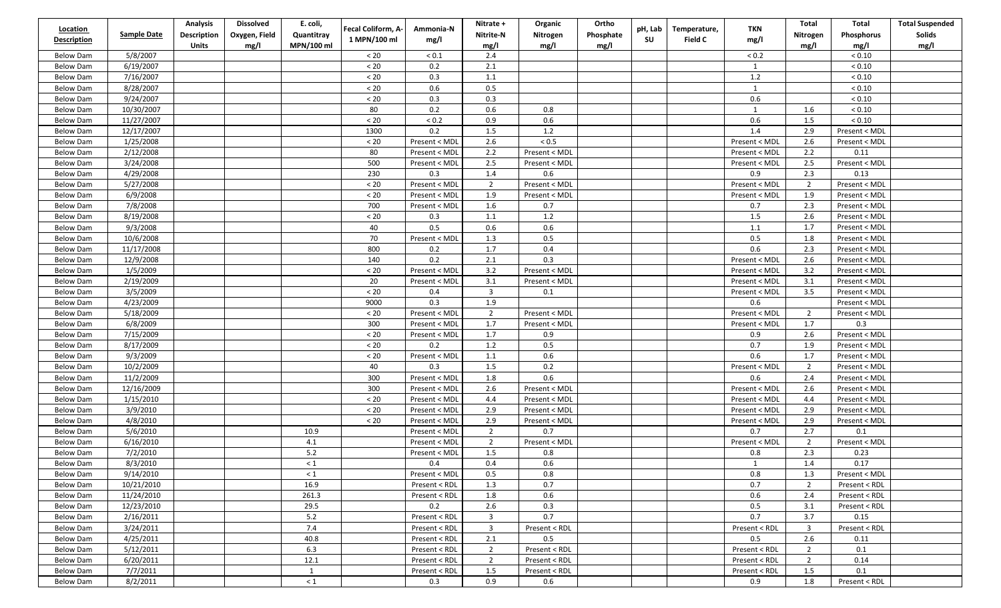| Location<br><b>Description</b> | <b>Sample Date</b> | <b>Analysis</b><br>Description | <b>Dissolved</b><br>Oxygen, Field | E. coli,<br>Quantitray | Fecal Coliform, A-<br>1 MPN/100 ml | Ammonia-N<br>mg/l | Nitrate +<br>Nitrite-N           | Organic<br>Nitrogen  | Ortho<br>Phosphate | pH, Lab<br>SU | Temperature,<br><b>Field C</b> | <b>TKN</b><br>mg/l             | Total<br>Nitrogen       | Total<br>Phosphorus  | <b>Total Suspended</b><br>Solids |
|--------------------------------|--------------------|--------------------------------|-----------------------------------|------------------------|------------------------------------|-------------------|----------------------------------|----------------------|--------------------|---------------|--------------------------------|--------------------------------|-------------------------|----------------------|----------------------------------|
|                                |                    | <b>Units</b>                   | mg/l                              | MPN/100 ml             |                                    |                   | mg/l                             | mg/l                 | mg/l               |               |                                |                                | mg/l                    | mg/l                 | mg/l                             |
| <b>Below Dam</b>               | 5/8/2007           |                                |                                   |                        | < 20                               | ${}_{0.1}$        | 2.4                              |                      |                    |               |                                | < 0.2                          |                         | < 0.10               |                                  |
| Below Dam                      | 6/19/2007          |                                |                                   |                        | $< 20\,$                           | 0.2               | 2.1                              |                      |                    |               |                                | $\mathbf{1}$                   |                         | < 0.10               |                                  |
| <b>Below Dam</b>               | 7/16/2007          |                                |                                   |                        | $< 20$                             | 0.3               | 1.1                              |                      |                    |               |                                | $1.2\,$                        |                         | < 0.10               |                                  |
| <b>Below Dam</b>               | 8/28/2007          |                                |                                   |                        | $< 20\,$                           | 0.6               | 0.5                              |                      |                    |               |                                | $\mathbf{1}$                   |                         | ${}< 0.10$           |                                  |
| <b>Below Dam</b>               | 9/24/2007          |                                |                                   |                        | $< 20\,$                           | 0.3               | 0.3                              |                      |                    |               |                                | 0.6                            |                         | < 0.10               |                                  |
| <b>Below Dam</b>               | 10/30/2007         |                                |                                   |                        | 80                                 | 0.2               | 0.6                              | 0.8                  |                    |               |                                | 1                              | 1.6                     | < 0.10               |                                  |
| Below Dam                      | 11/27/2007         |                                |                                   |                        | $< 20\,$                           | ${}_{0.2}$        | 0.9                              | 0.6                  |                    |               |                                | $0.6\,$                        | 1.5                     | < 0.10               |                                  |
| <b>Below Dam</b>               | 12/17/2007         |                                |                                   |                        | 1300                               | 0.2               | 1.5                              | 1.2                  |                    |               |                                | 1.4                            | 2.9                     | Present < MDL        |                                  |
| <b>Below Dam</b>               | 1/25/2008          |                                |                                   |                        | $< 20$                             | Present < MDL     | 2.6                              | $< 0.5\,$            |                    |               |                                | Present < MDL                  | 2.6                     | Present < MDL        |                                  |
| <b>Below Dam</b>               | 2/12/2008          |                                |                                   |                        | 80                                 | Present < MDL     | 2.2                              | Present < MDL        |                    |               |                                | Present < MDL                  | 2.2                     | 0.11                 |                                  |
| <b>Below Dam</b>               | 3/24/2008          |                                |                                   |                        | 500                                | Present < MDL     | 2.5                              | Present < MDL        |                    |               |                                | Present < MDL                  | 2.5                     | Present < MDL        |                                  |
| Below Dam                      | 4/29/2008          |                                |                                   |                        | 230                                | 0.3               | $1.4\,$                          | $0.6\,$              |                    |               |                                | 0.9                            | 2.3                     | 0.13                 |                                  |
| <b>Below Dam</b>               | 5/27/2008          |                                |                                   |                        | $< 20$                             | Present < MDL     | $\overline{2}$                   | Present < MDL        |                    |               |                                | Present < MDL                  | $\overline{2}$          | Present < MDL        |                                  |
| <b>Below Dam</b>               | 6/9/2008           |                                |                                   |                        | $< 20$                             | Present < MDL     | 1.9                              | Present < MDL        |                    |               |                                | Present < MDL                  | 1.9                     | Present < MDL        |                                  |
| <b>Below Dam</b>               | 7/8/2008           |                                |                                   |                        | 700                                | Present < MDL     | 1.6                              | 0.7                  |                    |               |                                | 0.7                            | 2.3                     | Present < MDL        |                                  |
| <b>Below Dam</b>               | 8/19/2008          |                                |                                   |                        | < 20                               | 0.3               | 1.1                              | $1.2\,$              |                    |               |                                | 1.5                            | 2.6                     | Present < MDL        |                                  |
| Below Dam                      | 9/3/2008           |                                |                                   |                        | 40                                 | $0.5\,$           | 0.6                              | 0.6                  |                    |               |                                | $1.1\,$                        | 1.7                     | Present < MDL        |                                  |
| <b>Below Dam</b>               | 10/6/2008          |                                |                                   |                        | 70                                 | Present < MDL     | 1.3                              | 0.5                  |                    |               |                                | $0.5\,$                        | 1.8                     | Present < MDL        |                                  |
| <b>Below Dam</b>               | 11/17/2008         |                                |                                   |                        | 800                                | 0.2               | $1.7$                            | 0.4                  |                    |               |                                | 0.6                            | 2.3                     | Present < MDL        |                                  |
| <b>Below Dam</b>               | 12/9/2008          |                                |                                   |                        | 140                                | 0.2               | 2.1                              | 0.3                  |                    |               |                                | Present < MDL                  | 2.6                     | Present < MDL        |                                  |
| <b>Below Dam</b>               | 1/5/2009           |                                |                                   |                        | < 20                               | Present < MDL     | 3.2                              | Present < MDL        |                    |               |                                | Present < MDL                  | 3.2                     | Present < MDL        |                                  |
| Below Dam                      | 2/19/2009          |                                |                                   |                        | 20                                 | Present < MDL     | 3.1                              | Present < MDL        |                    |               |                                | Present < MDL                  | 3.1                     | Present < MDL        |                                  |
| <b>Below Dam</b>               | 3/5/2009           |                                |                                   |                        | < 20                               | 0.4               | $\overline{3}$                   | 0.1                  |                    |               |                                | Present < MDL                  | 3.5                     | Present < MDL        |                                  |
| <b>Below Dam</b>               | 4/23/2009          |                                |                                   |                        | 9000                               | 0.3               | 1.9                              |                      |                    |               |                                | 0.6                            |                         | Present < MDL        |                                  |
| <b>Below Dam</b>               | 5/18/2009          |                                |                                   |                        | < 20                               | Present < MDL     | $\overline{2}$                   | Present < MDL        |                    |               |                                | Present < MDL                  | $\overline{2}$          | Present < MDL        |                                  |
| <b>Below Dam</b>               | 6/8/2009           |                                |                                   |                        | 300                                | Present < MDL     | 1.7                              | Present < MDL        |                    |               |                                | Present < MDL                  | 1.7                     | 0.3                  |                                  |
| <b>Below Dam</b>               | 7/15/2009          |                                |                                   |                        | $< 20\,$                           | Present < MDL     | 1.7                              | 0.9                  |                    |               |                                | 0.9                            | 2.6                     | Present < MDL        |                                  |
| <b>Below Dam</b>               | 8/17/2009          |                                |                                   |                        | < 20                               | 0.2               | 1.2                              | 0.5                  |                    |               |                                | 0.7                            | 1.9                     | Present < MDL        |                                  |
| <b>Below Dam</b>               | 9/3/2009           |                                |                                   |                        | $< 20\,$                           | Present < MDL     | $1.1\,$                          | 0.6                  |                    |               |                                | 0.6                            | 1.7                     | Present < MDL        |                                  |
| <b>Below Dam</b>               | 10/2/2009          |                                |                                   |                        | 40                                 | 0.3               | 1.5                              | 0.2                  |                    |               |                                | Present < MDL                  | $\overline{2}$          | Present < MDL        |                                  |
| <b>Below Dam</b>               | 11/2/2009          |                                |                                   |                        | 300                                | Present < MDL     | 1.8                              | 0.6                  |                    |               |                                | 0.6                            | 2.4                     | Present < MDL        |                                  |
| <b>Below Dam</b>               | 12/16/2009         |                                |                                   |                        | 300                                | Present < MDL     | 2.6                              | Present < MDL        |                    |               |                                | Present < MDL                  | 2.6                     | Present < MDL        |                                  |
|                                | 1/15/2010          |                                |                                   |                        | < 20                               |                   | 4.4                              |                      |                    |               |                                |                                | 4.4                     |                      |                                  |
| <b>Below Dam</b>               | 3/9/2010           |                                |                                   |                        | $< 20$                             | Present < MDL     | 2.9                              | Present < MDL        |                    |               |                                | Present < MDL<br>Present < MDL | 2.9                     | Present < MDL        |                                  |
| <b>Below Dam</b>               |                    |                                |                                   |                        |                                    | Present < MDL     | 2.9                              | Present < MDL        |                    |               |                                |                                |                         | Present < MDL        |                                  |
| <b>Below Dam</b>               | 4/8/2010           |                                |                                   | 10.9                   | $< 20\,$                           | Present < MDL     |                                  | Present < MDL<br>0.7 |                    |               |                                | Present < MDL                  | 2.9<br>2.7              | Present < MDL<br>0.1 |                                  |
| <b>Below Dam</b>               | 5/6/2010           |                                |                                   |                        |                                    | Present < MDL     | $\overline{2}$<br>$\overline{2}$ |                      |                    |               |                                | 0.7                            |                         |                      |                                  |
| Below Dam                      | 6/16/2010          |                                |                                   | 4.1                    |                                    | Present < MDL     |                                  | Present < MDL        |                    |               |                                | Present < MDL                  | $\overline{2}$          | Present < MDL        |                                  |
| <b>Below Dam</b>               | 7/2/2010           |                                |                                   | $5.2$                  |                                    | Present < MDL     | 1.5                              | 0.8                  |                    |               |                                | $0.8\,$                        | 2.3                     | 0.23                 |                                  |
| <b>Below Dam</b>               | 8/3/2010           |                                |                                   | $\leq 1$               |                                    | 0.4               | 0.4                              | 0.6                  |                    |               |                                | $\mathbf{1}$                   | 1.4                     | 0.17                 |                                  |
| Below Dam                      | 9/14/2010          |                                |                                   | $\leq 1$               |                                    | Present < MDL     | 0.5                              | 0.8                  |                    |               |                                | 0.8                            | 1.3                     | Present < MDL        |                                  |
| Below Dam                      | 10/21/2010         |                                |                                   | 16.9                   |                                    | Present < RDL     | 1.3                              | 0.7                  |                    |               |                                | 0.7                            | $\overline{2}$          | Present < RDL        |                                  |
| Below Dam                      | 11/24/2010         |                                |                                   | 261.3                  |                                    | Present < RDL     | 1.8                              | 0.6                  |                    |               |                                | 0.6                            | 2.4                     | Present < RDL        |                                  |
| Below Dam                      | 12/23/2010         |                                |                                   | 29.5                   |                                    | 0.2               | 2.6                              | 0.3                  |                    |               |                                | 0.5                            | 3.1                     | Present < RDL        |                                  |
| <b>Below Dam</b>               | 2/16/2011          |                                |                                   | $5.2$                  |                                    | Present < RDL     | $\overline{\mathbf{3}}$          | 0.7                  |                    |               |                                | 0.7                            | 3.7                     | 0.15                 |                                  |
| Below Dam                      | 3/24/2011          |                                |                                   | 7.4                    |                                    | Present < RDL     | $\overline{3}$                   | Present < RDL        |                    |               |                                | Present < RDL                  | $\overline{\mathbf{3}}$ | Present < RDL        |                                  |
| Below Dam                      | 4/25/2011          |                                |                                   | 40.8                   |                                    | Present < RDL     | 2.1                              | 0.5                  |                    |               |                                | 0.5                            | 2.6                     | 0.11                 |                                  |
| Below Dam                      | 5/12/2011          |                                |                                   | 6.3                    |                                    | Present < RDL     | 2                                | Present < RDL        |                    |               |                                | Present < RDL                  | $\overline{2}$          | 0.1                  |                                  |
| Below Dam                      | 6/20/2011          |                                |                                   | 12.1                   |                                    | Present < RDL     | $\overline{2}$                   | Present < RDL        |                    |               |                                | Present < RDL                  | 2                       | 0.14                 |                                  |
| <b>Below Dam</b>               | 7/7/2011           |                                |                                   | $\mathbf{1}$           |                                    | Present < RDL     | 1.5                              | Present < RDL        |                    |               |                                | Present < RDL                  | 1.5                     | 0.1                  |                                  |
| <b>Below Dam</b>               | 8/2/2011           |                                |                                   | $< 1$                  |                                    | 0.3               | 0.9                              | 0.6                  |                    |               |                                | 0.9                            | 1.8                     | Present < RDL        |                                  |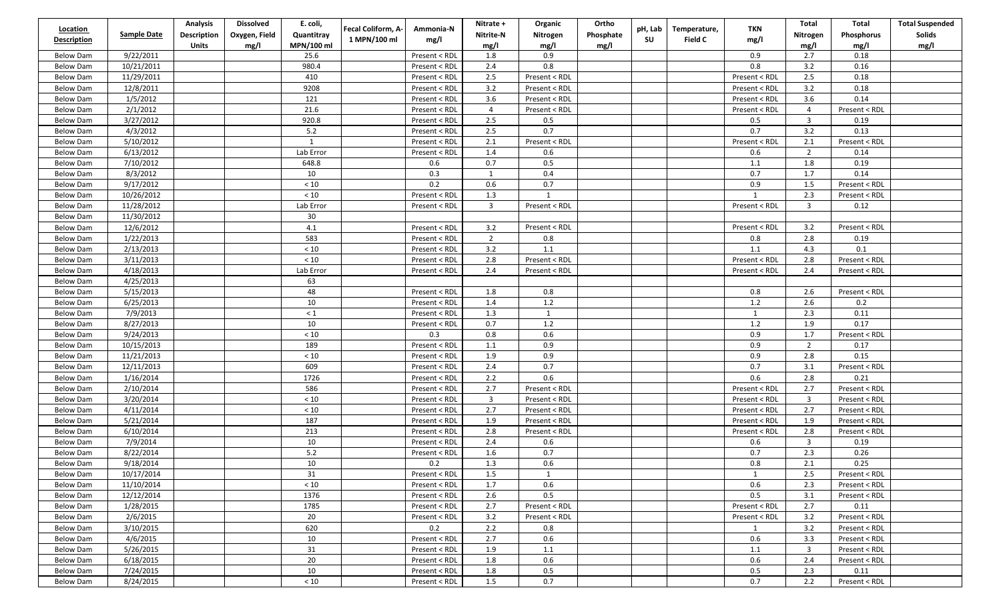| <b>Location</b>    |                    | <b>Analysis</b>    | <b>Dissolved</b> | E. coli,     | Fecal Coliform, A- | Ammonia-N     | Nitrate +      | Organic       | Ortho     | pH, Lab | Temperature, | <b>TKN</b>    | Total                   | Total         | <b>Total Suspended</b> |
|--------------------|--------------------|--------------------|------------------|--------------|--------------------|---------------|----------------|---------------|-----------|---------|--------------|---------------|-------------------------|---------------|------------------------|
| <b>Description</b> | <b>Sample Date</b> | <b>Description</b> | Oxygen, Field    | Quantitray   | 1 MPN/100 ml       | mg/l          | Nitrite-N      | Nitrogen      | Phosphate | su      | Field C      | mg/l          | Nitrogen                | Phosphorus    | Solids                 |
|                    |                    | <b>Units</b>       | mg/l             | MPN/100 ml   |                    |               | mg/l           | mg/l          | mg/l      |         |              |               | mg/l                    | mg/l          | mg/l                   |
| <b>Below Dam</b>   | 9/22/2011          |                    |                  | 25.6         |                    | Present < RDL | 1.8            | 0.9           |           |         |              | 0.9           | 2.7                     | 0.18          |                        |
| <b>Below Dam</b>   | 10/21/2011         |                    |                  | 980.4        |                    | Present < RDL | 2.4            | 0.8           |           |         |              | 0.8           | 3.2                     | 0.16          |                        |
| <b>Below Dam</b>   | 11/29/2011         |                    |                  | 410          |                    | Present < RDL | 2.5            | Present < RDL |           |         |              | Present < RDL | 2.5                     | 0.18          |                        |
| <b>Below Dam</b>   | 12/8/2011          |                    |                  | 9208         |                    | Present < RDL | 3.2            | Present < RDL |           |         |              | Present < RDL | 3.2                     | 0.18          |                        |
| <b>Below Dam</b>   | 1/5/2012           |                    |                  | 121          |                    | Present < RDL | 3.6            | Present < RDL |           |         |              | Present < RDL | 3.6                     | 0.14          |                        |
| <b>Below Dam</b>   | 2/1/2012           |                    |                  | 21.6         |                    | Present < RDL | $\overline{4}$ | Present < RDL |           |         |              | Present < RDL | $\overline{4}$          | Present < RDL |                        |
| <b>Below Dam</b>   | 3/27/2012          |                    |                  | 920.8        |                    | Present < RDL | 2.5            | 0.5           |           |         |              | 0.5           | $\overline{\mathbf{3}}$ | 0.19          |                        |
| <b>Below Dam</b>   | 4/3/2012           |                    |                  | 5.2          |                    | Present < RDL | 2.5            | 0.7           |           |         |              | 0.7           | 3.2                     | 0.13          |                        |
| <b>Below Dam</b>   | 5/10/2012          |                    |                  | $\mathbf{1}$ |                    | Present < RDL | 2.1            | Present < RDL |           |         |              | Present < RDL | 2.1                     | Present < RDL |                        |
| <b>Below Dam</b>   | 6/13/2012          |                    |                  | Lab Error    |                    | Present < RDL | 1.4            | 0.6           |           |         |              | 0.6           | $\overline{2}$          | 0.14          |                        |
| <b>Below Dam</b>   | 7/10/2012          |                    |                  | 648.8        |                    | 0.6           | 0.7            | $0.5\,$       |           |         |              | 1.1           | 1.8                     | 0.19          |                        |
| <b>Below Dam</b>   | 8/3/2012           |                    |                  | 10           |                    | 0.3           | 1              | 0.4           |           |         |              | 0.7           | 1.7                     | 0.14          |                        |
| <b>Below Dam</b>   | 9/17/2012          |                    |                  | < 10         |                    | 0.2           | 0.6            | 0.7           |           |         |              | 0.9           | 1.5                     | Present < RDL |                        |
| <b>Below Dam</b>   | 10/26/2012         |                    |                  | $<10\,$      |                    | Present < RDL | 1.3            | 1             |           |         |              | 1             | 2.3                     | Present < RDL |                        |
| <b>Below Dam</b>   | 11/28/2012         |                    |                  | Lab Error    |                    | Present < RDL | $\overline{3}$ | Present < RDL |           |         |              | Present < RDL | 3                       | 0.12          |                        |
| <b>Below Dam</b>   | 11/30/2012         |                    |                  | 30           |                    |               |                |               |           |         |              |               |                         |               |                        |
| <b>Below Dam</b>   | 12/6/2012          |                    |                  | $4.1\,$      |                    | Present < RDL | 3.2            | Present < RDL |           |         |              | Present < RDL | 3.2                     | Present < RDL |                        |
| <b>Below Dam</b>   | 1/22/2013          |                    |                  | 583          |                    | Present < RDL | $\overline{2}$ | 0.8           |           |         |              | 0.8           | 2.8                     | 0.19          |                        |
| <b>Below Dam</b>   | 2/13/2013          |                    |                  | $<10\,$      |                    | Present < RDL | 3.2            | 1.1           |           |         |              | 1.1           | 4.3                     | 0.1           |                        |
| <b>Below Dam</b>   | 3/11/2013          |                    |                  | $<10\,$      |                    | Present < RDL | 2.8            | Present < RDL |           |         |              | Present < RDL | 2.8                     | Present < RDL |                        |
| <b>Below Dam</b>   | 4/18/2013          |                    |                  | Lab Error    |                    | Present < RDL | 2.4            | Present < RDL |           |         |              | Present < RDL | 2.4                     | Present < RDL |                        |
| <b>Below Dam</b>   | 4/25/2013          |                    |                  | 63           |                    |               |                |               |           |         |              |               |                         |               |                        |
| <b>Below Dam</b>   | 5/15/2013          |                    |                  | 48           |                    | Present < RDL | 1.8            | 0.8           |           |         |              | 0.8           | 2.6                     | Present < RDL |                        |
| <b>Below Dam</b>   | 6/25/2013          |                    |                  | 10           |                    | Present < RDL | 1.4            | 1.2           |           |         |              | 1.2           | 2.6                     | 0.2           |                        |
| <b>Below Dam</b>   | 7/9/2013           |                    |                  | $\leq 1$     |                    | Present < RDL | 1.3            | $\mathbf{1}$  |           |         |              | $\mathbf{1}$  | 2.3                     | 0.11          |                        |
| <b>Below Dam</b>   | 8/27/2013          |                    |                  | 10           |                    | Present < RDL | 0.7            | 1.2           |           |         |              | $1.2\,$       | 1.9                     | 0.17          |                        |
| <b>Below Dam</b>   | 9/24/2013          |                    |                  | $<10\,$      |                    | 0.3           | 0.8            | 0.6           |           |         |              | 0.9           | 1.7                     | Present < RDL |                        |
| <b>Below Dam</b>   | 10/15/2013         |                    |                  | 189          |                    | Present < RDL | $1.1\,$        | 0.9           |           |         |              | 0.9           | $\overline{2}$          | 0.17          |                        |
| <b>Below Dam</b>   | 11/21/2013         |                    |                  | $<10$        |                    | Present < RDL | 1.9            | 0.9           |           |         |              | 0.9           | 2.8                     | 0.15          |                        |
| <b>Below Dam</b>   | 12/11/2013         |                    |                  | 609          |                    | Present < RDL | 2.4            | 0.7           |           |         |              | 0.7           | 3.1                     | Present < RDL |                        |
| <b>Below Dam</b>   | 1/16/2014          |                    |                  | 1726         |                    | Present < RDL | 2.2            | 0.6           |           |         |              | 0.6           | 2.8                     | 0.21          |                        |
| <b>Below Dam</b>   | 2/10/2014          |                    |                  | 586          |                    | Present < RDL | 2.7            | Present < RDL |           |         |              | Present < RDL | 2.7                     | Present < RDL |                        |
| <b>Below Dam</b>   | 3/20/2014          |                    |                  | < 10         |                    | Present < RDL | $\overline{3}$ | Present < RDL |           |         |              | Present < RDL | $\overline{\mathbf{3}}$ | Present < RDL |                        |
| <b>Below Dam</b>   | 4/11/2014          |                    |                  | $<10\,$      |                    | Present < RDL | 2.7            | Present < RDL |           |         |              | Present < RDL | 2.7                     | Present < RDL |                        |
| <b>Below Dam</b>   | 5/21/2014          |                    |                  | 187          |                    | Present < RDL | 1.9            | Present < RDL |           |         |              | Present < RDL | 1.9                     | Present < RDL |                        |
| <b>Below Dam</b>   | 6/10/2014          |                    |                  | 213          |                    | Present < RDL | 2.8            | Present < RDL |           |         |              | Present < RDL | 2.8                     | Present < RDL |                        |
| <b>Below Dam</b>   | 7/9/2014           |                    |                  | 10           |                    | Present < RDL | 2.4            | 0.6           |           |         |              | 0.6           | $\overline{3}$          | 0.19          |                        |
| <b>Below Dam</b>   | 8/22/2014          |                    |                  | $5.2$        |                    | Present < RDL | 1.6            | 0.7           |           |         |              | 0.7           | 2.3                     | 0.26          |                        |
| <b>Below Dam</b>   | 9/18/2014          |                    |                  | $10\,$       |                    | 0.2           | 1.3            | 0.6           |           |         |              | 0.8           | $2.1\,$                 | 0.25          |                        |
| Below Dam          | 10/17/2014         |                    |                  | 31           |                    | Present < RDL | 1.5            | 1             |           |         |              | 1             | 2.5                     | Present < RDL |                        |
| Below Dam          | 11/10/2014         |                    |                  | < 10         |                    | Present < RDL | 1.7            | 0.6           |           |         |              | 0.6           | 2.3                     | Present < RDL |                        |
| Below Dam          | 12/12/2014         |                    |                  | 1376         |                    | Present < RDL | 2.6            | 0.5           |           |         |              | 0.5           | 3.1                     | Present < RDL |                        |
| <b>Below Dam</b>   | 1/28/2015          |                    |                  | 1785         |                    | Present < RDL | 2.7            | Present < RDL |           |         |              | Present < RDL | 2.7                     | 0.11          |                        |
| Below Dam          | 2/6/2015           |                    |                  | 20           |                    | Present < RDL | 3.2            | Present < RDL |           |         |              | Present < RDL | 3.2                     | Present < RDL |                        |
|                    | 3/10/2015          |                    |                  | 620          |                    | 0.2           | 2.2            |               |           |         |              |               | 3.2                     |               |                        |
| Below Dam          | 4/6/2015           |                    |                  | 10           |                    | Present < RDL | 2.7            | 0.8<br>0.6    |           |         |              | 1<br>0.6      | 3.3                     | Present < RDL |                        |
| <b>Below Dam</b>   | 5/26/2015          |                    |                  | 31           |                    | Present < RDL | 1.9            |               |           |         |              |               | $\overline{3}$          | Present < RDL |                        |
| Below Dam          | 6/18/2015          |                    |                  | 20           |                    |               | 1.8            | 1.1           |           |         |              | 1.1<br>0.6    | 2.4                     | Present < RDL |                        |
| Below Dam          |                    |                    |                  |              |                    | Present < RDL |                | 0.6           |           |         |              |               |                         | Present < RDL |                        |
| <b>Below Dam</b>   | 7/24/2015          |                    |                  | 10           |                    | Present < RDL | 1.8            | 0.5           |           |         |              | 0.5           | 2.3                     | 0.11          |                        |
| Below Dam          | 8/24/2015          |                    |                  | $<10\,$      |                    | Present < RDL | 1.5            | 0.7           |           |         |              | 0.7           | 2.2                     | Present < RDL |                        |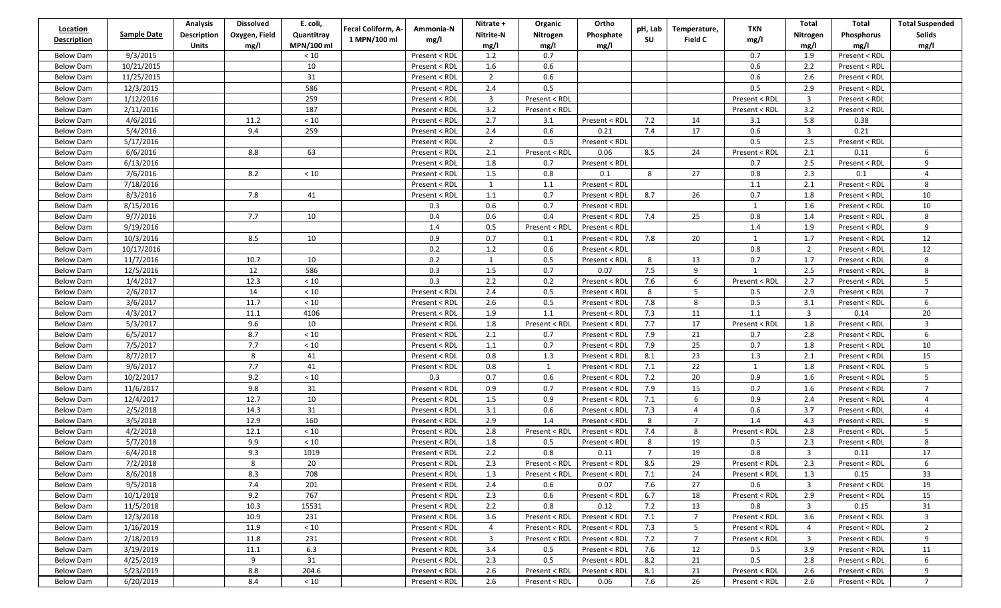| Location           |                    | <b>Analysis</b> | <b>Dissolved</b> | E. coli,   | Fecal Coliform, A- | Ammonia-N     | Nitrate +      | Organic       | Ortho                       | pH, Lab        | Temperature,    | TKN           | Total                   | Total             | <b>Total Suspended</b> |
|--------------------|--------------------|-----------------|------------------|------------|--------------------|---------------|----------------|---------------|-----------------------------|----------------|-----------------|---------------|-------------------------|-------------------|------------------------|
| <b>Description</b> | <b>Sample Date</b> | Description     | Oxygen, Field    | Quantitray | 1 MPN/100 ml       | mg/l          | Nitrite-N      | Nitrogen      | Phosphate                   | SU             | Field C         | mg/l          | Nitrogen                | <b>Phosphorus</b> | Solids                 |
|                    |                    | <b>Units</b>    | mg/l             | MPN/100 ml |                    |               | mg/l           | mg/l          | mg/l                        |                |                 |               | mg/l                    | mg/l              | mg/l                   |
| <b>Below Dam</b>   | 9/3/2015           |                 |                  | < 10       |                    | Present < RDL | 1.2            | 0.7           |                             |                |                 | 0.7           | 1.9                     | Present < RDL     |                        |
| <b>Below Dam</b>   | 10/21/2015         |                 |                  | 10         |                    | Present < RDL | 1.6            | 0.6           |                             |                |                 | 0.6           | 2.2                     | Present < RDL     |                        |
| Below Dam          | 11/25/2015         |                 |                  | 31         |                    | Present < RDL | $\overline{2}$ | 0.6           |                             |                |                 | 0.6           | 2.6                     | Present < RDL     |                        |
| <b>Below Dam</b>   | 12/3/2015          |                 |                  | 586        |                    | Present < RDL | 2.4            | 0.5           |                             |                |                 | 0.5           | 2.9                     | Present < RDL     |                        |
| Below Dam          | 1/12/2016          |                 |                  | 259        |                    | Present < RDL | $\overline{3}$ | Present < RDL |                             |                |                 | Present < RDL | $\overline{3}$          | Present < RDL     |                        |
| <b>Below Dam</b>   | 2/11/2016          |                 |                  | 187        |                    | Present < RDL | 3.2            | Present < RDL |                             |                |                 | Present < RDL | 3.2                     | Present < RDL     |                        |
| Below Dam          | 4/6/2016           |                 | 11.2             | < 10       |                    | Present < RDL | 2.7            | 3.1           | Present < RDL               | 7.2            | 14              | 3.1           | 5.8                     | 0.38              |                        |
| <b>Below Dam</b>   | 5/4/2016           |                 | 9.4              | 259        |                    | Present < RDL | 2.4            | 0.6           | 0.21                        | 7.4            | 17              | 0.6           | $\overline{3}$          | 0.21              |                        |
| <b>Below Dam</b>   | 5/17/2016          |                 |                  |            |                    | Present < RDL | $\overline{2}$ | 0.5           | Present < RDL               |                |                 | 0.5           | 2.5                     | Present < RDL     |                        |
| Below Dam          | 6/6/2016           |                 | 8.8              | 63         |                    | Present < RDL | 2.1            | Present < RDL | 0.06                        | 8.5            | 24              | Present < RDL | 2.1                     | 0.11              | 6                      |
| <b>Below Dam</b>   | 6/13/2016          |                 |                  |            |                    | Present < RDL | 1.8            | 0.7           | Present < RDL               |                |                 | 0.7           | 2.5                     | Present < RDL     | 9                      |
| Below Dam          | 7/6/2016           |                 | 8.2              | < 10       |                    | Present < RDL | 1.5            | 0.8           | 0.1                         | 8              | 27              | 0.8           | 2.3                     | 0.1               | 4                      |
| Below Dam          | 7/18/2016          |                 |                  |            |                    | Present < RDL | $\mathbf{1}$   | 1.1           | Present < RDL               |                |                 | 1.1           | 2.1                     | Present < RDL     | 8                      |
| <b>Below Dam</b>   | 8/3/2016           |                 | 7.8              | 41         |                    | Present < RDL | 1.1            | 0.7           | Present < RDL               | 8.7            | 26              | 0.7           | 1.8                     | Present < RDL     | 10                     |
| Below Dam          | 8/15/2016          |                 |                  |            |                    | 0.3           | 0.6            | 0.7           | Present < RDL               |                |                 | 1             | 1.6                     | Present < RDL     | 10                     |
| <b>Below Dam</b>   | 9/7/2016           |                 | 7.7              | 10         |                    | 0.4           | 0.6            | 0.4           | Present < RDL               | 7.4            | 25              | $0.8\,$       | 1.4                     | Present < RDL     | 8                      |
| <b>Below Dam</b>   | 9/19/2016          |                 |                  |            |                    | 1.4           | 0.5            | Present < RDL | Present < RDL               |                |                 | $1.4\,$       | 1.9                     | Present < RDL     | 9                      |
| <b>Below Dam</b>   | 10/3/2016          |                 | 8.5              | 10         |                    | 0.9           | 0.7            | 0.1           | Present < RDL               | 7.8            | 20              | $\mathbf{1}$  | 1.7                     | Present < RDL     | 12                     |
| <b>Below Dam</b>   | 10/17/2016         |                 |                  |            |                    | 0.2           | 1.2            | 0.6           | Present < RDL               |                |                 | 0.8           | $\overline{2}$          | Present < RDL     | 12                     |
| Below Dam          | 11/7/2016          |                 | 10.7             | 10         |                    | 0.2           | $\mathbf{1}$   | 0.5           | Present < RDL               | 8              | 13              | 0.7           | 1.7                     | Present < RDL     | 8                      |
| <b>Below Dam</b>   | 12/5/2016          |                 | 12               | 586        |                    | 0.3           | 1.5            | 0.7           | 0.07                        | 7.5            | 9               | $\mathbf{1}$  | 2.5                     | Present < RDL     | 8                      |
| Below Dam          | 1/4/2017           |                 | 12.3             | < 10       |                    | 0.3           | 2.2            | 0.2           | Present < RDL               | 7.6            | 6               | Present < RDL | 2.7                     | Present < RDL     | 5                      |
| <b>Below Dam</b>   | 2/6/2017           |                 | 14               | < 10       |                    | Present < RDL | 2.4            | 0.5           | Present < RDL               | 8              | 5               | 0.5           | 2.9                     | Present < RDL     | $\overline{7}$         |
| <b>Below Dam</b>   | 3/6/2017           |                 | 11.7             | $<10$      |                    | Present < RDL | 2.6            | 0.5           | Present < RDL               | 7.8            | 8               | 0.5           | 3.1                     | Present < RDL     | 6                      |
| Below Dam          | 4/3/2017           |                 | 11.1             | 4106       |                    | Present < RDL | 1.9            | 1.1           | Present < RDL               | 7.3            | 11              | 1.1           | $\overline{3}$          | 0.14              | 20                     |
| <b>Below Dam</b>   | 5/3/2017           |                 | 9.6              | 10         |                    | Present < RDL | 1.8            | Present < RDL | Present < RDL               | 7.7            | 17              | Present < RDL | 1.8                     | Present < RDL     | 3                      |
| Below Dam          | 6/5/2017           |                 | 8.7              | < 10       |                    | Present < RDL | 2.1            | 0.7           | Present < RDL               | 7.9            | 21              | 0.7           | 2.8                     | Present < RDL     | 6                      |
| <b>Below Dam</b>   | 7/5/2017           |                 | 7.7              | < 10       |                    | Present < RDL | $1.1\,$        | 0.7           | Present < RDL               | 7.9            | 25              | 0.7           | 1.8                     | Present < RDL     | 10                     |
| <b>Below Dam</b>   | 8/7/2017           |                 | 8                | 41         |                    | Present < RDL | 0.8            | 1.3           | Present < RDL               | 8.1            | 23              | $1.3\,$       | 2.1                     | Present < RDL     | 15                     |
| Below Dam          | 9/6/2017           |                 | 7.7              | 41         |                    | Present < RDL | 0.8            | 1             | Present < RDL               | 7.1            | 22              | $\mathbf{1}$  | 1.8                     | Present < RDL     | 5                      |
| <b>Below Dam</b>   | 10/2/2017          |                 | 9.2              | $<10\,$    |                    | 0.3           | 0.7            | 0.6           | Present < RDL               | 7.2            | 20              | 0.9           | 1.6                     | Present < RDL     | 5                      |
| Below Dam          | 11/6/2017          |                 | 9.8              | 31         |                    | Present < RDL | 0.9            | 0.7           | Present < RDL               | 7.9            | 15              | 0.7           | 1.6                     | Present < RDL     | $\overline{7}$         |
| <b>Below Dam</b>   | 12/4/2017          |                 | 12.7             | 10         |                    | Present < RDL | 1.5            | 0.9           | Present < RDL               | 7.1            | 6               | 0.9           | 2.4                     | Present < RDL     | $\overline{4}$         |
| <b>Below Dam</b>   | 2/5/2018           |                 | 14.3             | 31         |                    | Present < RDL | 3.1            | 0.6           | Present < RDL               | 7.3            | $\overline{4}$  | 0.6           | 3.7                     | Present < RDL     | 4                      |
| Below Dam          | 3/5/2018           |                 | 12.9             | 160        |                    | Present < RDL | 2.9            | 1.4           | Present < RDL               | 8              | $\overline{7}$  | 1.4           | 4.3                     | Present < RDL     | 9                      |
| <b>Below Dam</b>   | 4/2/2018           |                 | 12.1             | $<10\,$    |                    | Present < RDL | 2.8            | Present < RDL | Present < RDL               | 7.4            | 8               | Present < RDL | 2.8                     | Present < RDL     | 5                      |
| <b>Below Dam</b>   | 5/7/2018           |                 | 9.9              | < 10       |                    | Present < RDL | 1.8            | 0.5           | Present < RDL               | 8              | 19              | 0.5           | 2.3                     | Present < RDL     | 8                      |
| <b>Below Dam</b>   | 6/4/2018           |                 | 9.3              | 1019       |                    | Present < RDL | 2.2            | 0.8           | 0.11                        | $\overline{7}$ | 19              | 0.8           | $\overline{3}$          | 0.11              | 17                     |
| <b>Below Dam</b>   | 7/2/2018           |                 | 8                | 20         |                    | Present < RDL | 2.3            |               | Present < RDL Present < RDL | 8.5            | 29              | Present < RDL | 2.3                     | Present < RDL     | 6                      |
| Below Dam          | 8/6/2018           |                 | 8.3              | 708        |                    | Present < RDL | 1.3            | Present < RDL | Present < RDL               | 7.1            | 24              | Present < RDL | 1.3                     | 0.15              | 33                     |
| Below Dam          | 9/5/2018           |                 | 7.4              | 201        |                    | Present < RDL | 2.4            | 0.6           | 0.07                        | 7.6            | 27              | 0.6           | $\overline{\mathbf{3}}$ | Present < RDL     | 19                     |
| Below Dam          | 10/1/2018          |                 | 9.2              | 767        |                    | Present < RDL | 2.3            | 0.6           | Present < RDL               | 6.7            | 18              | Present < RDL | 2.9                     | Present < RDL     | 15                     |
| Below Dam          | 11/5/2018          |                 | 10.3             | 15531      |                    | Present < RDL | 2.2            | 0.8           | 0.12                        | 7.2            | 13              | 0.8           | $\overline{3}$          | 0.15              | 31                     |
| Below Dam          | 12/3/2018          |                 | 10.9             | 231        |                    | Present < RDL | 3.6            | Present < RDL | Present < RDL               | 7.1            | $7^{\circ}$     | Present < RDL | 3.6                     | Present < RDL     | 3                      |
| Below Dam          | 1/16/2019          |                 | 11.9             | < 10       |                    | Present < RDL | $\overline{4}$ | Present < RDL | Present < RDL               | 7.3            | 5               | Present < RDL | $\overline{4}$          | Present < RDL     | $\overline{2}$         |
| Below Dam          | 2/18/2019          |                 | 11.8             | 231        |                    | Present < RDL | $\overline{3}$ | Present < RDL | Present < RDL               | 7.2            | $7\overline{ }$ | Present < RDL | $\overline{3}$          | Present < RDL     | 9                      |
| Below Dam          | 3/19/2019          |                 | 11.1             | 6.3        |                    | Present < RDL | 3.4            | 0.5           | Present < RDL               | 7.6            | 12              | 0.5           | 3.9                     | Present < RDL     | 11                     |
| Below Dam          | 4/25/2019          |                 | 9                | 31         |                    | Present < RDL | 2.3            | 0.5           | Present < RDL               | 8.2            | 21              | 0.5           | 2.8                     | Present < RDL     | 6                      |
| Below Dam          | 5/23/2019          |                 | 8.8              | 204.6      |                    | Present < RDL | 2.6            | Present < RDL | Present < RDL               | 8.1            | 21              | Present < RDL | 2.6                     | Present < RDL     | 9                      |
| Below Dam          | 6/20/2019          |                 | 8.4              | < 10       |                    | Present < RDL | 2.6            | Present < RDL | 0.06                        | 7.6            | 26              | Present < RDL | 2.6                     | Present < RDL     | $7^{\circ}$            |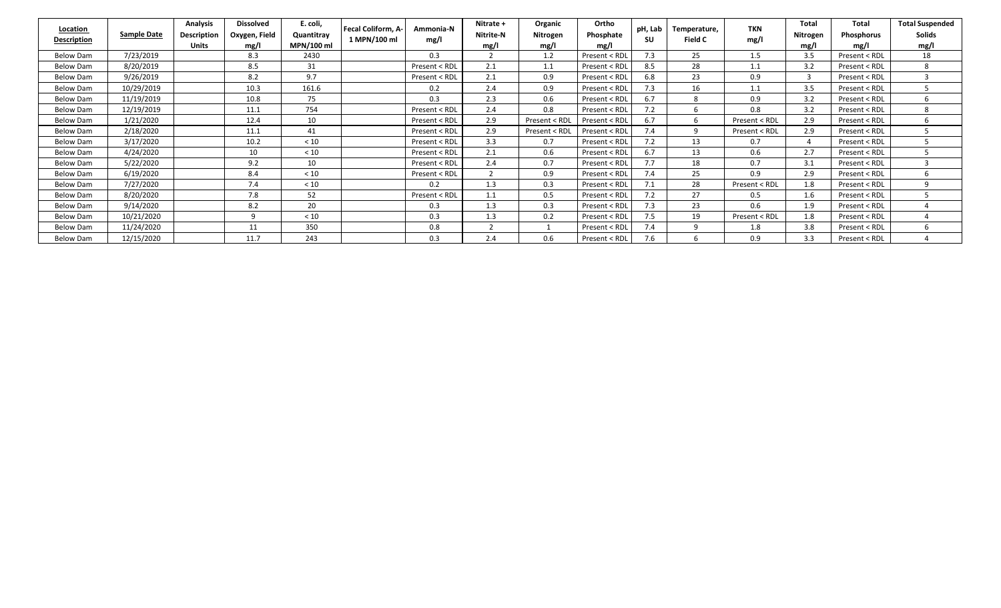| <b>Location</b><br>Description | <b>Sample Date</b> | Analysis<br><b>Description</b><br><b>Units</b> | <b>Dissolved</b><br>Oxygen, Field<br>mg/ | E. coli,<br>Quantitray<br>MPN/100 ml | <b>Fecal Coliform. A-</b><br>Ammonia-N<br>1 MPN/100 ml<br>mg/l | Nitrate +<br><b>Nitrite-N</b><br>mg/ | Organic<br>Nitrogen<br>mg/l | Ortho<br>Phosphate<br>mg/l | pH, Lab<br>SU | Temperature,<br>Field C | <b>TKN</b><br>mg/l | <b>Total</b><br>Nitrogen<br>mg/l | Total<br>Phosphorus<br>mg/l | <b>Total Suspended</b><br>Solids<br>mg/l |
|--------------------------------|--------------------|------------------------------------------------|------------------------------------------|--------------------------------------|----------------------------------------------------------------|--------------------------------------|-----------------------------|----------------------------|---------------|-------------------------|--------------------|----------------------------------|-----------------------------|------------------------------------------|
| Below Dam                      | 7/23/2019          |                                                | 8.3                                      | 2430                                 | 0.3                                                            | ി                                    | 1.2                         | Present < RDL              | 7.3           | 25                      | 1.5                | 3.5                              | Present < RDL               | 18                                       |
| Below Dam                      | 8/20/2019          |                                                | 8.5                                      | 31                                   | Present < RDL                                                  | 2.1                                  | 1.1                         | Present < RDL              | 8.5           | 28                      | 1.1                | 3.2                              | Present < RDL               | 8                                        |
| Below Dam                      | 9/26/2019          |                                                | 8.2                                      | 9.7                                  | Present < RDL                                                  | 2.1                                  | 0.9                         | Present < RDL              | 6.8           | 23                      | 0.9                | 3                                | Present < RDL               |                                          |
| Below Dam                      | 10/29/2019         |                                                | 10.3                                     | 161.6                                | 0.2                                                            | 2.4                                  | 0.9                         | Present < RDL              | 7.3           | 16                      | 1.1                | 3.5                              | Present < RDL               |                                          |
| <b>Below Dam</b>               | 11/19/2019         |                                                | 10.8                                     | 75                                   | 0.3                                                            | 2.3                                  | 0.6                         | Present < RDL              | 6.7           | 8                       | 0.9                | 3.2                              | Present < RDL               |                                          |
| Below Dam                      | 12/19/2019         |                                                | 11.1                                     | 754                                  | Present < RDL                                                  | 2.4                                  | 0.8                         | Present < RDL              | 7.2           | 6                       | 0.8                | 3.2                              | Present < RDL               | 8                                        |
| Below Dam                      | 1/21/2020          |                                                | 12.4                                     | 10                                   | Present < RDL                                                  | 2.9                                  | Present < RDL               | Present < RDL              | 6.7           | 6                       | Present < RDL      | 2.9                              | Present < RDL               |                                          |
| Below Dam                      | 2/18/2020          |                                                | 11.1                                     | 41                                   | Present < RDL                                                  | 2.9                                  | Present < RDL               | Present < RDL              | 7.4           | 9                       | Present < RDL      | 2.9                              | Present < RDL               |                                          |
| <b>Below Dam</b>               | 3/17/2020          |                                                | 10.2                                     | < 10                                 | Present < RDL                                                  | 3.3                                  | 0.7                         | Present < RDL              | 7.2           | 13                      | 0.7                |                                  | Present < RDL               |                                          |
| <b>Below Dam</b>               | 4/24/2020          |                                                | 10                                       | < 10                                 | Present < RDL                                                  | 2.1                                  | 0.6                         | Present < RDL              | 6.7           | 13                      | 0.6                | 2.7                              | Present < RDL               |                                          |
| <b>Below Dam</b>               | 5/22/2020          |                                                | 9.2                                      | 10                                   | Present < RDL                                                  | 2.4                                  | 0.7                         | Present < RDL              | 7.7           | 18                      | 0.7                | 3.1                              | Present < RDL               |                                          |
| <b>Below Dam</b>               | 6/19/2020          |                                                | 8.4                                      | < 10                                 | Present < RDL                                                  |                                      | 0.9                         | Present < RDL              | 7.4           | 25                      | 0.9                | 2.9                              | Present < RDL               |                                          |
| Below Dam                      | 7/27/2020          |                                                | 7.4                                      | < 10                                 | 0.2                                                            | 1.3                                  | 0.3                         | Present < RDL              |               | 28                      | Present < RDL      | 1.8                              | Present < RDL               |                                          |
| Below Dam                      | 8/20/2020          |                                                | 7.8                                      | 52                                   | Present < RDL                                                  | 1.1                                  | 0.5                         | Present < RDL              | 7.2           | 27                      | 0.5                | 1.6                              | Present < RDL               |                                          |
| Below Dam                      | 9/14/2020          |                                                | 8.2                                      | 20                                   | 0.3                                                            | 1.3                                  | 0.3                         | Present < RDL              | 7.3           | 23                      | 0.6                | 1.9                              | Present < RDL               |                                          |
| Below Dam                      | 10/21/2020         |                                                | q                                        | < 10                                 | 0.3                                                            | 1.3                                  | 0.2                         | Present < RDL              | 7.5           | 19                      | Present < RDL      | 1.8                              | Present < RDL               |                                          |
| <b>Below Dam</b>               | 11/24/2020         |                                                | 11                                       | 350                                  | 0.8                                                            |                                      |                             | Present < RDL              | 7.4           | q                       | 1.8                | 3.8                              | Present < RDL               | h.                                       |
| Below Dam                      | 12/15/2020         |                                                | 11.7                                     | 243                                  | 0.3                                                            | 2.4                                  | 0.6                         | Present < RDL              | 7.6           |                         | 0.9                | 3.3                              | Present < RDL               |                                          |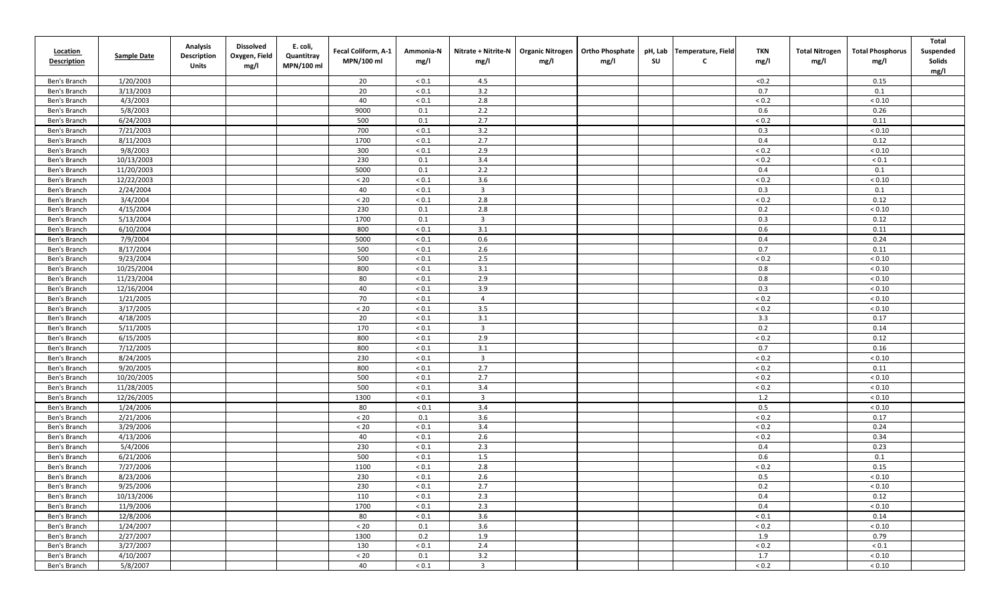| <b>Location</b><br><b>Description</b> | Sample Date | <b>Analysis</b><br>Description<br>Units | <b>Dissolved</b><br>Oxygen, Field<br>mg/l | E. coli,<br>Quantitray<br>MPN/100 ml | Fecal Coliform, A-1<br>MPN/100 ml | Ammonia-N<br>mg/l | Nitrate + Nitrite-N<br>mg/l | <b>Organic Nitrogen</b><br>mg/l | <b>Ortho Phosphate</b><br>mg/l | pH, Lab<br><b>SU</b> | Temperature, Field<br>C | <b>TKN</b><br>mg/l | <b>Total Nitrogen</b><br>mg/l | <b>Total Phosphorus</b><br>mg/l | <b>Total</b><br>Suspended<br>Solids<br>mg/l |
|---------------------------------------|-------------|-----------------------------------------|-------------------------------------------|--------------------------------------|-----------------------------------|-------------------|-----------------------------|---------------------------------|--------------------------------|----------------------|-------------------------|--------------------|-------------------------------|---------------------------------|---------------------------------------------|
| Ben's Branch                          | 1/20/2003   |                                         |                                           |                                      | 20                                | ${}_{0.1}$        | 4.5                         |                                 |                                |                      |                         | < 0.2              |                               | 0.15                            |                                             |
| Ben's Branch                          | 3/13/2003   |                                         |                                           |                                      | 20                                | ${}_{< 0.1}$      | 3.2                         |                                 |                                |                      |                         | 0.7                |                               | 0.1                             |                                             |
| Ben's Branch                          | 4/3/2003    |                                         |                                           |                                      | 40                                | ${}_{0.1}$        | 2.8                         |                                 |                                |                      |                         | ${}_{< 0.2}$       |                               | ${}_{< 0.10}$                   |                                             |
| Ben's Branch                          | 5/8/2003    |                                         |                                           |                                      | 9000                              | 0.1               | 2.2                         |                                 |                                |                      |                         | 0.6                |                               | 0.26                            |                                             |
| Ben's Branch                          | 6/24/2003   |                                         |                                           |                                      | 500                               | 0.1               | 2.7                         |                                 |                                |                      |                         | ${}_{0.2}$         |                               | 0.11                            |                                             |
| Ben's Branch                          | 7/21/2003   |                                         |                                           |                                      | 700                               | ${}_{< 0.1}$      | 3.2                         |                                 |                                |                      |                         | 0.3                |                               | ${}_{< 0.10}$                   |                                             |
| Ben's Branch                          | 8/11/2003   |                                         |                                           |                                      | 1700                              | ${}_{0.1}$        | 2.7                         |                                 |                                |                      |                         | 0.4                |                               | 0.12                            |                                             |
| Ben's Branch                          | 9/8/2003    |                                         |                                           |                                      | 300                               | ${}_{< 0.1}$      | 2.9                         |                                 |                                |                      |                         | $< 0.2$            |                               | ${}_{< 0.10}$                   |                                             |
| Ben's Branch                          | 10/13/2003  |                                         |                                           |                                      | 230                               | 0.1               | 3.4                         |                                 |                                |                      |                         | $< 0.2$            |                               | ${}_{0.1}$                      |                                             |
| Ben's Branch                          | 11/20/2003  |                                         |                                           |                                      | 5000                              | 0.1               | 2.2                         |                                 |                                |                      |                         | 0.4                |                               | 0.1                             |                                             |
| Ben's Branch                          | 12/22/2003  |                                         |                                           |                                      | $< 20$                            | ${}_{0.1}$        | 3.6                         |                                 |                                |                      |                         | $< 0.2$            |                               | ${}< 0.10$                      |                                             |
| Ben's Branch                          | 2/24/2004   |                                         |                                           |                                      | 40                                | ${}_{0.1}$        | $\overline{\mathbf{3}}$     |                                 |                                |                      |                         | 0.3                |                               | 0.1                             |                                             |
| Ben's Branch                          | 3/4/2004    |                                         |                                           |                                      | $< 20$                            | ${}_{0.1}$        | 2.8                         |                                 |                                |                      |                         | ${}_{< 0.2}$       |                               | 0.12                            |                                             |
| Ben's Branch                          | 4/15/2004   |                                         |                                           |                                      | 230                               | 0.1               | 2.8                         |                                 |                                |                      |                         | 0.2                |                               | ${}_{< 0.10}$                   |                                             |
| Ben's Branch                          | 5/13/2004   |                                         |                                           |                                      | 1700                              | 0.1               | $\overline{3}$              |                                 |                                |                      |                         | 0.3                |                               | 0.12                            |                                             |
| Ben's Branch                          | 6/10/2004   |                                         |                                           |                                      | 800                               | ${}_{< 0.1}$      | $3.1\,$                     |                                 |                                |                      |                         | 0.6                |                               | 0.11                            |                                             |
| Ben's Branch                          | 7/9/2004    |                                         |                                           |                                      | 5000                              | ${}_{< 0.1}$      | 0.6                         |                                 |                                |                      |                         | 0.4                |                               | 0.24                            |                                             |
| Ben's Branch                          | 8/17/2004   |                                         |                                           |                                      | 500                               | ${}_{0.1}$        | 2.6                         |                                 |                                |                      |                         | 0.7                |                               | 0.11                            |                                             |
| Ben's Branch                          | 9/23/2004   |                                         |                                           |                                      | 500                               | ${}_{< 0.1}$      | 2.5                         |                                 |                                |                      |                         | $< 0.2$            |                               | ${}_{< 0.10}$                   |                                             |
| Ben's Branch                          | 10/25/2004  |                                         |                                           |                                      | 800                               | ${}_{0.1}$        | 3.1                         |                                 |                                |                      |                         | 0.8                |                               | ${}_{< 0.10}$                   |                                             |
| Ben's Branch                          | 11/23/2004  |                                         |                                           |                                      | 80                                | ${}_{0.1}$        | 2.9                         |                                 |                                |                      |                         | 0.8                |                               | ${}_{< 0.10}$                   |                                             |
| Ben's Branch                          | 12/16/2004  |                                         |                                           |                                      | 40                                | ${}_{0.1}$        | 3.9                         |                                 |                                |                      |                         | 0.3                |                               | ${}_{< 0.10}$                   |                                             |
| Ben's Branch                          | 1/21/2005   |                                         |                                           |                                      | 70                                | ${}_{< 0.1}$      | $\overline{4}$              |                                 |                                |                      |                         | ${}_{0.2}$         |                               | ${}_{< 0.10}$                   |                                             |
| Ben's Branch                          | 3/17/2005   |                                         |                                           |                                      | $< 20$                            | ${}_{0.1}$        | 3.5                         |                                 |                                |                      |                         | $< 0.2$            |                               | ${}< 0.10$                      |                                             |
| Ben's Branch                          | 4/18/2005   |                                         |                                           |                                      | 20                                | ${}_{< 0.1}$      | 3.1                         |                                 |                                |                      |                         | 3.3                |                               | 0.17                            |                                             |
| Ben's Branch                          | 5/11/2005   |                                         |                                           |                                      | 170                               | ${}_{< 0.1}$      | $\overline{3}$              |                                 |                                |                      |                         | 0.2                |                               | 0.14                            |                                             |
| Ben's Branch                          | 6/15/2005   |                                         |                                           |                                      | 800                               | ${}_{< 0.1}$      | 2.9                         |                                 |                                |                      |                         | $< 0.2$            |                               | 0.12                            |                                             |
| Ben's Branch                          | 7/12/2005   |                                         |                                           |                                      | 800                               | ${}_{< 0.1}$      | 3.1                         |                                 |                                |                      |                         | 0.7                |                               | 0.16                            |                                             |
| Ben's Branch                          | 8/24/2005   |                                         |                                           |                                      | 230                               | ${}_{< 0.1}$      | $\overline{3}$              |                                 |                                |                      |                         | $< 0.2$            |                               | ${}_{< 0.10}$                   |                                             |
| Ben's Branch                          | 9/20/2005   |                                         |                                           |                                      | 800                               | ${}_{0.1}$        | 2.7                         |                                 |                                |                      |                         | $< 0.2$            |                               | 0.11                            |                                             |
| Ben's Branch                          | 10/20/2005  |                                         |                                           |                                      | 500                               | ${}_{< 0.1}$      | 2.7                         |                                 |                                |                      |                         | $< 0.2$            |                               | ${}_{< 0.10}$                   |                                             |
| Ben's Branch                          | 11/28/2005  |                                         |                                           |                                      | 500                               | ${}_{0.1}$        | 3.4                         |                                 |                                |                      |                         | ${}_{< 0.2}$       |                               | ${}_{< 0.10}$                   |                                             |
| Ben's Branch                          | 12/26/2005  |                                         |                                           |                                      | 1300                              | ${}_{0.1}$        | $\overline{3}$              |                                 |                                |                      |                         | 1.2                |                               | ${}_{< 0.10}$                   |                                             |
| Ben's Branch                          | 1/24/2006   |                                         |                                           |                                      | 80                                | ${}_{0.1}$        | 3.4                         |                                 |                                |                      |                         | 0.5                |                               | ${}_{< 0.10}$                   |                                             |
| Ben's Branch                          | 2/21/2006   |                                         |                                           |                                      | $< 20$                            | 0.1               | 3.6                         |                                 |                                |                      |                         | $< 0.2$            |                               | 0.17                            |                                             |
| Ben's Branch                          | 3/29/2006   |                                         |                                           |                                      | $< 20$                            | ${}_{0.1}$        | 3.4                         |                                 |                                |                      |                         | ${}_{< 0.2}$       |                               | 0.24                            |                                             |
| Ben's Branch                          | 4/13/2006   |                                         |                                           |                                      | 40                                | ${}_{0.1}$        | 2.6                         |                                 |                                |                      |                         | ${}_{< 0.2}$       |                               | 0.34                            |                                             |
| Ben's Branch                          | 5/4/2006    |                                         |                                           |                                      | 230                               | ${}_{< 0.1}$      | 2.3                         |                                 |                                |                      |                         | 0.4                |                               | 0.23                            |                                             |
| Ben's Branch                          | 6/21/2006   |                                         |                                           |                                      | 500                               | ${}_{0.1}$        | 1.5                         |                                 |                                |                      |                         | 0.6                |                               | 0.1                             |                                             |
| Ben's Branch                          | 7/27/2006   |                                         |                                           |                                      | 1100                              | ${}_{< 0.1}$      | 2.8                         |                                 |                                |                      |                         | $< 0.2$            |                               | 0.15                            |                                             |
| Ben's Branch                          | 8/23/2006   |                                         |                                           |                                      | 230                               | ${}_{0.1}$        | 2.6                         |                                 |                                |                      |                         | 0.5                |                               | ${}_{< 0.10}$                   |                                             |
| Ben's Branch                          | 9/25/2006   |                                         |                                           |                                      | 230                               | ${}_{0.1}$        | 2.7                         |                                 |                                |                      |                         | 0.2                |                               | ${}_{< 0.10}$                   |                                             |
| Ben's Branch                          | 10/13/2006  |                                         |                                           |                                      | 110                               | ${}_{< 0.1}$      | 2.3                         |                                 |                                |                      |                         | 0.4                |                               | 0.12                            |                                             |
| Ben's Branch                          | 11/9/2006   |                                         |                                           |                                      | 1700                              | ${}_{< 0.1}$      | 2.3                         |                                 |                                |                      |                         | 0.4                |                               | ${}_{< 0.10}$                   |                                             |
| Ben's Branch                          | 12/8/2006   |                                         |                                           |                                      | 80                                | ${}_{< 0.1}$      | 3.6                         |                                 |                                |                      |                         | $< 0.1$            |                               | 0.14                            |                                             |
| Ben's Branch                          | 1/24/2007   |                                         |                                           |                                      | $< 20$                            | 0.1               | 3.6                         |                                 |                                |                      |                         | $< 0.2$            |                               | ${}_{< 0.10}$                   |                                             |
| Ben's Branch                          | 2/27/2007   |                                         |                                           |                                      | 1300                              | 0.2               | 1.9                         |                                 |                                |                      |                         | 1.9                |                               | 0.79                            |                                             |
| Ben's Branch                          | 3/27/2007   |                                         |                                           |                                      | 130                               | ${}_{< 0.1}$      | 2.4                         |                                 |                                |                      |                         | $< 0.2$            |                               | $< 0.1\,$                       |                                             |
| Ben's Branch                          | 4/10/2007   |                                         |                                           |                                      | $< 20\,$                          | 0.1               | 3.2                         |                                 |                                |                      |                         | 1.7                |                               | ${}< 0.10$                      |                                             |
| Ben's Branch                          | 5/8/2007    |                                         |                                           |                                      | 40                                | $< 0.1$           | $\overline{\mathbf{3}}$     |                                 |                                |                      |                         | ${}_{< 0.2}$       |                               | ${}< 0.10$                      |                                             |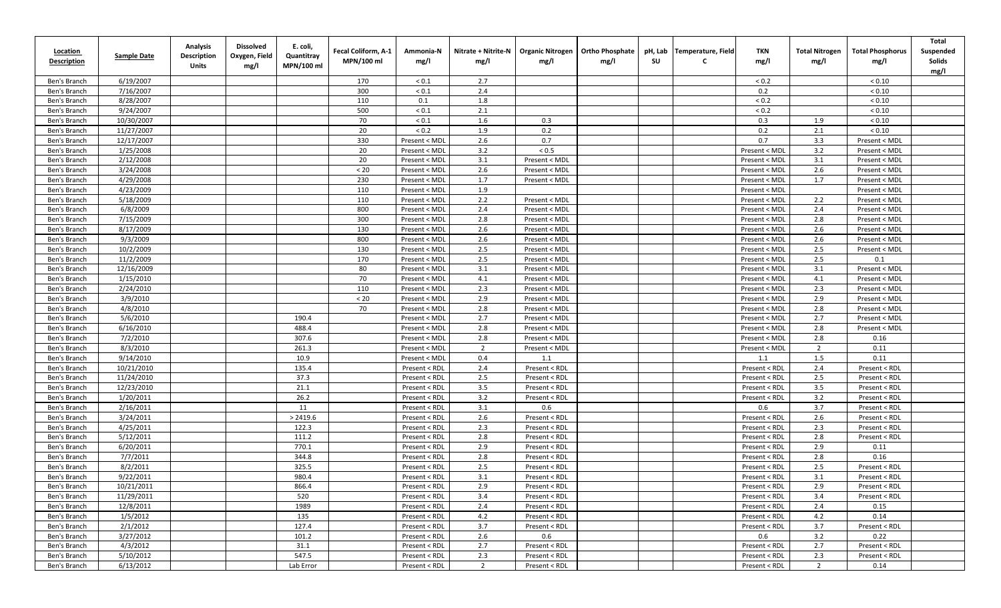| <b>Location</b><br><b>Description</b> | <b>Sample Date</b> | <b>Analysis</b><br><b>Description</b><br>Units | <b>Dissolved</b><br>Oxygen, Field<br>mg/l | E. coli,<br>Quantitray<br>MPN/100 ml | Fecal Coliform, A-1<br>MPN/100 ml | Ammonia-N<br>mg/l | Nitrate + Nitrite-N<br>mg/l | <b>Organic Nitrogen</b><br>mg/l | <b>Ortho Phosphate</b><br>mg/l | pH, Lab<br>SU | Temperature, Field<br>C | TKN<br>mg/l   | <b>Total Nitrogen</b><br>mg/l | <b>Total Phosphorus</b><br>mg/l | Total<br>Suspended<br>Solids<br>mg/l |
|---------------------------------------|--------------------|------------------------------------------------|-------------------------------------------|--------------------------------------|-----------------------------------|-------------------|-----------------------------|---------------------------------|--------------------------------|---------------|-------------------------|---------------|-------------------------------|---------------------------------|--------------------------------------|
| Ben's Branch                          | 6/19/2007          |                                                |                                           |                                      | 170                               | ${}_{0.1}$        | 2.7                         |                                 |                                |               |                         | < 0.2         |                               | ${}< 0.10$                      |                                      |
| Ben's Branch                          | 7/16/2007          |                                                |                                           |                                      | 300                               | ${}_{0.1}$        | 2.4                         |                                 |                                |               |                         | 0.2           |                               | ${}_{< 0.10}$                   |                                      |
| Ben's Branch                          | 8/28/2007          |                                                |                                           |                                      | 110                               | 0.1               | 1.8                         |                                 |                                |               |                         | ${}_{0.2}$    |                               | ${}_{< 0.10}$                   |                                      |
| Ben's Branch                          | 9/24/2007          |                                                |                                           |                                      | 500                               | ${}_{0.1}$        | 2.1                         |                                 |                                |               |                         | < 0.2         |                               | ${}_{< 0.10}$                   |                                      |
| Ben's Branch                          | 10/30/2007         |                                                |                                           |                                      | 70                                | ${}_{0.1}$        | 1.6                         | 0.3                             |                                |               |                         | 0.3           | 1.9                           | ${}_{< 0.10}$                   |                                      |
| Ben's Branch                          | 11/27/2007         |                                                |                                           |                                      | 20                                | ${}_{0.2}$        | 1.9                         | 0.2                             |                                |               |                         | 0.2           | 2.1                           | ${}_{< 0.10}$                   |                                      |
| Ben's Branch                          | 12/17/2007         |                                                |                                           |                                      | 330                               | Present < MDI     | 2.6                         | 0.7                             |                                |               |                         | 0.7           | 3.3                           | Present < MDL                   |                                      |
| Ben's Branch                          | 1/25/2008          |                                                |                                           |                                      | 20                                | Present < MDL     | 3.2                         | $< 0.5$                         |                                |               |                         | Present < MDL | 3.2                           | Present < MDL                   |                                      |
| Ben's Branch                          | 2/12/2008          |                                                |                                           |                                      | 20                                | Present < MDL     | 3.1                         | Present < MDL                   |                                |               |                         | Present < MDL | 3.1                           | Present < MDL                   |                                      |
| Ben's Branch                          | 3/24/2008          |                                                |                                           |                                      | $< 20$                            | Present < MDI     | 2.6                         | Present < MDL                   |                                |               |                         | Present < MDL | 2.6                           | Present < MDL                   |                                      |
| Ben's Branch                          | 4/29/2008          |                                                |                                           |                                      | 230                               | Present < MDL     | 1.7                         | Present < MDL                   |                                |               |                         | Present < MDL | 1.7                           | Present < MDL                   |                                      |
| Ben's Branch                          | 4/23/2009          |                                                |                                           |                                      | 110                               | Present < MDI     | 1.9                         |                                 |                                |               |                         | Present < MDL |                               | Present < MDL                   |                                      |
| Ben's Branch                          | 5/18/2009          |                                                |                                           |                                      | 110                               | Present < MDI     | 2.2                         | Present < MDL                   |                                |               |                         | Present < MDL | 2.2                           | Present < MDL                   |                                      |
| Ben's Branch                          | 6/8/2009           |                                                |                                           |                                      | 800                               | Present < MDL     | 2.4                         | Present < MDL                   |                                |               |                         | Present < MDL | 2.4                           | Present < MDL                   |                                      |
| Ben's Branch                          | 7/15/2009          |                                                |                                           |                                      | 300                               | Present < MDL     | 2.8                         | Present < MDL                   |                                |               |                         | Present < MDL | 2.8                           | Present < MDL                   |                                      |
| Ben's Branch                          | 8/17/2009          |                                                |                                           |                                      | 130                               | Present < MDL     | 2.6                         | Present < MDL                   |                                |               |                         | Present < MDL | 2.6                           | Present < MDL                   |                                      |
| Ben's Branch                          | 9/3/2009           |                                                |                                           |                                      | 800                               | Present < MDL     | 2.6                         | Present < MDL                   |                                |               |                         | Present < MDL | 2.6                           | Present < MDL                   |                                      |
| Ben's Branch                          | 10/2/2009          |                                                |                                           |                                      | 130                               | Present < MDL     | 2.5                         | Present < MDL                   |                                |               |                         | Present < MDL | 2.5                           | Present < MDL                   |                                      |
| Ben's Branch                          | 11/2/2009          |                                                |                                           |                                      | 170                               | Present < MDI     | 2.5                         | Present < MDL                   |                                |               |                         | Present < MDL | 2.5                           | 0.1                             |                                      |
| Ben's Branch                          | 12/16/2009         |                                                |                                           |                                      | 80                                | Present < MDL     | 3.1                         | Present < MDL                   |                                |               |                         | Present < MDL | 3.1                           | Present < MDL                   |                                      |
| Ben's Branch                          | 1/15/2010          |                                                |                                           |                                      | 70                                | Present < MDL     | 4.1                         | Present < MDL                   |                                |               |                         | Present < MDL | 4.1                           | Present < MDL                   |                                      |
| Ben's Branch                          | 2/24/2010          |                                                |                                           |                                      | 110                               | Present < MDL     | 2.3                         | Present < MDL                   |                                |               |                         | Present < MDL | 2.3                           | Present < MDL                   |                                      |
| Ben's Branch                          | 3/9/2010           |                                                |                                           |                                      | < 20                              | Present < MDL     | 2.9                         | Present < MDL                   |                                |               |                         | Present < MDL | 2.9                           | Present < MDL                   |                                      |
| Ben's Branch                          | 4/8/2010           |                                                |                                           |                                      | 70                                | Present < MDL     | 2.8                         | Present < MDL                   |                                |               |                         | Present < MDL | 2.8                           | Present < MDL                   |                                      |
| Ben's Branch                          | 5/6/2010           |                                                |                                           | 190.4                                |                                   | Present < MDL     | 2.7                         | Present < MDL                   |                                |               |                         | Present < MDL | 2.7                           | Present < MDL                   |                                      |
| Ben's Branch                          | 6/16/2010          |                                                |                                           | 488.4                                |                                   | Present < MDL     | 2.8                         | Present < MDL                   |                                |               |                         | Present < MDL | 2.8                           | Present < MDL                   |                                      |
| Ben's Branch                          | 7/2/2010           |                                                |                                           | 307.6                                |                                   | Present < MDL     | 2.8                         | Present < MDL                   |                                |               |                         | Present < MDL | 2.8                           | 0.16                            |                                      |
| Ben's Branch                          | 8/3/2010           |                                                |                                           | 261.3                                |                                   | Present < MDL     | $\overline{2}$              | Present < MDL                   |                                |               |                         | Present < MDL | 2                             | 0.11                            |                                      |
| Ben's Branch                          | 9/14/2010          |                                                |                                           | 10.9                                 |                                   | Present < MDL     | 0.4                         | 1.1                             |                                |               |                         | 1.1           | 1.5                           | 0.11                            |                                      |
| Ben's Branch                          | 10/21/2010         |                                                |                                           | 135.4                                |                                   | Present < RDL     | 2.4                         | Present < RDL                   |                                |               |                         | Present < RDL | 2.4                           | Present < RDL                   |                                      |
| Ben's Branch                          | 11/24/2010         |                                                |                                           | 37.3                                 |                                   | Present < RDL     | 2.5                         | Present < RDL                   |                                |               |                         | Present < RDL | 2.5                           | Present < RDL                   |                                      |
| Ben's Branch                          | 12/23/2010         |                                                |                                           | 21.1                                 |                                   | Present < RDL     | 3.5                         | Present < RDL                   |                                |               |                         | Present < RDL | 3.5                           | Present < RDL                   |                                      |
| Ben's Branch                          | 1/20/2011          |                                                |                                           | 26.2                                 |                                   | Present < RDL     | 3.2                         | Present < RDL                   |                                |               |                         | Present < RDL | 3.2                           | Present < RDL                   |                                      |
| Ben's Branch                          | 2/16/2011          |                                                |                                           | 11                                   |                                   | Present < RDL     | 3.1                         | 0.6                             |                                |               |                         | 0.6           | 3.7                           | Present < RDL                   |                                      |
| Ben's Branch                          | 3/24/2011          |                                                |                                           | > 2419.6                             |                                   | Present < RDL     | 2.6                         | Present < RDL                   |                                |               |                         | Present < RDL | 2.6                           | Present < RDL                   |                                      |
| Ben's Branch                          | 4/25/2011          |                                                |                                           | 122.3                                |                                   | Present < RDL     | 2.3                         | Present < RDL                   |                                |               |                         | Present < RDL | 2.3                           | Present < RDL                   |                                      |
| Ben's Branch                          | 5/12/2011          |                                                |                                           | 111.2                                |                                   | Present < RDL     | 2.8                         | Present < RDL                   |                                |               |                         | Present < RDL | 2.8                           | Present < RDL                   |                                      |
| Ben's Branch                          | 6/20/2011          |                                                |                                           | 770.1                                |                                   | Present < RDL     | 2.9                         | Present < RDL                   |                                |               |                         | Present < RDL | 2.9                           | 0.11                            |                                      |
| Ben's Branch                          | 7/7/2011           |                                                |                                           | 344.8                                |                                   | Present < RDL     | 2.8                         | Present < RDL                   |                                |               |                         | Present < RDL | 2.8                           | 0.16                            |                                      |
| Ben's Branch                          | 8/2/2011           |                                                |                                           | 325.5                                |                                   | Present < RDL     | 2.5                         | Present < RDL                   |                                |               |                         | Present < RDL | 2.5                           | Present < RDL                   |                                      |
| Ben's Branch                          | 9/22/2011          |                                                |                                           | 980.4                                |                                   | Present < RDL     | 3.1                         | Present < RDL                   |                                |               |                         | Present < RDL | 3.1                           | Present < RDL                   |                                      |
| Ben's Branch                          | 10/21/2011         |                                                |                                           | 866.4                                |                                   | Present < RDL     | 2.9                         | Present < RDL                   |                                |               |                         | Present < RDL | 2.9                           | Present < RDL                   |                                      |
| Ben's Branch                          | 11/29/2011         |                                                |                                           | 520                                  |                                   | Present < RDL     | 3.4                         | Present < RDL                   |                                |               |                         | Present < RDL | 3.4                           | Present < RDL                   |                                      |
| Ben's Branch                          | 12/8/2011          |                                                |                                           | 1989                                 |                                   | Present < RDL     | 2.4                         | Present < RDL                   |                                |               |                         | Present < RDL | 2.4                           | 0.15                            |                                      |
| Ben's Branch                          | 1/5/2012           |                                                |                                           | 135                                  |                                   | Present < RDL     | 4.2                         | Present < RDL                   |                                |               |                         | Present < RDL | 4.2                           | 0.14                            |                                      |
| Ben's Branch                          | 2/1/2012           |                                                |                                           | 127.4                                |                                   | Present < RDL     | 3.7                         | Present < RDL                   |                                |               |                         | Present < RDL | 3.7                           | Present < RDL                   |                                      |
| Ben's Branch                          | 3/27/2012          |                                                |                                           | 101.2                                |                                   | Present < RDL     | 2.6                         | 0.6                             |                                |               |                         | 0.6           | 3.2                           | 0.22                            |                                      |
| Ben's Branch                          | 4/3/2012           |                                                |                                           | 31.1                                 |                                   | Present < RDL     | 2.7                         | Present < RDL                   |                                |               |                         | Present < RDL | 2.7                           | Present < RDL                   |                                      |
| Ben's Branch                          | 5/10/2012          |                                                |                                           | 547.5                                |                                   | Present < RDL     | 2.3                         | Present < RDL                   |                                |               |                         | Present < RDL | 2.3                           | Present < RDL                   |                                      |
| Ben's Branch                          | 6/13/2012          |                                                |                                           | Lab Error                            |                                   | Present < RDL     | $\overline{2}$              | Present < RDL                   |                                |               |                         | Present < RDL | $\overline{2}$                | 0.14                            |                                      |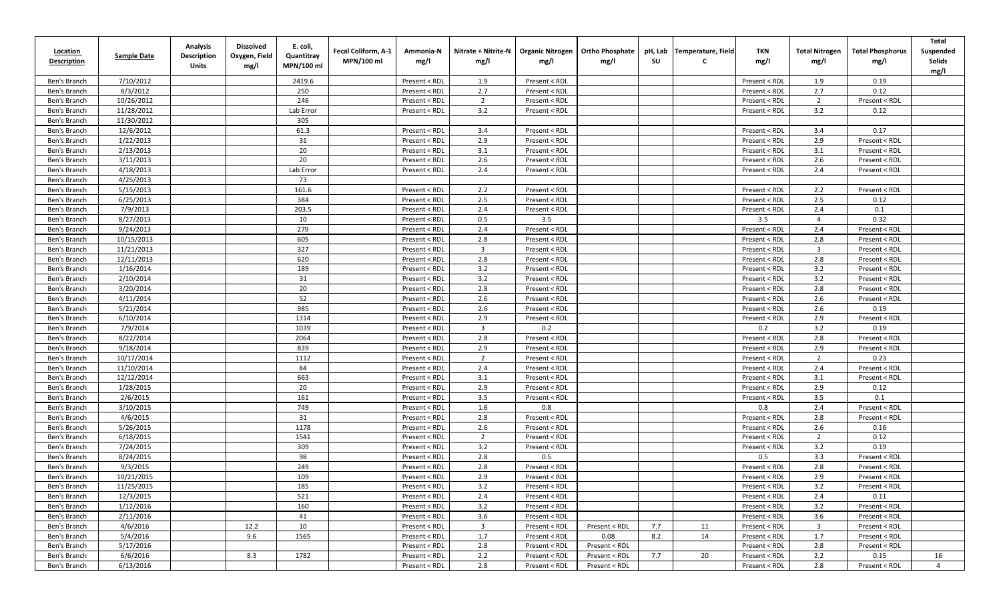| <b>Location</b><br><b>Description</b> | <b>Sample Date</b> | <b>Analysis</b><br><b>Description</b><br>Units | <b>Dissolved</b><br>Oxygen, Field<br>mg/l | E. coli,<br>Quantitray<br>MPN/100 ml | Fecal Coliform, A-1<br>MPN/100 ml | Ammonia-N<br>mg/l | Nitrate + Nitrite-N<br>mg/l | <b>Organic Nitrogen</b><br>mg/l | <b>Ortho Phosphate</b><br>mg/l | pH, Lab<br><b>SU</b> | Temperature, Field<br>C | <b>TKN</b><br>mg/l | <b>Total Nitrogen</b><br>mg/l | <b>Total Phosphorus</b><br>mg/l | <b>Total</b><br>Suspended<br>Solids<br>mg/l |
|---------------------------------------|--------------------|------------------------------------------------|-------------------------------------------|--------------------------------------|-----------------------------------|-------------------|-----------------------------|---------------------------------|--------------------------------|----------------------|-------------------------|--------------------|-------------------------------|---------------------------------|---------------------------------------------|
| Ben's Branch                          | 7/10/2012          |                                                |                                           | 2419.6                               |                                   | Present < RDL     | 1.9                         | Present < RDL                   |                                |                      |                         | Present < RDL      | 1.9                           | 0.19                            |                                             |
| Ben's Branch                          | 8/3/2012           |                                                |                                           | 250                                  |                                   | Present < RDL     | 2.7                         | Present < RDL                   |                                |                      |                         | Present < RDL      | 2.7                           | 0.12                            |                                             |
| Ben's Branch                          | 10/26/2012         |                                                |                                           | 246                                  |                                   | Present < RDL     | $\overline{2}$              | Present < RDL                   |                                |                      |                         | Present < RDL      | 2                             | Present < RDL                   |                                             |
| Ben's Branch                          | 11/28/2012         |                                                |                                           | Lab Error                            |                                   | Present < RDL     | 3.2                         | Present < RDL                   |                                |                      |                         | Present < RDL      | 3.2                           | 0.12                            |                                             |
| Ben's Branch                          | 11/30/2012         |                                                |                                           | 305                                  |                                   |                   |                             |                                 |                                |                      |                         |                    |                               |                                 |                                             |
| Ben's Branch                          | 12/6/2012          |                                                |                                           | 61.3                                 |                                   | Present < RDL     | 3.4                         | Present < RDL                   |                                |                      |                         | Present < RDL      | 3.4                           | 0.17                            |                                             |
| Ben's Branch                          | 1/22/2013          |                                                |                                           | 31                                   |                                   | Present < RDL     | 2.9                         | Present < RDL                   |                                |                      |                         | Present < RDL      | 2.9                           | Present < RDL                   |                                             |
| Ben's Branch                          | 2/13/2013          |                                                |                                           | 20                                   |                                   | Present < RDI     | 3.1                         | Present < RDL                   |                                |                      |                         | Present < RDL      | 3.1                           | Present < RDL                   |                                             |
| Ben's Branch                          | 3/11/2013          |                                                |                                           | 20                                   |                                   | Present < RDL     | 2.6                         | Present < RDL                   |                                |                      |                         | Present < RDL      | 2.6                           | Present < RDL                   |                                             |
| Ben's Branch                          | 4/18/2013          |                                                |                                           | Lab Error                            |                                   | Present < RDL     | 2.4                         | Present < RDL                   |                                |                      |                         | Present < RDL      | 2.4                           | Present < RDL                   |                                             |
| Ben's Branch                          | 4/25/2013          |                                                |                                           | 73                                   |                                   |                   |                             |                                 |                                |                      |                         |                    |                               |                                 |                                             |
| Ben's Branch                          | 5/15/2013          |                                                |                                           | 161.6                                |                                   | Present < RDI     | 2.2                         | Present < RDL                   |                                |                      |                         | Present < RDL      | 2.2                           | Present < RDL                   |                                             |
| Ben's Branch                          | 6/25/2013          |                                                |                                           | 384                                  |                                   | Present < RDI     | 2.5                         | Present < RDL                   |                                |                      |                         | Present < RDL      | 2.5                           | 0.12                            |                                             |
| Ben's Branch                          | 7/9/2013           |                                                |                                           | 203.5                                |                                   | Present < RDL     | 2.4                         | Present < RDL                   |                                |                      |                         | Present < RDL      | 2.4                           | 0.1                             |                                             |
| Ben's Branch                          | 8/27/2013          |                                                |                                           | 10                                   |                                   | Present < RDL     | 0.5                         | 3.5                             |                                |                      |                         | 3.5                | $\overline{4}$                | 0.32                            |                                             |
| Ben's Branch                          | 9/24/2013          |                                                |                                           | 279                                  |                                   | Present < RDL     | 2.4                         | Present < RDL                   |                                |                      |                         | Present < RDL      | 2.4                           | Present < RDL                   |                                             |
| Ben's Branch                          | 10/15/2013         |                                                |                                           | 605                                  |                                   | Present < RDL     | 2.8                         | Present < RDL                   |                                |                      |                         | Present < RDL      | 2.8                           | Present < RDL                   |                                             |
| Ben's Branch                          | 11/21/2013         |                                                |                                           | 327                                  |                                   | Present < RDL     | $\overline{\mathbf{3}}$     | Present < RDL                   |                                |                      |                         | Present < RDL      | 3                             | Present < RDL                   |                                             |
| Ben's Branch                          | 12/11/2013         |                                                |                                           | 620                                  |                                   | Present < RDL     | 2.8                         | Present < RDL                   |                                |                      |                         | Present < RDL      | 2.8                           | Present < RDL                   |                                             |
| Ben's Branch                          | 1/16/2014          |                                                |                                           | 189                                  |                                   | Present < RDL     | 3.2                         | Present < RDL                   |                                |                      |                         | Present < RDL      | 3.2                           | Present < RDL                   |                                             |
| Ben's Branch                          | 2/10/2014          |                                                |                                           | 31                                   |                                   | Present < RDL     | 3.2                         | Present < RDL                   |                                |                      |                         | Present < RDL      | 3.2                           | Present < RDL                   |                                             |
| Ben's Branch                          | 3/20/2014          |                                                |                                           | 20                                   |                                   | Present < RDL     | 2.8                         | Present < RDL                   |                                |                      |                         | Present < RDL      | 2.8                           | Present < RDL                   |                                             |
| Ben's Branch                          | 4/11/2014          |                                                |                                           | 52                                   |                                   | Present < RDL     | 2.6                         | Present < RDL                   |                                |                      |                         | Present < RDL      | 2.6                           | Present < RDL                   |                                             |
| Ben's Branch                          | 5/21/2014          |                                                |                                           | 985                                  |                                   | Present < RDL     | 2.6                         | Present < RDL                   |                                |                      |                         | Present < RDL      | 2.6                           | 0.19                            |                                             |
| Ben's Branch                          | 6/10/2014          |                                                |                                           | 1314                                 |                                   | Present < RDL     | 2.9                         | Present < RDL                   |                                |                      |                         | Present < RDL      | 2.9                           | Present < RDL                   |                                             |
| Ben's Branch                          | 7/9/2014           |                                                |                                           | 1039                                 |                                   | Present < RDL     | $\overline{3}$              | 0.2                             |                                |                      |                         | 0.2                | 3.2                           | 0.19                            |                                             |
| Ben's Branch                          | 8/22/2014          |                                                |                                           | 2064                                 |                                   | Present < RDL     | 2.8                         | Present < RDL                   |                                |                      |                         | Present < RDL      | 2.8                           | Present < RDL                   |                                             |
| Ben's Branch                          | 9/18/2014          |                                                |                                           | 839                                  |                                   | Present < RDL     | 2.9                         | Present < RDL                   |                                |                      |                         | Present < RDL      | 2.9                           | Present < RDL                   |                                             |
| Ben's Branch                          | 10/17/2014         |                                                |                                           | 1112                                 |                                   | Present < RDL     | $\overline{2}$              | Present < RDL                   |                                |                      |                         | Present < RDL      | $\overline{2}$                | 0.23                            |                                             |
| Ben's Branch                          | 11/10/2014         |                                                |                                           | 84                                   |                                   | Present < RDL     | 2.4                         | Present < RDL                   |                                |                      |                         | Present < RDL      | 2.4                           | Present < RDL                   |                                             |
| Ben's Branch                          | 12/12/2014         |                                                |                                           | 663                                  |                                   | Present < RDL     | 3.1                         | Present < RDL                   |                                |                      |                         | Present < RDL      | 3.1                           | Present < RDL                   |                                             |
| Ben's Branch                          | 1/28/2015          |                                                |                                           | 20                                   |                                   | Present < RDL     | 2.9                         | Present < RDL                   |                                |                      |                         | Present < RDL      | 2.9                           | 0.12                            |                                             |
| Ben's Branch                          | 2/6/2015           |                                                |                                           | 161                                  |                                   | Present < RDL     | 3.5                         | Present < RDL                   |                                |                      |                         | Present < RDL      | 3.5                           | 0.1                             |                                             |
| Ben's Branch                          | 3/10/2015          |                                                |                                           | 749                                  |                                   | Present < RDL     | 1.6                         | 0.8                             |                                |                      |                         | 0.8                | 2.4                           | Present < RDL                   |                                             |
| Ben's Branch                          | 4/6/2015           |                                                |                                           | 31                                   |                                   | Present < RDL     | 2.8                         | Present < RDL                   |                                |                      |                         | Present < RDL      | 2.8                           | Present < RDL                   |                                             |
| Ben's Branch                          | 5/26/2015          |                                                |                                           | 1178                                 |                                   | Present < RDL     | 2.6                         | Present < RDL                   |                                |                      |                         | Present < RDL      | 2.6                           | 0.16                            |                                             |
| Ben's Branch                          | 6/18/2015          |                                                |                                           | 1541                                 |                                   | Present < RDI     | $\overline{2}$              | Present < RDL                   |                                |                      |                         | Present < RDL      | $\overline{2}$                | 0.12                            |                                             |
| Ben's Branch                          | 7/24/2015          |                                                |                                           | 309                                  |                                   | Present < RDL     | 3.2                         | Present < RDL                   |                                |                      |                         | Present < RDL      | 3.2                           | 0.19                            |                                             |
| Ben's Branch                          | 8/24/2015          |                                                |                                           | 98                                   |                                   | Present < RDL     | 2.8                         | 0.5                             |                                |                      |                         | 0.5                | 3.3                           | Present < RDL                   |                                             |
| Ben's Branch                          | 9/3/2015           |                                                |                                           | 249                                  |                                   | Present < RDL     | 2.8                         | Present < RDL                   |                                |                      |                         | Present < RDL      | 2.8                           | Present < RDL                   |                                             |
| Ben's Branch                          | 10/21/2015         |                                                |                                           | 109                                  |                                   | Present < RDL     | 2.9                         | Present < RDL                   |                                |                      |                         | Present < RDL      | 2.9                           | Present < RDL                   |                                             |
| Ben's Branch                          | 11/25/2015         |                                                |                                           | 185                                  |                                   | Present < RDL     | 3.2                         | Present < RDL                   |                                |                      |                         | Present < RDL      | 3.2                           | Present < RDL                   |                                             |
| Ben's Branch                          | 12/3/2015          |                                                |                                           | 521                                  |                                   | Present < RDL     | 2.4                         | Present < RDL                   |                                |                      |                         | Present < RDL      | 2.4                           | 0.11                            |                                             |
| Ben's Branch                          | 1/12/2016          |                                                |                                           | 160                                  |                                   | Present < RDL     | 3.2                         | Present < RDL                   |                                |                      |                         | Present < RDL      | 3.2                           | Present < RDL                   |                                             |
| Ben's Branch                          | 2/11/2016          |                                                |                                           | 41                                   |                                   | Present < RDL     | 3.6                         | Present < RDL                   |                                |                      |                         | Present < RDL      | 3.6                           | Present < RDL                   |                                             |
| Ben's Branch                          | 4/6/2016           |                                                | 12.2                                      | 10                                   |                                   | Present < RDL     | $\overline{3}$              | Present < RDL                   | Present < RDL                  | 7.7                  | 11                      | Present < RDL      | $\overline{3}$                | Present < RDL                   |                                             |
| Ben's Branch                          | 5/4/2016           |                                                | 9.6                                       | 1565                                 |                                   | Present < RDL     | 1.7                         | Present < RDL                   | 0.08                           | 8.2                  | 14                      | Present < RDL      | 1.7                           | Present < RDL                   |                                             |
| Ben's Branch                          | 5/17/2016          |                                                |                                           |                                      |                                   | Present < RDL     | 2.8                         | Present < RDL                   | Present < RDL                  |                      |                         | Present < RDL      | 2.8                           | Present < RDL                   |                                             |
| Ben's Branch                          | 6/6/2016           |                                                | 8.3                                       | 1782                                 |                                   | Present < RDL     | 2.2                         | Present < RDL                   | Present < RDL                  | 7.7                  | 20                      | Present < RDL      | 2.2                           | 0.15                            | 16                                          |
| Ben's Branch                          | 6/13/2016          |                                                |                                           |                                      |                                   | Present < RDL     | 2.8                         | Present < RDL                   | Present < RDL                  |                      |                         | Present < RDL      | 2.8                           | Present < RDL                   | $\overline{4}$                              |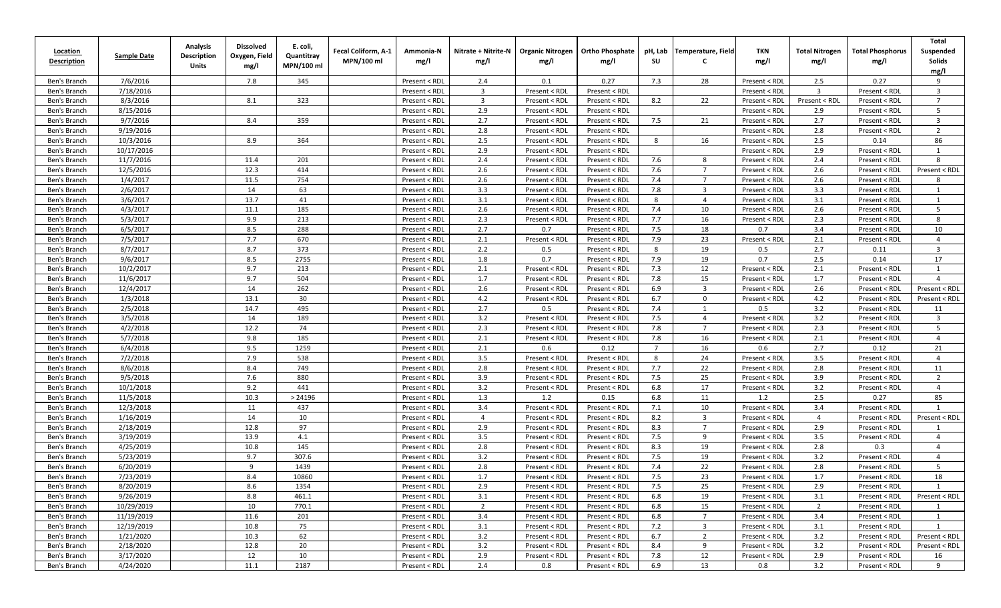| <b>Location</b><br><b>Description</b> | <b>Sample Date</b> | <b>Analysis</b><br><b>Description</b><br>Units | <b>Dissolved</b><br>Oxygen, Field<br>mg/l | E. coli,<br>Quantitray<br>MPN/100 ml | Fecal Coliform, A-1<br>MPN/100 ml | Ammonia-N<br>mg/l | Nitrate + Nitrite-N<br>mg/l | <b>Organic Nitrogen</b><br>mg/l | <b>Ortho Phosphate</b><br>mg/l | pH, Lab<br>su  | Temperature, Field      | <b>TKN</b><br>mg/l | <b>Total Nitrogen</b><br>mg/l | <b>Total Phosphorus</b><br>mg/l | <b>Total</b><br>Suspended<br>Solids<br>mg/l |
|---------------------------------------|--------------------|------------------------------------------------|-------------------------------------------|--------------------------------------|-----------------------------------|-------------------|-----------------------------|---------------------------------|--------------------------------|----------------|-------------------------|--------------------|-------------------------------|---------------------------------|---------------------------------------------|
| Ben's Branch                          | 7/6/2016           |                                                | 7.8                                       | 345                                  |                                   | Present < RDL     | 2.4                         | 0.1                             | 0.27                           | 7.3            | 28                      | Present < RDL      | 2.5                           | 0.27                            | 9                                           |
| Ben's Branch                          | 7/18/2016          |                                                |                                           |                                      |                                   | Present < RDI     | $\overline{3}$              | Present < RDL                   | Present < RDL                  |                |                         | Present < RDL      | 3                             | Present < RDL                   | $\overline{\mathbf{3}}$                     |
| Ben's Branch                          | 8/3/2016           |                                                | 8.1                                       | 323                                  |                                   | Present < RDI     | $\overline{3}$              | Present < RDL                   | Present < RDL                  | 8.2            | 22                      | Present < RDL      | Present < RDL                 | Present < RDL                   | $\overline{7}$                              |
| Ben's Branch                          | 8/15/2016          |                                                |                                           |                                      |                                   | Present < RDL     | 2.9                         | Present < RDL                   | Present < RDL                  |                |                         | Present < RDL      | 2.9                           | Present < RDL                   | 5                                           |
| Ben's Branch                          | 9/7/2016           |                                                | 8.4                                       | 359                                  |                                   | Present < RDI     | 2.7                         | Present < RDL                   | Present < RDL                  | 7.5            | 21                      | Present < RDL      | 2.7                           | Present < RDL                   | $\overline{\mathbf{3}}$                     |
| Ben's Branch                          | 9/19/2016          |                                                |                                           |                                      |                                   | Present < RDL     | 2.8                         | Present < RDL                   | Present < RDL                  |                |                         | Present < RDL      | 2.8                           | Present < RDL                   | $\overline{2}$                              |
| Ben's Branch                          | 10/3/2016          |                                                | 8.9                                       | 364                                  |                                   | Present < RDI     | 2.5                         | Present < RDL                   | Present < RDL                  | 8              | 16                      | Present < RDL      | 2.5                           | 0.14                            | 86                                          |
| Ben's Branch                          | 10/17/2016         |                                                |                                           |                                      |                                   | Present < RDL     | 2.9                         | Present < RDL                   | Present < RDL                  |                |                         | Present < RDL      | 2.9                           | Present < RDL                   | $\mathbf{1}$                                |
| Ben's Branch                          | 11/7/2016          |                                                | 11.4                                      | 201                                  |                                   | Present < RDL     | 2.4                         | Present < RDL                   | Present < RDL                  | 7.6            | 8                       | Present < RDL      | 2.4                           | Present < RDL                   | 8                                           |
| Ben's Branch                          | 12/5/2016          |                                                | 12.3                                      | 414                                  |                                   | Present < RDL     | 2.6                         | Present < RDL                   | Present < RDL                  | 7.6            | $\overline{7}$          | Present < RDL      | 2.6                           | Present < RDL                   | Present < RDL                               |
| Ben's Branch                          | 1/4/2017           |                                                | 11.5                                      | 754                                  |                                   | Present < RDL     | 2.6                         | Present < RDL                   | Present < RDL                  | 7.4            | $\overline{7}$          | Present < RDL      | 2.6                           | Present < RDL                   | 8                                           |
| Ben's Branch                          | 2/6/2017           |                                                | 14                                        | 63                                   |                                   | Present < RDL     | 3.3                         | Present < RDL                   | Present < RDL                  | 7.8            | 3                       | Present < RDL      | 3.3                           | Present < RDL                   | - 1                                         |
| Ben's Branch                          | 3/6/2017           |                                                | 13.7                                      | 41                                   |                                   | Present < RDI     | 3.1                         | Present < RDL                   | Present < RDL                  | 8              | $\overline{4}$          | Present < RDL      | 3.1                           | Present < RDL                   | 1                                           |
| Ben's Branch                          | 4/3/2017           |                                                | 11.1                                      | 185                                  |                                   | Present < RDL     | 2.6                         | Present < RDL                   | Present < RDL                  | 7.4            | 10                      | Present < RDL      | 2.6                           | Present < RDL                   | 5                                           |
| Ben's Branch                          | 5/3/2017           |                                                | 9.9                                       | 213                                  |                                   | Present < RDL     | 2.3                         | Present < RDL                   | Present < RDL                  | 7.7            | 16                      | Present < RDL      | 2.3                           | Present < RDL                   | 8                                           |
| Ben's Branch                          | 6/5/2017           |                                                | 8.5                                       | 288                                  |                                   | Present < RDI     | 2.7                         | 0.7                             | Present < RDL                  | 7.5            | 18                      | 0.7                | 3.4                           | Present < RDL                   | 10                                          |
| Ben's Branch                          | 7/5/2017           |                                                | 7.7                                       | 670                                  |                                   | Present < RDL     | 2.1                         | Present < RDL                   | Present < RDL                  | 7.9            | 23                      | Present < RDL      | 2.1                           | Present < RDL                   | $\overline{4}$                              |
| Ben's Branch                          | 8/7/2017           |                                                | 8.7                                       | 373                                  |                                   | Present < RDL     | 2.2                         | 0.5                             | Present < RDL                  | 8              | 19                      | 0.5                | 2.7                           | 0.11                            | $\overline{3}$                              |
| Ben's Branch                          | 9/6/2017           |                                                | 8.5                                       | 2755                                 |                                   | Present < RDL     | 1.8                         | 0.7                             | Present < RDL                  | 7.9            | 19                      | 0.7                | 2.5                           | 0.14                            | 17                                          |
| Ben's Branch                          | 10/2/2017          |                                                | 9.7                                       | 213                                  |                                   | Present < RDL     | 2.1                         | Present < RDL                   | Present < RDL                  | 7.3            | 12                      | Present < RDL      | 2.1                           | Present < RDL                   | 1                                           |
| Ben's Branch                          | 11/6/2017          |                                                | 9.7                                       | 504                                  |                                   | Present < RDL     | 1.7                         | Present < RDL                   | Present < RDL                  | 7.8            | 15                      | Present < RDL      | 1.7                           | Present < RDL                   | $\overline{4}$                              |
| Ben's Branch                          | 12/4/2017          |                                                | 14                                        | 262                                  |                                   | Present < RDI     | 2.6                         | Present < RDL                   | Present < RDL                  | 6.9            | $\overline{\mathbf{3}}$ | Present < RDL      | 2.6                           | Present < RDL                   | Present < RDL                               |
| Ben's Branch                          | 1/3/2018           |                                                | 13.1                                      | 30                                   |                                   | Present < RDL     | 4.2                         | Present < RDL                   | Present < RDL                  | 6.7            | $\mathbf 0$             | Present < RDL      | 4.2                           | Present < RDL                   | Present < RDL                               |
| Ben's Branch                          | 2/5/2018           |                                                | 14.7                                      | 495                                  |                                   | Present < RDL     | 2.7                         | 0.5                             | Present < RDL                  | 7.4            | $\overline{1}$          | 0.5                | 3.2                           | Present < RDL                   | 11                                          |
| Ben's Branch                          | 3/5/2018           |                                                | 14                                        | 189                                  |                                   | Present < RDL     | 3.2                         | Present < RDL                   | Present < RDL                  | 7.5            | $\overline{4}$          | Present < RDL      | 3.2                           | Present < RDL                   | $\overline{3}$                              |
| Ben's Branch                          | 4/2/2018           |                                                | 12.2                                      | 74                                   |                                   | Present < RDL     | 2.3                         | Present < RDL                   | Present < RDL                  | 7.8            | $\overline{7}$          | Present < RDL      | 2.3                           | Present < RDL                   | 5                                           |
| Ben's Branch                          | 5/7/2018           |                                                | 9.8                                       | 185                                  |                                   | Present < RDL     | 2.1                         | Present < RDL                   | Present < RDL                  | 7.8            | 16                      | Present < RDL      | 2.1                           | Present < RDL                   | $\overline{4}$                              |
| Ben's Branch                          | 6/4/2018           |                                                | 9.5                                       | 1259                                 |                                   | Present < RDL     | 2.1                         | 0.6                             | 0.12                           | $\overline{7}$ | 16                      | 0.6                | 2.7                           | 0.12                            | 21                                          |
| Ben's Branch                          | 7/2/2018           |                                                | 7.9                                       | 538                                  |                                   | Present < RDL     | 3.5                         | Present < RDL                   | Present < RDL                  | 8              | 24                      | Present < RDL      | 3.5                           | Present < RDL                   | $\overline{4}$                              |
| Ben's Branch                          | 8/6/2018           |                                                | 8.4                                       | 749                                  |                                   | Present < RDL     | 2.8                         | Present < RDL                   | Present < RDL                  | 7.7            | 22                      | Present < RDL      | 2.8                           | Present < RDL                   | 11                                          |
| Ben's Branch                          | 9/5/2018           |                                                | 7.6                                       | 880                                  |                                   | Present < RDL     | 3.9                         | Present < RDL                   | Present < RDL                  | 7.5            | 25                      | Present < RDL      | 3.9                           | Present < RDL                   | $\overline{2}$                              |
| Ben's Branch                          | 10/1/2018          |                                                | 9.2                                       | 441                                  |                                   | Present < RDL     | 3.2                         | Present < RDL                   | Present < RDL                  | 6.8            | 17                      | Present < RDL      | 3.2                           | Present < RDL                   | $\overline{4}$                              |
| Ben's Branch                          | 11/5/2018          |                                                | 10.3                                      | > 24196                              |                                   | Present < RDI     | 1.3                         | 1.2                             | 0.15                           | 6.8            | 11                      | 1.2                | 2.5                           | 0.27                            | 85                                          |
| Ben's Branch                          | 12/3/2018          |                                                | 11                                        | 437                                  |                                   | Present < RDI     | 3.4                         | Present < RDL                   | Present < RDL                  | 7.1            | 10                      | Present < RDL      | 3.4                           | Present < RDL                   | $\overline{1}$                              |
| Ben's Branch                          | 1/16/2019          |                                                | 14                                        | 10                                   |                                   | Present < RDL     | $\overline{4}$              | Present < RDL                   | Present < RDL                  | 8.2            | $\overline{\mathbf{3}}$ | Present < RDL      | $\overline{4}$                | Present < RDL                   | Present < RDL                               |
| Ben's Branch                          | 2/18/2019          |                                                | 12.8                                      | 97                                   |                                   | Present < RDL     | 2.9                         | Present < RDL                   | Present < RDL                  | 8.3            | $\overline{7}$          | Present < RDL      | 2.9                           | Present < RDL                   |                                             |
| Ben's Branch                          | 3/19/2019          |                                                | 13.9                                      | 4.1                                  |                                   | Present < RDL     | 3.5                         | Present < RDL                   | Present < RDL                  | 7.5            | 9                       | Present < RDL      | 3.5                           | Present < RDL                   | $\overline{4}$                              |
| Ben's Branch                          | 4/25/2019          |                                                | 10.8                                      | 145                                  |                                   | Present < RDL     | 2.8                         | Present < RDL                   | Present < RDL                  | 8.3            | 19                      | Present < RDL      | 2.8                           | 0.3                             | $\overline{4}$                              |
| Ben's Branch                          | 5/23/2019          |                                                | 9.7                                       | 307.6                                |                                   | Present < RDL     | 3.2                         | Present < RDL                   | Present < RDL                  | 7.5            | 19                      | Present < RDL      | 3.2                           | Present < RDL                   | $\overline{4}$                              |
| Ben's Branch                          | 6/20/2019          |                                                | 9                                         | 1439                                 |                                   | Present < RDL     | 2.8                         | Present < RDL                   | Present < RDL                  | 7.4            | 22                      | Present < RDL      | 2.8                           | Present < RDL                   | 5                                           |
| Ben's Branch                          | 7/23/2019          |                                                | 8.4                                       | 10860                                |                                   | Present < RDL     | 1.7                         | Present < RDL                   | Present < RDL                  | 7.5            | 23                      | Present < RDL      | 1.7                           | Present < RDL                   | 18                                          |
| Ben's Branch                          | 8/20/2019          |                                                | 8.6                                       | 1354                                 |                                   | Present < RDL     | 2.9                         | Present < RDL                   | Present < RDL                  | 7.5            | 25                      | Present < RDL      | 2.9                           | Present < RDL                   | 1                                           |
| Ben's Branch                          | 9/26/2019          |                                                | 8.8                                       | 461.1                                |                                   | Present < RDL     | 3.1                         | Present < RDL                   | Present < RDL                  | 6.8            | 19                      | Present < RDL      | 3.1                           | Present < RDL                   | Present < RDL                               |
| Ben's Branch                          | 10/29/2019         |                                                | 10                                        | 770.1                                |                                   | Present < RDL     | $\overline{2}$              | Present < RDL                   | Present < RDL                  | 6.8            | 15                      | Present < RDL      | $\overline{2}$                | Present < RDL                   | $\mathbf{1}$                                |
| Ben's Branch                          | 11/19/2019         |                                                | 11.6                                      | 201                                  |                                   | Present < RDL     | 3.4                         | Present < RDL                   | Present < RDL                  | 6.8            | $\overline{7}$          | Present < RDL      | 3.4                           | Present < RDL                   | 1                                           |
| Ben's Branch                          | 12/19/2019         |                                                | 10.8                                      | 75                                   |                                   | Present < RDL     | 3.1                         | Present < RDL                   | Present < RDL                  | 7.2            | $\overline{3}$          | Present < RDL      | 3.1                           | Present < RDL                   | 1                                           |
| Ben's Branch                          | 1/21/2020          |                                                | 10.3                                      | 62                                   |                                   | Present < RDL     | 3.2                         | Present < RDL                   | Present < RDL                  | 6.7            | 2                       | Present < RDL      | 3.2                           | Present < RDL                   | Present < RDL                               |
| Ben's Branch                          | 2/18/2020          |                                                | 12.8                                      | 20                                   |                                   | Present < RDL     | 3.2                         | Present < RDL                   | Present < RDL                  | 8.4            | 9                       | Present < RDL      | 3.2                           | Present < RDL                   | Present < RDL                               |
| Ben's Branch                          | 3/17/2020          |                                                | 12                                        | 10                                   |                                   | Present < RDL     | 2.9                         | Present < RDL                   | Present < RDL                  | 7.8            | 12                      | Present < RDL      | 2.9                           | Present < RDL                   | 16                                          |
| Ben's Branch                          | 4/24/2020          |                                                | 11.1                                      | 2187                                 |                                   | Present < RDL     | 2.4                         | 0.8                             | Present < RDL                  | 6.9            | 13                      | 0.8                | 3.2                           | Present < RDL                   | 9                                           |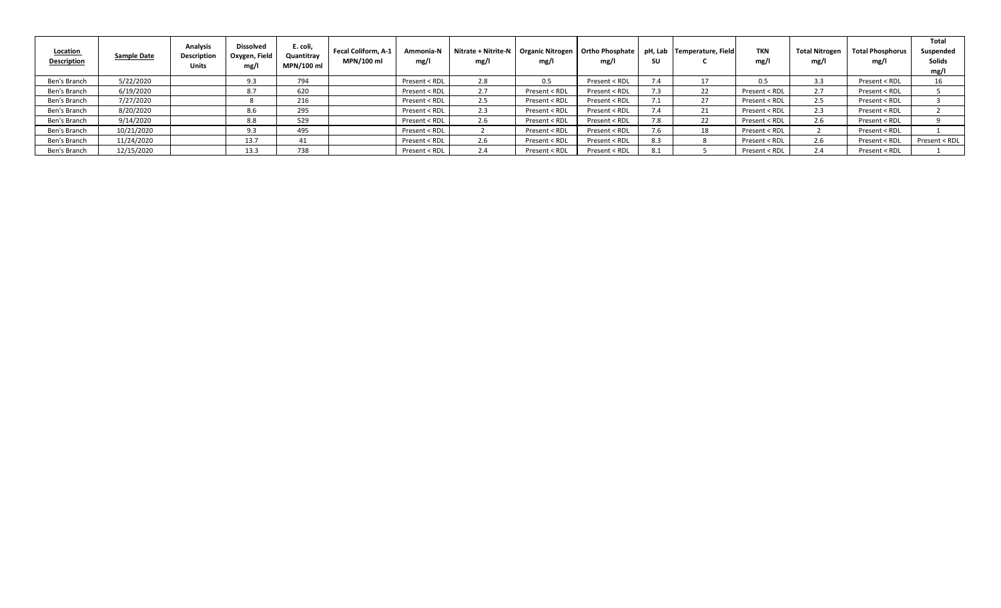| <b>Location</b><br><b>Description</b> | Sample Date | <b>Analysis</b><br><b>Description</b><br><b>Units</b> | <b>Dissolved</b><br>Oxygen, Field<br>mg/l | E. coli,<br>Quantitray<br>MPN/100 ml | Fecal Coliform, A-1<br>MPN/100 ml | Ammonia-N<br>mg/l | Nitrate + Nitrite-N   Organic Nitrogen   Ortho Phosphate  <br>mg/l | mg/l          | mg/l          | SU  | pH, Lab Temperature, Field | TKN<br>mg/l   | <b>Total Nitrogen</b><br>mg/l | <b>Total Phosphorus</b><br>mg/ | Total<br>Suspended<br>Solids<br>mg/l |
|---------------------------------------|-------------|-------------------------------------------------------|-------------------------------------------|--------------------------------------|-----------------------------------|-------------------|--------------------------------------------------------------------|---------------|---------------|-----|----------------------------|---------------|-------------------------------|--------------------------------|--------------------------------------|
| Ben's Branch                          | 5/22/2020   |                                                       | 9.3                                       | 794                                  |                                   | Present < RDL     | 2.8                                                                | 0.5           | Present < RDL |     |                            | 0.5           | 3.3                           | Present < RDL                  | 16                                   |
| Ben's Branch                          | 6/19/2020   |                                                       | 8.7                                       | 620                                  |                                   | Present < RDL     | 2.7                                                                | Present < RDL | Present < RDL |     |                            | Present < RDL |                               | Present < RDL                  |                                      |
| Ben's Branch                          | 7/27/2020   |                                                       |                                           | 216                                  |                                   | Present < RDL     | 2.5                                                                | Present < RDL | Present < RDL |     | 27                         | Present < RDL | 2.5                           | Present < RDL                  |                                      |
| Ben's Branch                          | 8/20/2020   |                                                       | 8.6                                       | 295                                  |                                   | Present < RDL     | 2.3                                                                | Present < RDI | Present < RDL |     | 21                         | Present < RDL | 2.3                           | Present < RDL                  |                                      |
| Ben's Branch                          | 9/14/2020   |                                                       | 8.8                                       | 529                                  |                                   | Present < RDL     | 2.6                                                                | Present < RDL | Present < RDL | 7.8 | 22                         | Present < RDL | 2.6                           | Present < RDL                  |                                      |
| Ben's Branch                          | 10/21/2020  |                                                       | 9.3                                       | 495                                  |                                   | Present < RDL     |                                                                    | Present < RDL | Present < RDL | 7.6 | 18                         | Present < RDL |                               | Present < RDL                  |                                      |
| Ben's Branch                          | 11/24/2020  |                                                       | 13.7                                      | 41                                   |                                   | Present < RDL     | 2.6                                                                | Present < RDL | Present < RDL | 8.3 |                            | Present < RDL | 2.6                           | Present < RDL                  | Present < RDL                        |
| Ben's Branch                          | 12/15/2020  |                                                       | 13.3                                      | 738                                  |                                   | Present < RDL     | 2.4                                                                | Present < RDI | Present < RDL | 8.1 |                            | Present < RDL | 2.4                           | Present < RDL                  |                                      |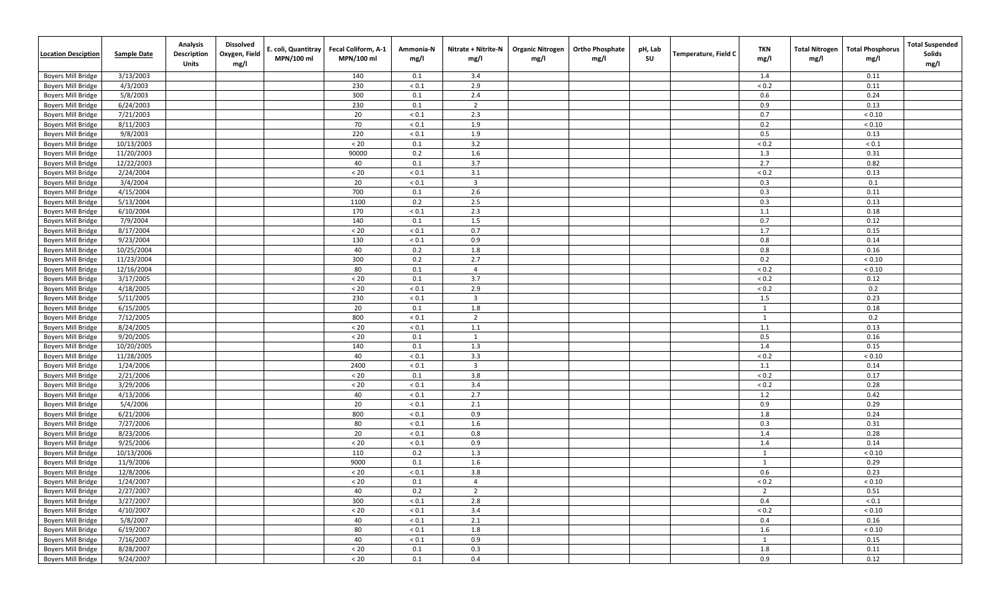| <u><b>Location Desciption</b></u> | <b>Sample Date</b> | Analysis<br><b>Description</b><br><b>Units</b> | <b>Dissolved</b><br>Oxygen, Field<br>mg/l | . coli, Quantitray<br>MPN/100 ml | Fecal Coliform, A-1<br>MPN/100 ml | Ammonia-N<br>mg/l | Nitrate + Nitrite-N<br>mg/l | <b>Organic Nitrogen</b><br>mg/l | <b>Ortho Phosphate</b><br>mg/l | pH, Lab<br>SU | <b>Temperature, Field C</b> | <b>TKN</b><br>mg/l | <b>Total Nitrogen</b><br>mg/l | <b>Total Phosphorus</b><br>mg/l | <b>Total Suspended</b><br>Solids<br>mg/l |
|-----------------------------------|--------------------|------------------------------------------------|-------------------------------------------|----------------------------------|-----------------------------------|-------------------|-----------------------------|---------------------------------|--------------------------------|---------------|-----------------------------|--------------------|-------------------------------|---------------------------------|------------------------------------------|
| <b>Boyers Mill Bridge</b>         | 3/13/2003          |                                                |                                           |                                  | 140                               | 0.1               | 3.4                         |                                 |                                |               |                             | 1.4                |                               | 0.11                            |                                          |
| <b>Boyers Mill Bridge</b>         | 4/3/2003           |                                                |                                           |                                  | 230                               | ${}_{0.1}$        | 2.9                         |                                 |                                |               |                             | ${}_{0.2}$         |                               | 0.11                            |                                          |
| <b>Boyers Mill Bridge</b>         | 5/8/2003           |                                                |                                           |                                  | 300                               | 0.1               | 2.4                         |                                 |                                |               |                             | 0.6                |                               | 0.24                            |                                          |
| <b>Boyers Mill Bridge</b>         | 6/24/2003          |                                                |                                           |                                  | 230                               | 0.1               | $\overline{2}$              |                                 |                                |               |                             | 0.9                |                               | 0.13                            |                                          |
| <b>Boyers Mill Bridge</b>         | 7/21/2003          |                                                |                                           |                                  | 20                                | $< 0.1$           | 2.3                         |                                 |                                |               |                             | 0.7                |                               | ${}< 0.10$                      |                                          |
| <b>Boyers Mill Bridge</b>         | 8/11/2003          |                                                |                                           |                                  | 70                                | ${}_{0.1}$        | 1.9                         |                                 |                                |               |                             | 0.2                |                               | ${}_{< 0.10}$                   |                                          |
| <b>Boyers Mill Bridge</b>         | 9/8/2003           |                                                |                                           |                                  | 220                               | $< 0.1$           | 1.9                         |                                 |                                |               |                             | 0.5                |                               | 0.13                            |                                          |
| <b>Boyers Mill Bridge</b>         | 10/13/2003         |                                                |                                           |                                  | < 20                              | 0.1               | 3.2                         |                                 |                                |               |                             | ${}_{0.2}$         |                               | ${}_{0.1}$                      |                                          |
| <b>Boyers Mill Bridge</b>         | 11/20/2003         |                                                |                                           |                                  | 90000                             | 0.2               | 1.6                         |                                 |                                |               |                             | 1.3                |                               | 0.31                            |                                          |
| <b>Boyers Mill Bridge</b>         | 12/22/2003         |                                                |                                           |                                  | 40                                | 0.1               | 3.7                         |                                 |                                |               |                             | 2.7                |                               | 0.82                            |                                          |
| <b>Boyers Mill Bridge</b>         | 2/24/2004          |                                                |                                           |                                  | $< 20$                            | ${}_{< 0.1}$      | 3.1                         |                                 |                                |               |                             | ${}_{0.2}$         |                               | 0.13                            |                                          |
| <b>Boyers Mill Bridge</b>         | 3/4/2004           |                                                |                                           |                                  | 20                                | ${}_{< 0.1}$      | $\overline{\mathbf{3}}$     |                                 |                                |               |                             | 0.3                |                               | 0.1                             |                                          |
| <b>Boyers Mill Bridge</b>         | 4/15/2004          |                                                |                                           |                                  | 700                               | 0.1               | 2.6                         |                                 |                                |               |                             | 0.3                |                               | 0.11                            |                                          |
| <b>Boyers Mill Bridge</b>         | 5/13/2004          |                                                |                                           |                                  | 1100                              | 0.2               | 2.5                         |                                 |                                |               |                             | 0.3                |                               | 0.13                            |                                          |
| <b>Boyers Mill Bridge</b>         | 6/10/2004          |                                                |                                           |                                  | 170                               | $< 0.1$           | 2.3                         |                                 |                                |               |                             | 1.1                |                               | 0.18                            |                                          |
| <b>Boyers Mill Bridge</b>         | 7/9/2004           |                                                |                                           |                                  | 140                               | 0.1               | 1.5                         |                                 |                                |               |                             | 0.7                |                               | 0.12                            |                                          |
| <b>Boyers Mill Bridge</b>         | 8/17/2004          |                                                |                                           |                                  | $< 20$                            | $< 0.1$           | 0.7                         |                                 |                                |               |                             | 1.7                |                               | 0.15                            |                                          |
| <b>Boyers Mill Bridge</b>         | 9/23/2004          |                                                |                                           |                                  | 130                               | $< 0.1$           | 0.9                         |                                 |                                |               |                             | 0.8                |                               | 0.14                            |                                          |
| <b>Boyers Mill Bridge</b>         | 10/25/2004         |                                                |                                           |                                  | 40                                | 0.2               | 1.8                         |                                 |                                |               |                             | 0.8                |                               | 0.16                            |                                          |
| <b>Boyers Mill Bridge</b>         | 11/23/2004         |                                                |                                           |                                  | 300                               | 0.2               | 2.7                         |                                 |                                |               |                             | 0.2                |                               | ${}< 0.10$                      |                                          |
| <b>Boyers Mill Bridge</b>         | 12/16/2004         |                                                |                                           |                                  | 80                                | 0.1               | $\overline{4}$              |                                 |                                |               |                             | ${}_{0.2}$         |                               | ${}< 0.10$                      |                                          |
| <b>Boyers Mill Bridge</b>         | 3/17/2005          |                                                |                                           |                                  | $< 20$                            | 0.1               | 3.7                         |                                 |                                |               |                             | ${}_{0.2}$         |                               | 0.12                            |                                          |
| <b>Boyers Mill Bridge</b>         | 4/18/2005          |                                                |                                           |                                  | $< 20$                            | $< 0.1$           | 2.9                         |                                 |                                |               |                             | ${}_{0.2}$         |                               | 0.2                             |                                          |
| <b>Boyers Mill Bridge</b>         | 5/11/2005          |                                                |                                           |                                  | 230                               | ${}_{< 0.1}$      | $\overline{\mathbf{3}}$     |                                 |                                |               |                             | 1.5                |                               | 0.23                            |                                          |
| <b>Boyers Mill Bridge</b>         | 6/15/2005          |                                                |                                           |                                  | 20                                | 0.1               | 1.8                         |                                 |                                |               |                             | 1                  |                               | 0.18                            |                                          |
| <b>Boyers Mill Bridge</b>         | 7/12/2005          |                                                |                                           |                                  | 800                               | $< 0.1$           | $\overline{2}$              |                                 |                                |               |                             | 1                  |                               | 0.2                             |                                          |
| <b>Boyers Mill Bridge</b>         | 8/24/2005          |                                                |                                           |                                  | $< 20$                            | ${}_{< 0.1}$      | 1.1                         |                                 |                                |               |                             | 1.1                |                               | 0.13                            |                                          |
| <b>Boyers Mill Bridge</b>         | 9/20/2005          |                                                |                                           |                                  | $< 20$                            | 0.1               | 1                           |                                 |                                |               |                             | 0.5                |                               | 0.16                            |                                          |
| <b>Boyers Mill Bridge</b>         | 10/20/2005         |                                                |                                           |                                  | 140                               | 0.1               | 1.3                         |                                 |                                |               |                             | 1.4                |                               | 0.15                            |                                          |
| <b>Boyers Mill Bridge</b>         | 11/28/2005         |                                                |                                           |                                  | 40                                | $< 0.1$           | 3.3                         |                                 |                                |               |                             | ${}_{0.2}$         |                               | ${}_{< 0.10}$                   |                                          |
| Boyers Mill Bridge                | 1/24/2006          |                                                |                                           |                                  | 2400                              | ${}_{< 0.1}$      | $\overline{\mathbf{3}}$     |                                 |                                |               |                             | 1.1                |                               | 0.14                            |                                          |
| <b>Boyers Mill Bridge</b>         | 2/21/2006          |                                                |                                           |                                  | $< 20$                            | 0.1               | 3.8                         |                                 |                                |               |                             | ${}_{0.2}$         |                               | 0.17                            |                                          |
| <b>Boyers Mill Bridge</b>         | 3/29/2006          |                                                |                                           |                                  | $< 20$                            | ${}_{< 0.1}$      | 3.4                         |                                 |                                |               |                             | ${}_{0.2}$         |                               | 0.28                            |                                          |
| <b>Boyers Mill Bridge</b>         | 4/13/2006          |                                                |                                           |                                  | 40                                | $< 0.1$           | 2.7                         |                                 |                                |               |                             | 1.2                |                               | 0.42                            |                                          |
| <b>Boyers Mill Bridge</b>         | 5/4/2006           |                                                |                                           |                                  | 20                                | ${}_{0.1}$        | 2.1                         |                                 |                                |               |                             | 0.9                |                               | 0.29                            |                                          |
| <b>Boyers Mill Bridge</b>         | 6/21/2006          |                                                |                                           |                                  | 800                               | $< 0.1$           | 0.9                         |                                 |                                |               |                             | 1.8                |                               | 0.24                            |                                          |
| <b>Boyers Mill Bridge</b>         | 7/27/2006          |                                                |                                           |                                  | 80                                | ${}_{< 0.1}$      | 1.6                         |                                 |                                |               |                             | 0.3                |                               | 0.31                            |                                          |
| <b>Boyers Mill Bridge</b>         | 8/23/2006          |                                                |                                           |                                  | 20                                | $< 0.1$           | 0.8                         |                                 |                                |               |                             | 1.4                |                               | 0.28                            |                                          |
| <b>Boyers Mill Bridge</b>         | 9/25/2006          |                                                |                                           |                                  | $< 20$                            | $< 0.1$           | 0.9                         |                                 |                                |               |                             | 1.4                |                               | 0.14                            |                                          |
| <b>Boyers Mill Bridge</b>         | 10/13/2006         |                                                |                                           |                                  | 110                               | 0.2               | 1.3                         |                                 |                                |               |                             | 1                  |                               | ${}< 0.10$                      |                                          |
| <b>Boyers Mill Bridge</b>         | 11/9/2006          |                                                |                                           |                                  | 9000                              | 0.1               | 1.6                         |                                 |                                |               |                             | 1                  |                               | 0.29                            |                                          |
| <b>Boyers Mill Bridge</b>         | 12/8/2006          |                                                |                                           |                                  | $< 20$                            | ${}_{< 0.1}$      | 3.8                         |                                 |                                |               |                             | 0.6                |                               | 0.23                            |                                          |
| Boyers Mill Bridge                | 1/24/2007          |                                                |                                           |                                  | $< 20$                            | 0.1               | -4                          |                                 |                                |               |                             | ${}_{< 0.2}$       |                               | ${}< 0.10$                      |                                          |
| <b>Boyers Mill Bridge</b>         | 2/27/2007          |                                                |                                           |                                  | 40                                | 0.2               | $\overline{2}$              |                                 |                                |               |                             | $\overline{2}$     |                               | 0.51                            |                                          |
| <b>Boyers Mill Bridge</b>         | 3/27/2007          |                                                |                                           |                                  | 300                               | $< 0.1$           | 2.8                         |                                 |                                |               |                             | 0.4                |                               | ${}_{< 0.1}$                    |                                          |
| <b>Boyers Mill Bridge</b>         | 4/10/2007          |                                                |                                           |                                  | $< 20$                            | ${}_{< 0.1}$      | 3.4                         |                                 |                                |               |                             | ${}_{< 0.2}$       |                               | ${}< 0.10$                      |                                          |
| <b>Boyers Mill Bridge</b>         | 5/8/2007           |                                                |                                           |                                  | 40                                | $< 0.1$           | 2.1                         |                                 |                                |               |                             | 0.4                |                               | 0.16                            |                                          |
| <b>Boyers Mill Bridge</b>         | 6/19/2007          |                                                |                                           |                                  | 80                                | $< 0.1$           | 1.8                         |                                 |                                |               |                             | 1.6                |                               | ${}< 0.10$                      |                                          |
| <b>Boyers Mill Bridge</b>         | 7/16/2007          |                                                |                                           |                                  | 40                                | $< 0.1$           | 0.9                         |                                 |                                |               |                             | 1                  |                               | 0.15                            |                                          |
| <b>Boyers Mill Bridge</b>         | 8/28/2007          |                                                |                                           |                                  | $< 20$                            | 0.1               | 0.3                         |                                 |                                |               |                             | 1.8                |                               | 0.11                            |                                          |
| <b>Boyers Mill Bridge</b>         | 9/24/2007          |                                                |                                           |                                  | $< 20$                            | 0.1               | 0.4                         |                                 |                                |               |                             | 0.9                |                               | 0.12                            |                                          |
|                                   |                    |                                                |                                           |                                  |                                   |                   |                             |                                 |                                |               |                             |                    |                               |                                 |                                          |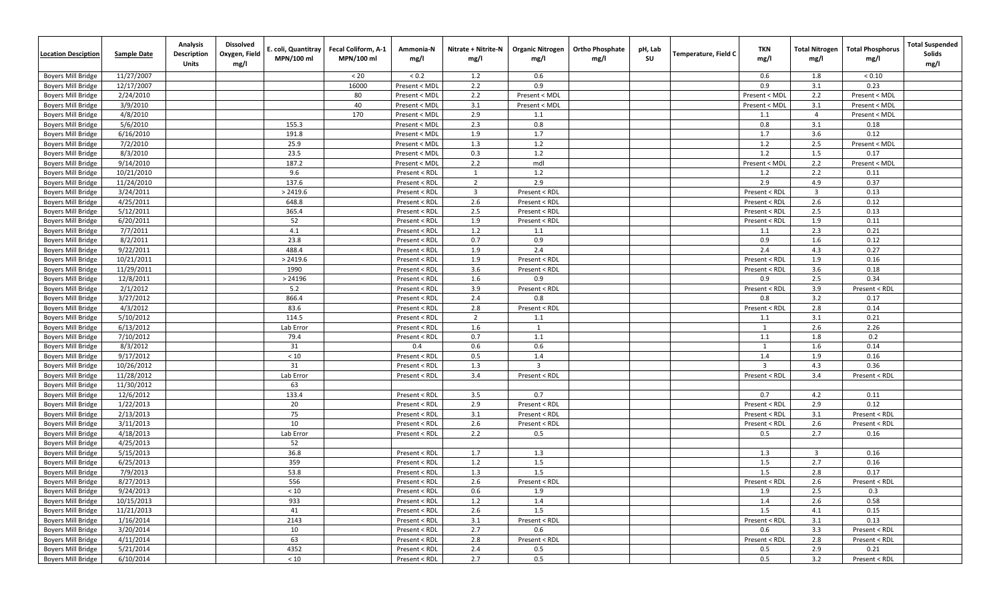| <b>Location Desciption</b>                             | <b>Sample Date</b>     | Analysis<br><b>Description</b><br><b>Units</b> | <b>Dissolved</b><br>Oxygen, Field<br>mg/l | . coli, Quantitray<br>MPN/100 ml | Fecal Coliform, A-1<br>MPN/100 ml | Ammonia-N<br>mg/l              | Nitrate + Nitrite-N<br>mg/l | <b>Organic Nitrogen</b><br>mg/l | <b>Ortho Phosphate</b><br>mg/l | pH, Lab<br>SU | Temperature, Field C | TKN<br>mg/l    | <b>Total Nitrogen</b><br>mg/l | <b>Total Phosphorus</b><br>mg/l | <b>Total Suspended</b><br>Solids<br>mg/l |
|--------------------------------------------------------|------------------------|------------------------------------------------|-------------------------------------------|----------------------------------|-----------------------------------|--------------------------------|-----------------------------|---------------------------------|--------------------------------|---------------|----------------------|----------------|-------------------------------|---------------------------------|------------------------------------------|
| <b>Boyers Mill Bridge</b>                              | 11/27/2007             |                                                |                                           |                                  | $< 20$                            | < 0.2                          | 1.2                         | 0.6                             |                                |               |                      | 0.6            | 1.8                           | < 0.10                          |                                          |
| <b>Boyers Mill Bridge</b>                              | 12/17/2007             |                                                |                                           |                                  | 16000                             | Present < MDI                  | 2.2                         | 0.9                             |                                |               |                      | 0.9            | 3.1                           | 0.23                            |                                          |
| <b>Boyers Mill Bridge</b>                              | 2/24/2010              |                                                |                                           |                                  | 80                                | Present < MDI                  | 2.2                         | Present < MDL                   |                                |               |                      | Present < MDL  | 2.2                           | Present < MDL                   |                                          |
| <b>Boyers Mill Bridge</b>                              | 3/9/2010               |                                                |                                           |                                  | 40                                | Present < MDL                  | 3.1                         | Present < MDL                   |                                |               |                      | Present < MDI  | 3.1                           | Present < MDL                   |                                          |
| <b>Boyers Mill Bridge</b>                              | 4/8/2010               |                                                |                                           |                                  | 170                               | Present < MDL                  | 2.9                         | 1.1                             |                                |               |                      | 1.1            | $\overline{4}$                | Present < MDL                   |                                          |
| <b>Boyers Mill Bridge</b>                              | 5/6/2010               |                                                |                                           | 155.3                            |                                   | Present < MDL                  | 2.3                         | 0.8                             |                                |               |                      | 0.8            | 3.1                           | 0.18                            |                                          |
| <b>Boyers Mill Bridge</b>                              | 6/16/2010              |                                                |                                           | 191.8                            |                                   | Present < MDL                  | 1.9                         | 1.7                             |                                |               |                      | 1.7            | 3.6                           | 0.12                            |                                          |
| <b>Boyers Mill Bridge</b>                              | 7/2/2010               |                                                |                                           | 25.9                             |                                   | Present < MDI                  | 1.3                         | 1.2                             |                                |               |                      | 1.2            | 2.5                           | Present < MDL                   |                                          |
| <b>Boyers Mill Bridge</b>                              | 8/3/2010               |                                                |                                           | 23.5                             |                                   | Present < MDI                  | 0.3                         | 1.2                             |                                |               |                      | 1.2            | 1.5                           | 0.17                            |                                          |
| <b>Boyers Mill Bridge</b>                              | 9/14/2010              |                                                |                                           | 187.2                            |                                   | Present < MDL                  | 2.2                         | mdl                             |                                |               |                      | Present < MDI  | 2.2                           | Present < MDL                   |                                          |
| <b>Boyers Mill Bridge</b>                              | 10/21/2010             |                                                |                                           | 9.6                              |                                   | Present < RDL                  | 1                           | 1.2                             |                                |               |                      | 1.2            | 2.2                           | 0.11                            |                                          |
| <b>Boyers Mill Bridge</b>                              | 11/24/2010             |                                                |                                           | 137.6                            |                                   | Present < RDL                  | $\overline{2}$              | 2.9                             |                                |               |                      | 2.9            | 4.9                           | 0.37                            |                                          |
| <b>Boyers Mill Bridge</b>                              | 3/24/2011              |                                                |                                           | > 2419.6                         |                                   | Present < RDL                  | $\overline{\mathbf{3}}$     | Present < RDL                   |                                |               |                      | Present < RDL  | $\overline{\mathbf{3}}$       | 0.13                            |                                          |
| <b>Boyers Mill Bridge</b>                              | 4/25/2011              |                                                |                                           | 648.8                            |                                   | Present < RDL                  | 2.6                         | Present < RDL                   |                                |               |                      | Present < RDL  | 2.6                           | 0.12                            |                                          |
| <b>Boyers Mill Bridge</b>                              | 5/12/2011              |                                                |                                           | 365.4                            |                                   | Present < RDL                  | 2.5                         | Present < RDL                   |                                |               |                      | Present < RDL  | 2.5                           | 0.13                            |                                          |
| <b>Boyers Mill Bridge</b>                              | 6/20/2011              |                                                |                                           | 52                               |                                   | Present < RDL                  | 1.9                         | Present < RDL                   |                                |               |                      | Present < RDL  | 1.9                           | 0.11                            |                                          |
| <b>Boyers Mill Bridge</b>                              | 7/7/2011               |                                                |                                           | 4.1                              |                                   | Present < RDL                  | 1.2                         | 1.1                             |                                |               |                      | 1.1            | 2.3                           | 0.21                            |                                          |
| <b>Boyers Mill Bridge</b>                              | 8/2/2011               |                                                |                                           | 23.8                             |                                   | Present < RDL                  | 0.7                         | 0.9                             |                                |               |                      | 0.9            | 1.6                           | 0.12                            |                                          |
| <b>Boyers Mill Bridge</b>                              | 9/22/2011              |                                                |                                           | 488.4                            |                                   | Present < RDL                  | 1.9                         | 2.4                             |                                |               |                      | 2.4            | 4.3                           | 0.27                            |                                          |
| <b>Boyers Mill Bridge</b>                              | 10/21/2011             |                                                |                                           | > 2419.6                         |                                   | Present < RDL                  | 1.9                         | Present < RDL                   |                                |               |                      | Present < RDL  | 1.9                           | 0.16                            |                                          |
| <b>Boyers Mill Bridge</b>                              | 11/29/2011             |                                                |                                           | 1990                             |                                   | Present < RDL                  | 3.6                         | Present < RDL                   |                                |               |                      | Present < RDL  | 3.6                           | 0.18                            |                                          |
| <b>Boyers Mill Bridge</b>                              | 12/8/2011              |                                                |                                           | > 24196                          |                                   | Present < RDL                  | 1.6                         | 0.9                             |                                |               |                      | 0.9            | 2.5                           | 0.34                            |                                          |
| <b>Boyers Mill Bridge</b>                              | 2/1/2012               |                                                |                                           | 5.2                              |                                   | Present < RDL                  | 3.9                         | Present < RDL                   |                                |               |                      | Present < RDL  | 3.9                           | Present < RDL                   |                                          |
| <b>Boyers Mill Bridge</b>                              | 3/27/2012              |                                                |                                           | 866.4                            |                                   | Present < RDL                  | 2.4                         | 0.8                             |                                |               |                      | 0.8            | 3.2                           | 0.17                            |                                          |
| <b>Boyers Mill Bridge</b>                              | 4/3/2012               |                                                |                                           | 83.6                             |                                   | Present < RDL                  | 2.8                         | Present < RDL                   |                                |               |                      | Present < RDL  | 2.8                           | 0.14                            |                                          |
| <b>Boyers Mill Bridge</b>                              | 5/10/2012              |                                                |                                           | 114.5                            |                                   | Present < RDL                  | $\overline{2}$              | 1.1                             |                                |               |                      | 1.1            | 3.1                           | 0.21                            |                                          |
| <b>Boyers Mill Bridge</b>                              | 6/13/2012              |                                                |                                           | Lab Error                        |                                   | Present < RDL                  | 1.6                         | 1                               |                                |               |                      | 1              | 2.6                           | 2.26                            |                                          |
| <b>Boyers Mill Bridge</b>                              | 7/10/2012              |                                                |                                           | 79.4                             |                                   | Present < RDL                  | 0.7                         | 1.1                             |                                |               |                      | 1.1            | 1.8                           | 0.2                             |                                          |
| <b>Boyers Mill Bridge</b>                              | 8/3/2012               |                                                |                                           | 31                               |                                   | 0.4                            | 0.6                         | 0.6                             |                                |               |                      | 1              | 1.6                           | 0.14                            |                                          |
| <b>Boyers Mill Bridge</b>                              | 9/17/2012              |                                                |                                           | $<10$                            |                                   | Present < RDL                  | 0.5                         | 1.4                             |                                |               |                      | 1.4            | 1.9                           | 0.16                            |                                          |
| <b>Boyers Mill Bridge</b>                              | 10/26/2012             |                                                |                                           | 31                               |                                   | Present < RDL                  | 1.3                         | $\overline{3}$                  |                                |               |                      | $\overline{3}$ | 4.3                           | 0.36                            |                                          |
| <b>Boyers Mill Bridge</b>                              | 11/28/2012             |                                                |                                           | Lab Error                        |                                   | Present < RDL                  | 3.4                         | Present < RDL                   |                                |               |                      | Present < RDL  | 3.4                           | Present < RDL                   |                                          |
| <b>Boyers Mill Bridge</b>                              | 11/30/2012             |                                                |                                           | 63                               |                                   |                                |                             |                                 |                                |               |                      |                |                               |                                 |                                          |
| <b>Boyers Mill Bridge</b>                              | 12/6/2012              |                                                |                                           | 133.4                            |                                   | Present < RDL                  | 3.5                         | 0.7                             |                                |               |                      | 0.7            | 4.2                           | 0.11                            |                                          |
| <b>Boyers Mill Bridge</b>                              | 1/22/2013              |                                                |                                           | 20                               |                                   | Present < RDL                  | 2.9                         | Present < RDL                   |                                |               |                      | Present < RDL  | 2.9                           | 0.12                            |                                          |
| <b>Boyers Mill Bridge</b>                              | 2/13/2013              |                                                |                                           | 75                               |                                   | Present < RDL                  | 3.1                         | Present < RDL                   |                                |               |                      | Present < RDL  | 3.1                           | Present < RDL                   |                                          |
| <b>Boyers Mill Bridge</b>                              | 3/11/2013              |                                                |                                           | 10                               |                                   | Present < RDL                  | 2.6                         | Present < RDL                   |                                |               |                      | Present < RDL  | 2.6                           | Present < RDL                   |                                          |
| <b>Boyers Mill Bridge</b>                              | 4/18/2013              |                                                |                                           | Lab Error                        |                                   | Present < RDL                  | 2.2                         | 0.5                             |                                |               |                      | 0.5            | 2.7                           | 0.16                            |                                          |
| <b>Boyers Mill Bridge</b><br><b>Boyers Mill Bridge</b> | 4/25/2013<br>5/15/2013 |                                                |                                           | 52<br>36.8                       |                                   | Present < RDL                  | 1.7                         | 1.3                             |                                |               |                      | 1.3            | $\overline{\mathbf{3}}$       | 0.16                            |                                          |
|                                                        | 6/25/2013              |                                                |                                           | 359                              |                                   |                                | 1.2                         | 1.5                             |                                |               |                      | 1.5            | 2.7                           | 0.16                            |                                          |
| <b>Boyers Mill Bridge</b><br><b>Boyers Mill Bridge</b> | 7/9/2013               |                                                |                                           | 53.8                             |                                   | Present < RDL<br>Present < RDL | 1.3                         | 1.5                             |                                |               |                      | 1.5            | 2.8                           | 0.17                            |                                          |
| <b>Boyers Mill Bridge</b>                              | 8/27/2013              |                                                |                                           | 556                              |                                   | Present < RDL                  | 2.6                         | Present < RDL                   |                                |               |                      | Present < RDL  | $2.6\,$                       | Present < RDL                   |                                          |
| <b>Boyers Mill Bridge</b>                              | 9/24/2013              |                                                |                                           | $<10$                            |                                   | Present < RDL                  | 0.6                         | 1.9                             |                                |               |                      | 1.9            | 2.5                           | 0.3                             |                                          |
| <b>Boyers Mill Bridge</b>                              | 10/15/2013             |                                                |                                           | 933                              |                                   | Present < RDL                  | 1.2                         | 1.4                             |                                |               |                      | 1.4            | 2.6                           | 0.58                            |                                          |
| Boyers Mill Bridge                                     | 11/21/2013             |                                                |                                           | 41                               |                                   | Present < RDL                  | 2.6                         | 1.5                             |                                |               |                      | 1.5            | 4.1                           | 0.15                            |                                          |
| <b>Boyers Mill Bridge</b>                              | 1/16/2014              |                                                |                                           | 2143                             |                                   | Present < RDL                  | 3.1                         | Present < RDL                   |                                |               |                      | Present < RDL  | 3.1                           | 0.13                            |                                          |
| <b>Boyers Mill Bridge</b>                              | 3/20/2014              |                                                |                                           | 10                               |                                   | Present < RDL                  | 2.7                         | 0.6                             |                                |               |                      | 0.6            | 3.3                           | Present < RDL                   |                                          |
| <b>Boyers Mill Bridge</b>                              | 4/11/2014              |                                                |                                           | 63                               |                                   | Present < RDL                  | 2.8                         | Present < RDL                   |                                |               |                      | Present < RDL  | 2.8                           | Present < RDL                   |                                          |
| <b>Boyers Mill Bridge</b>                              | 5/21/2014              |                                                |                                           | 4352                             |                                   | Present < RDL                  | 2.4                         | 0.5                             |                                |               |                      | 0.5            | 2.9                           | 0.21                            |                                          |
| <b>Boyers Mill Bridge</b>                              | 6/10/2014              |                                                |                                           | $<10\,$                          |                                   | Present < RDL                  | 2.7                         | 0.5                             |                                |               |                      | 0.5            | 3.2                           | Present < RDL                   |                                          |
|                                                        |                        |                                                |                                           |                                  |                                   |                                |                             |                                 |                                |               |                      |                |                               |                                 |                                          |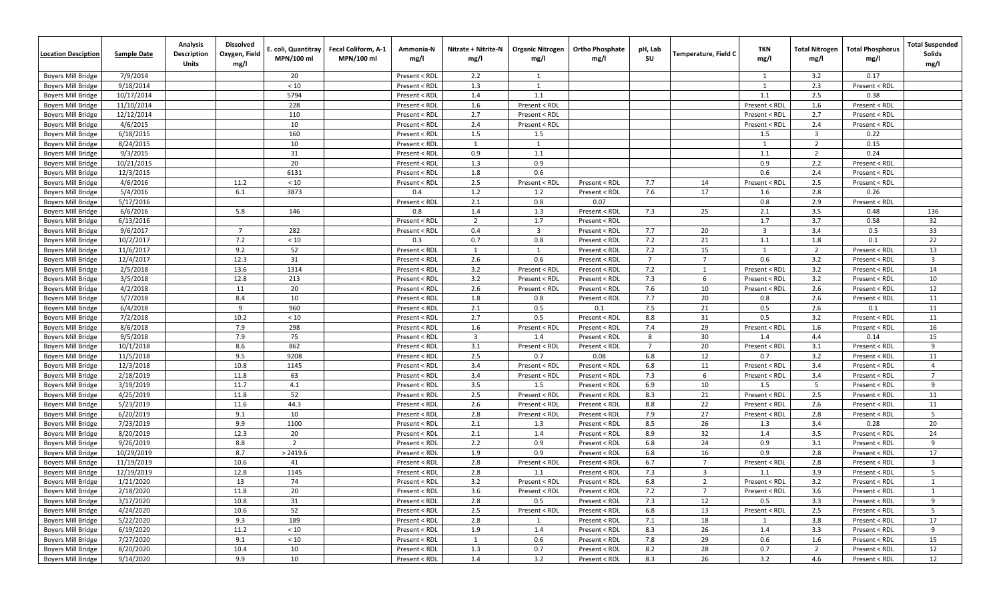| <b>Location Desciption</b> | <b>Sample Date</b> | Analysis<br>Description<br>Units | <b>Dissolved</b><br>Oxygen, Field<br>mg/l | E. coli, Quantitray<br>MPN/100 ml | Fecal Coliform, A-1<br>MPN/100 ml | Ammonia-N<br>mg/l | Nitrate + Nitrite-N<br>mg/l | <b>Organic Nitrogen</b><br>mg/l | <b>Ortho Phosphate</b><br>mg/l | pH, Lab<br>su  | Temperature, Field C | <b>TKN</b><br>mg/l | Total Nitrogen<br>mg/l  | <b>Total Phosphorus</b><br>mg/l | <b>Total Suspended</b><br>Solids<br>mg/l |
|----------------------------|--------------------|----------------------------------|-------------------------------------------|-----------------------------------|-----------------------------------|-------------------|-----------------------------|---------------------------------|--------------------------------|----------------|----------------------|--------------------|-------------------------|---------------------------------|------------------------------------------|
| <b>Boyers Mill Bridge</b>  | 7/9/2014           |                                  |                                           | 20                                |                                   | Present < RDL     | 2.2                         | 1                               |                                |                |                      | 1                  | 3.2                     | 0.17                            |                                          |
| <b>Boyers Mill Bridge</b>  | 9/18/2014          |                                  |                                           | $<10$                             |                                   | Present < RDL     | 1.3                         | 1                               |                                |                |                      | 1                  | 2.3                     | Present < RDL                   |                                          |
| <b>Boyers Mill Bridge</b>  | 10/17/2014         |                                  |                                           | 5794                              |                                   | Present < RDL     | 1.4                         | 1.1                             |                                |                |                      | 1.1                | 2.5                     | 0.38                            |                                          |
| <b>Boyers Mill Bridge</b>  | 11/10/2014         |                                  |                                           | 228                               |                                   | Present < RDL     | 1.6                         | Present < RDL                   |                                |                |                      | Present < RDL      | 1.6                     | Present < RDL                   |                                          |
| <b>Boyers Mill Bridge</b>  | 12/12/2014         |                                  |                                           | 110                               |                                   | Present < RDL     | 2.7                         | Present < RDL                   |                                |                |                      | Present < RDL      | 2.7                     | Present < RDL                   |                                          |
| <b>Boyers Mill Bridge</b>  | 4/6/2015           |                                  |                                           | 10                                |                                   | Present < RDL     | 2.4                         | Present < RDL                   |                                |                |                      | Present < RDL      | 2.4                     | Present < RDL                   |                                          |
| <b>Boyers Mill Bridge</b>  | 6/18/2015          |                                  |                                           | 160                               |                                   | Present < RDL     | 1.5                         | 1.5                             |                                |                |                      | 1.5                | $\overline{\mathbf{3}}$ | 0.22                            |                                          |
| <b>Boyers Mill Bridge</b>  | 8/24/2015          |                                  |                                           | 10                                |                                   | Present < RDL     | 1                           | 1                               |                                |                |                      | 1                  | 2                       | 0.15                            |                                          |
| <b>Boyers Mill Bridge</b>  | 9/3/2015           |                                  |                                           | 31                                |                                   | Present < RDL     | 0.9                         | 1.1                             |                                |                |                      | 1.1                | $\overline{2}$          | 0.24                            |                                          |
| <b>Boyers Mill Bridge</b>  | 10/21/2015         |                                  |                                           | 20                                |                                   | Present < RDL     | 1.3                         | 0.9                             |                                |                |                      | 0.9                | 2.2                     | Present < RDL                   |                                          |
| <b>Boyers Mill Bridge</b>  | 12/3/2015          |                                  |                                           | 6131                              |                                   | Present < RDL     | 1.8                         | 0.6                             |                                |                |                      | 0.6                | 2.4                     | Present < RDL                   |                                          |
| <b>Boyers Mill Bridge</b>  | 4/6/2016           |                                  | 11.2                                      | $<10$                             |                                   | Present < RDL     | 2.5                         | Present < RDL                   | Present < RDL                  | 7.7            | 14                   | Present < RDL      | 2.5                     | Present < RDL                   |                                          |
| <b>Boyers Mill Bridge</b>  | 5/4/2016           |                                  | 6.1                                       | 3873                              |                                   | 0.4               | 1.2                         | 1.2                             | Present < RDL                  | 7.6            | 17                   | 1.6                | 2.8                     | 0.26                            |                                          |
| <b>Boyers Mill Bridge</b>  | 5/17/2016          |                                  |                                           |                                   |                                   | Present < RDL     | 2.1                         | 0.8                             | 0.07                           |                |                      | 0.8                | 2.9                     | Present < RDL                   |                                          |
| <b>Boyers Mill Bridge</b>  | 6/6/2016           |                                  | 5.8                                       | 146                               |                                   | 0.8               | 1.4                         | 1.3                             | Present < RDL                  | 7.3            | 25                   | 2.1                | 3.5                     | 0.48                            | 136                                      |
| <b>Boyers Mill Bridge</b>  | 6/13/2016          |                                  |                                           |                                   |                                   | Present < RDL     | $\overline{2}$              | 1.7                             | Present < RDL                  |                |                      | 1.7                | 3.7                     | 0.58                            | 32                                       |
| <b>Boyers Mill Bridge</b>  | 9/6/2017           |                                  | $\overline{7}$                            | 282                               |                                   | Present < RDL     | 0.4                         | $\overline{\mathbf{3}}$         | Present < RDL                  | 7.7            | 20                   | $\overline{3}$     | 3.4                     | 0.5                             | 33                                       |
| <b>Boyers Mill Bridge</b>  | 10/2/2017          |                                  | 7.2                                       | $<10$                             |                                   | 0.3               | 0.7                         | 0.8                             | Present < RDL                  | 7.2            | 21                   | 1.1                | 1.8                     | 0.1                             | 22                                       |
| <b>Boyers Mill Bridge</b>  | 11/6/2017          |                                  | 9.2                                       | 52                                |                                   | Present < RDL     | <sup>1</sup>                | 1                               | Present < RDL                  | 7.2            | 15                   | 1                  | 2                       | Present < RDL                   | 13                                       |
| <b>Boyers Mill Bridge</b>  | 12/4/2017          |                                  | 12.3                                      | 31                                |                                   | Present < RDL     | 2.6                         | 0.6                             | Present < RDL                  | $\overline{7}$ | $\overline{7}$       | 0.6                | 3.2                     | Present < RDL                   | $\overline{\mathbf{3}}$                  |
| <b>Boyers Mill Bridge</b>  | 2/5/2018           |                                  | 13.6                                      | 1314                              |                                   | Present < RDL     | 3.2                         | Present < RDL                   | Present < RDL                  | 7.2            | $\mathbf{1}$         | Present < RDL      | 3.2                     | Present < RDL                   | 14                                       |
| <b>Boyers Mill Bridge</b>  | 3/5/2018           |                                  | 12.8                                      | 213                               |                                   | Present < RDL     | 3.2                         | Present < RDL                   | Present < RDL                  | 7.3            | 6                    | Present < RDL      | 3.2                     | Present < RDL                   | 10                                       |
| <b>Boyers Mill Bridge</b>  | 4/2/2018           |                                  | 11                                        | 20                                |                                   | Present < RDL     | 2.6                         | Present < RDL                   | Present < RDL                  | 7.6            | 10                   | Present < RDL      | 2.6                     | Present < RDL                   | 12                                       |
| <b>Boyers Mill Bridge</b>  | 5/7/2018           |                                  | 8.4                                       | 10                                |                                   | Present < RDL     | 1.8                         | 0.8                             | Present < RDL                  | 7.7            | 20                   | 0.8                | 2.6                     | Present < RDL                   | 11                                       |
| <b>Boyers Mill Bridge</b>  | 6/4/2018           |                                  | 9                                         | 960                               |                                   | Present < RDL     | 2.1                         | 0.5                             | 0.1                            | 7.5            | 21                   | 0.5                | 2.6                     | 0.1                             | 11                                       |
| <b>Boyers Mill Bridge</b>  | 7/2/2018           |                                  | 10.2                                      | $<10$                             |                                   | Present < RDL     | 2.7                         | 0.5                             | Present < RDL                  | 8.8            | 31                   | 0.5                | 3.2                     | Present < RDL                   | 11                                       |
| <b>Boyers Mill Bridge</b>  | 8/6/2018           |                                  | 7.9                                       | 298                               |                                   | Present < RDL     | 1.6                         | Present < RDL                   | Present < RDL                  | 7.4            | 29                   | Present < RDL      | 1.6                     | Present < RDL                   | 16                                       |
| <b>Boyers Mill Bridge</b>  | 9/5/2018           |                                  | 7.9                                       | 75                                |                                   | Present < RDL     | $\overline{\mathbf{3}}$     | 1.4                             | Present < RDL                  | 8              | 30                   | 1.4                | 4.4                     | 0.14                            | 15                                       |
| <b>Boyers Mill Bridge</b>  | 10/1/2018          |                                  | 8.6                                       | 862                               |                                   | Present < RDL     | 3.1                         | Present < RDL                   | Present < RDL                  | $\overline{7}$ | 20                   | Present < RDL      | 3.1                     | Present < RDL                   | 9                                        |
| <b>Boyers Mill Bridge</b>  | 11/5/2018          |                                  | 9.5                                       | 9208                              |                                   | Present < RDL     | 2.5                         | 0.7                             | 0.08                           | 6.8            | 12                   | 0.7                | 3.2                     | Present < RDL                   | 11                                       |
| <b>Boyers Mill Bridge</b>  | 12/3/2018          |                                  | 10.8                                      | 1145                              |                                   | Present < RDL     | 3.4                         | Present < RDL                   | Present < RDL                  | 6.8            | 11                   | Present < RDL      | 3.4                     | Present < RDL                   | $\overline{4}$                           |
| <b>Boyers Mill Bridge</b>  | 2/18/2019          |                                  | 11.8                                      | 63                                |                                   | Present < RDL     | 3.4                         | Present < RDL                   | Present < RDL                  | 7.3            | 6                    | Present < RDL      | 3.4                     | Present < RDL                   | $\overline{7}$                           |
| <b>Boyers Mill Bridge</b>  | 3/19/2019          |                                  | 11.7                                      | 4.1                               |                                   | Present < RDL     | 3.5                         | 1.5                             | Present < RDL                  | 6.9            | 10                   | 1.5                | 5                       | Present < RDL                   | 9                                        |
| <b>Boyers Mill Bridge</b>  | 4/25/2019          |                                  | 11.8                                      | 52                                |                                   | Present < RDL     | 2.5                         | Present < RDL                   | Present < RDL                  | 8.3            | 21                   | Present < RDL      | 2.5                     | Present < RDL                   | 11                                       |
| <b>Boyers Mill Bridge</b>  | 5/23/2019          |                                  | 11.6                                      | 44.3                              |                                   | Present < RDL     | 2.6                         | Present < RDL                   | Present < RDL                  | 8.8            | 22                   | Present < RDL      | 2.6                     | Present < RDL                   | 11                                       |
| <b>Boyers Mill Bridge</b>  | 6/20/2019          |                                  | 9.1                                       | 10                                |                                   | Present < RDL     | 2.8                         | Present < RDL                   | Present < RDL                  | 7.9            | 27                   | Present < RDL      | 2.8                     | Present < RDL                   | 5                                        |
| <b>Boyers Mill Bridge</b>  | 7/23/2019          |                                  | 9.9                                       | 1100                              |                                   | Present < RDL     | 2.1                         | 1.3                             | Present < RDL                  | 8.5            | 26                   | 1.3                | 3.4                     | 0.28                            | 20                                       |
| <b>Boyers Mill Bridge</b>  | 8/20/2019          |                                  | 12.3                                      | 20                                |                                   | Present < RDL     | 2.1                         | 1.4                             | Present < RDL                  | 8.9            | 32                   | 1.4                | 3.5                     | Present < RDL                   | 24                                       |
| <b>Boyers Mill Bridge</b>  | 9/26/2019          |                                  | 8.8                                       | $\overline{2}$                    |                                   | Present < RDL     | 2.2                         | 0.9                             | Present < RDL                  | 6.8            | 24                   | 0.9                | 3.1                     | Present < RDL                   | 9                                        |
| <b>Boyers Mill Bridge</b>  | 10/29/2019         |                                  | 8.7                                       | > 2419.6                          |                                   | Present < RDL     | 1.9                         | 0.9                             | Present < RDL                  | 6.8            | 16                   | 0.9                | 2.8                     | Present < RDL                   | 17                                       |
| <b>Boyers Mill Bridge</b>  | 11/19/2019         |                                  | 10.6                                      | 41                                |                                   | Present < RDL     | 2.8                         | Present < RDL                   | Present < RDL                  | 6.7            | $\overline{7}$       | Present < RDI      | 2.8                     | Present < RDL                   | $\overline{\mathbf{3}}$                  |
| <b>Boyers Mill Bridge</b>  | 12/19/2019         |                                  | 12.8                                      | 1145                              |                                   | Present < RDL     | 2.8                         | 1.1                             | Present < RDL                  | 7.3            | 3                    | 1.1                | 3.9                     | Present < RDL                   | 5                                        |
| Boyers Mill Bridge         | 1/21/2020          |                                  | 13                                        | 74                                |                                   | Present < RDL     | 3.2                         | Present < RDL                   | Present < RDL                  | 6.8            | $\overline{2}$       | Present < RDL      | 3.2                     | Present < RDL                   | -1                                       |
| <b>Boyers Mill Bridge</b>  | 2/18/2020          |                                  | 11.8                                      | 20                                |                                   | Present < RDL     | 3.6                         | Present < RDL                   | Present < RDL                  | 7.2            | $\overline{7}$       | Present < RDL      | 3.6                     | Present < RDL                   | 1                                        |
| <b>Boyers Mill Bridge</b>  | 3/17/2020          |                                  | 10.8                                      | 31                                |                                   | Present < RDL     | 2.8                         | 0.5                             | Present < RDL                  | 7.3            | 12                   | 0.5                | 3.3                     | Present < RDL                   | 9                                        |
| <b>Boyers Mill Bridge</b>  | 4/24/2020          |                                  | 10.6                                      | 52                                |                                   | Present < RDL     | 2.5                         | Present < RDL                   | Present < RDL                  | 6.8            | 13                   | Present < RDL      | 2.5                     | Present < RDL                   | 5                                        |
| <b>Boyers Mill Bridge</b>  | 5/22/2020          |                                  | 9.3                                       | 189                               |                                   | Present < RDL     | 2.8                         | $\mathbf{1}$                    | Present < RDL                  | 7.1            | 18                   | 1                  | 3.8                     | Present < RDL                   | 17                                       |
| <b>Boyers Mill Bridge</b>  | 6/19/2020          |                                  | 11.2                                      | $<10\,$                           |                                   | Present < RDL     | 1.9                         | 1.4                             | Present < RDL                  | 8.3            | 26                   | 1.4                | 3.3                     | Present < RDL                   | 9                                        |
| <b>Boyers Mill Bridge</b>  | 7/27/2020          |                                  | 9.1                                       | $<10$                             |                                   | Present < RDL     | 1                           | 0.6                             | Present < RDL                  | 7.8            | 29                   | 0.6                | 1.6                     | Present < RDL                   | 15                                       |
| <b>Boyers Mill Bridge</b>  | 8/20/2020          |                                  | 10.4                                      | 10                                |                                   | Present < RDL     | 1.3                         | 0.7                             | Present < RDL                  | 8.2            | 28                   | 0.7                | $\overline{2}$          | Present < RDL                   | 12                                       |
| Boyers Mill Bridge         | 9/14/2020          |                                  | 9.9                                       | 10                                |                                   | Present < RDL     | 1.4                         | 3.2                             | Present < RDL                  | 8.3            | 26                   | 3.2                | 4.6                     | Present < RDL                   | 12                                       |
|                            |                    |                                  |                                           |                                   |                                   |                   |                             |                                 |                                |                |                      |                    |                         |                                 |                                          |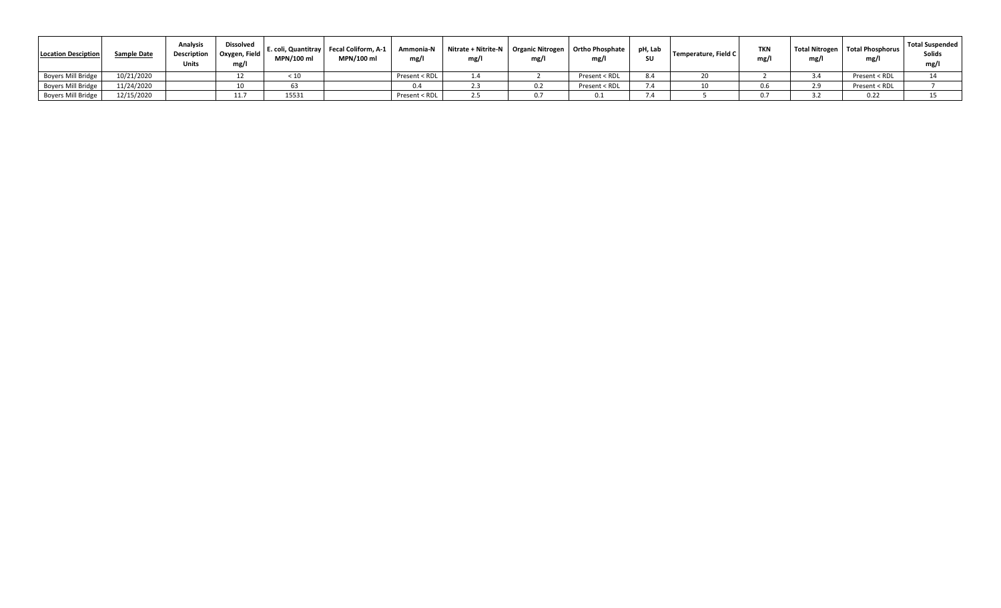| <b>Location Desciption</b> | <b>Sample Date</b> | <b>Analysis</b><br><b>Description</b><br><b>Units</b> | <b>Dissolved</b><br>Oxygen, Field<br>mg/l | MPN/100 m | E. coli, Quantitray   Fecal Coliform, A-1<br>MPN/100 ml | Ammonia-N<br>mg/ | Nitrate + Nitrite-N   Organic Nitrogen   Ortho Phosphate  <br>mg/l | mg/1 | mg/l          | pH, Lab<br>SU | Temperature, Field C | <b>TKN</b><br>mg, | mg/1 | Total Nitrogen   Total Phosphorus<br>mg/l | Total Suspended<br>Solids<br>mg/l |
|----------------------------|--------------------|-------------------------------------------------------|-------------------------------------------|-----------|---------------------------------------------------------|------------------|--------------------------------------------------------------------|------|---------------|---------------|----------------------|-------------------|------|-------------------------------------------|-----------------------------------|
| <b>Boyers Mill Bridge</b>  | 10/21/2020         |                                                       |                                           |           |                                                         | Present < RDL    |                                                                    |      | Present < RDL |               |                      |                   |      | Present < RDL                             |                                   |
| <b>Boyers Mill Bridge</b>  | 11/24/2020         |                                                       |                                           |           |                                                         |                  | د.ء                                                                | U.Z  | Present < RDL |               |                      |                   |      | Present < RDL                             |                                   |
| <b>Boyers Mill Bridge</b>  | 12/15/2020         |                                                       | 11.7                                      | 15531     |                                                         | Present < RDL    | 2.5                                                                |      |               |               |                      |                   |      | 0.22                                      |                                   |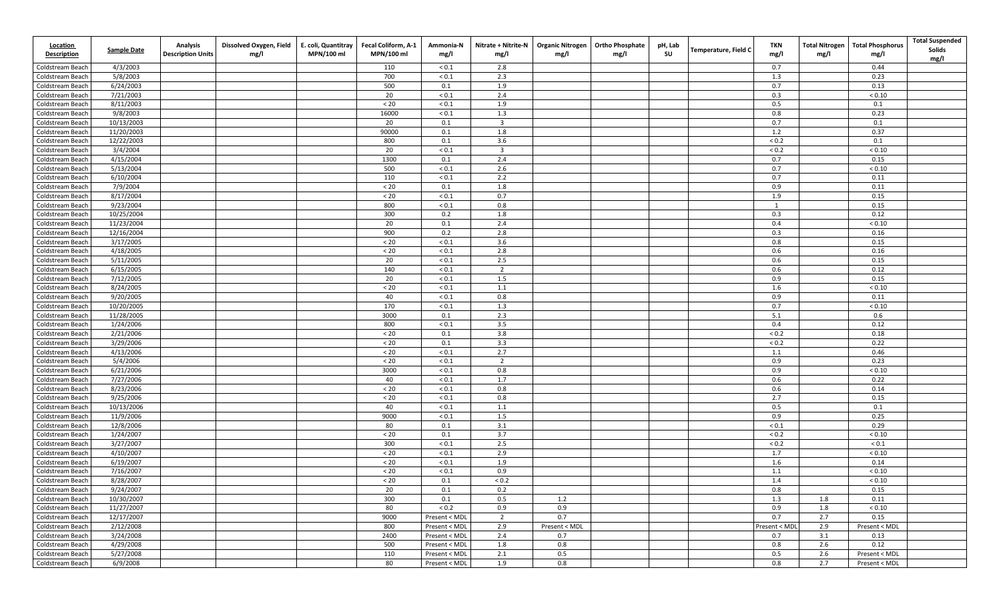| <b>Location</b><br><b>Description</b> | <b>Sample Date</b>      | <b>Analysis</b><br><b>Description Units</b> | Dissolved Oxygen, Field<br>mg/l | E. coli, Quantitray<br>MPN/100 ml | Fecal Coliform, A-1<br>MPN/100 ml | Ammonia-N<br>mg/l | Nitrate + Nitrite-N<br>mg/l | <b>Organic Nitrogen</b><br>mg/l | <b>Ortho Phosphate</b><br>mg/l | pH, Lab<br>SU | Temperature, Field C | TKN<br>mg/l   | <b>Total Nitrogen</b><br>mg/l | <b>Total Phosphorus</b><br>mg/l | <b>Total Suspended</b><br>Solids<br>mg/l |
|---------------------------------------|-------------------------|---------------------------------------------|---------------------------------|-----------------------------------|-----------------------------------|-------------------|-----------------------------|---------------------------------|--------------------------------|---------------|----------------------|---------------|-------------------------------|---------------------------------|------------------------------------------|
| Coldstream Beach                      | 4/3/2003                |                                             |                                 |                                   | 110                               | ${}_{0.1}$        | 2.8                         |                                 |                                |               |                      | 0.7           |                               | 0.44                            |                                          |
| Coldstream Beach                      | 5/8/2003                |                                             |                                 |                                   | 700                               | ${}_{0.1}$        | 2.3                         |                                 |                                |               |                      | 1.3           |                               | 0.23                            |                                          |
| Coldstream Beach                      | 6/24/2003               |                                             |                                 |                                   | 500                               | 0.1               | 1.9                         |                                 |                                |               |                      | 0.7           |                               | 0.13                            |                                          |
| Coldstream Beach                      | 7/21/2003               |                                             |                                 |                                   | 20                                | ${}_{0.1}$        | 2.4                         |                                 |                                |               |                      | 0.3           |                               | ${}_{< 0.10}$                   |                                          |
| Coldstream Beach                      | 8/11/2003               |                                             |                                 |                                   | $< 20$                            | ${}_{0.1}$        | 1.9                         |                                 |                                |               |                      | 0.5           |                               | 0.1                             |                                          |
| Coldstream Beach                      | 9/8/2003                |                                             |                                 |                                   | 16000                             | ${}_{0.1}$        | 1.3                         |                                 |                                |               |                      | 0.8           |                               | 0.23                            |                                          |
| Coldstream Beach                      | 10/13/2003              |                                             |                                 |                                   | 20                                | 0.1               | $\overline{\mathbf{3}}$     |                                 |                                |               |                      | 0.7           |                               | 0.1                             |                                          |
| Coldstream Beach                      | 11/20/2003              |                                             |                                 |                                   | 90000                             | 0.1               | 1.8                         |                                 |                                |               |                      | 1.2           |                               | 0.37                            |                                          |
| Coldstream Beach                      | 12/22/2003              |                                             |                                 |                                   | 800                               | 0.1               | 3.6                         |                                 |                                |               |                      | ${}_{0.2}$    |                               | 0.1                             |                                          |
| Coldstream Beach                      | 3/4/2004                |                                             |                                 |                                   | 20                                | ${}_{0.1}$        | $\overline{\mathbf{3}}$     |                                 |                                |               |                      | ${}_{0.2}$    |                               | ${}< 0.10$                      |                                          |
| Coldstream Beach                      | 4/15/2004               |                                             |                                 |                                   | 1300                              | 0.1               | 2.4                         |                                 |                                |               |                      | 0.7           |                               | 0.15                            |                                          |
| Coldstream Beach                      | 5/13/2004               |                                             |                                 |                                   | 500                               | ${}_{0.1}$        | 2.6                         |                                 |                                |               |                      | 0.7           |                               | ${}< 0.10$                      |                                          |
| Coldstream Beach                      | 6/10/2004               |                                             |                                 |                                   | 110                               | ${}_{0.1}$        | 2.2                         |                                 |                                |               |                      | 0.7           |                               | 0.11                            |                                          |
| Coldstream Beach                      | 7/9/2004                |                                             |                                 |                                   | $20$                              | 0.1               | 1.8                         |                                 |                                |               |                      | 0.9           |                               | 0.11                            |                                          |
| Coldstream Beach                      | 8/17/2004               |                                             |                                 |                                   | $< 20$                            | ${}_{0.1}$        | 0.7                         |                                 |                                |               |                      | 1.9           |                               | 0.15                            |                                          |
| Coldstream Beach                      | 9/23/2004               |                                             |                                 |                                   | 800                               | ${}_{0.1}$        | 0.8                         |                                 |                                |               |                      | $\mathbf{1}$  |                               | 0.15                            |                                          |
| Coldstream Beach                      | 10/25/2004              |                                             |                                 |                                   | 300                               | 0.2               | 1.8                         |                                 |                                |               |                      | 0.3           |                               | 0.12                            |                                          |
| Coldstream Beach                      | 11/23/2004              |                                             |                                 |                                   | 20                                | 0.1<br>0.2        | 2.4                         |                                 |                                |               |                      | 0.4           |                               | ${}_{< 0.10}$                   |                                          |
| Coldstream Beach<br>Coldstream Beach  | 12/16/2004<br>3/17/2005 |                                             |                                 |                                   | 900<br>$< 20\,$                   | ${}_{0.1}$        | 2.8<br>3.6                  |                                 |                                |               |                      | 0.3<br>0.8    |                               | 0.16<br>0.15                    |                                          |
| Coldstream Beach                      | 4/18/2005               |                                             |                                 |                                   | $< 20$                            | ${}_{0.1}$        | 2.8                         |                                 |                                |               |                      | 0.6           |                               | 0.16                            |                                          |
| Coldstream Beach                      | 5/11/2005               |                                             |                                 |                                   | 20                                | ${}_{0.1}$        | 2.5                         |                                 |                                |               |                      | 0.6           |                               | 0.15                            |                                          |
| Coldstream Beach                      | 6/15/2005               |                                             |                                 |                                   | 140                               | ${}_{0.1}$        | $\overline{2}$              |                                 |                                |               |                      | 0.6           |                               | 0.12                            |                                          |
| Coldstream Beach                      | 7/12/2005               |                                             |                                 |                                   | 20                                | ${}_{0.1}$        | 1.5                         |                                 |                                |               |                      | 0.9           |                               | 0.15                            |                                          |
| Coldstream Beach                      | 8/24/2005               |                                             |                                 |                                   | $< 20$                            | ${}_{0.1}$        | 1.1                         |                                 |                                |               |                      | 1.6           |                               | ${}_{< 0.10}$                   |                                          |
| Coldstream Beach                      | 9/20/2005               |                                             |                                 |                                   | 40                                | ${}_{0.1}$        | 0.8                         |                                 |                                |               |                      | 0.9           |                               | 0.11                            |                                          |
| Coldstream Beach                      | 10/20/2005              |                                             |                                 |                                   | 170                               | ${}_{0.1}$        | 1.3                         |                                 |                                |               |                      | 0.7           |                               | ${}< 0.10$                      |                                          |
| Coldstream Beach                      | 11/28/2005              |                                             |                                 |                                   | 3000                              | 0.1               | 2.3                         |                                 |                                |               |                      | 5.1           |                               | 0.6                             |                                          |
| Coldstream Beach                      | 1/24/2006               |                                             |                                 |                                   | 800                               | ${}_{0.1}$        | 3.5                         |                                 |                                |               |                      | 0.4           |                               | 0.12                            |                                          |
| Coldstream Beach                      | 2/21/2006               |                                             |                                 |                                   | $< 20$                            | 0.1               | 3.8                         |                                 |                                |               |                      | ${}_{0.2}$    |                               | 0.18                            |                                          |
| Coldstream Beach                      | 3/29/2006               |                                             |                                 |                                   | $< 20$                            | 0.1               | 3.3                         |                                 |                                |               |                      | ${}_{0.2}$    |                               | 0.22                            |                                          |
| Coldstream Beach                      | 4/13/2006               |                                             |                                 |                                   | $< 20\,$                          | ${}_{0.1}$        | 2.7                         |                                 |                                |               |                      | 1.1           |                               | 0.46                            |                                          |
| Coldstream Beach                      | 5/4/2006                |                                             |                                 |                                   | $< 20$                            | ${}_{0.1}$        | $\overline{2}$              |                                 |                                |               |                      | 0.9           |                               | 0.23                            |                                          |
| Coldstream Beach                      | 6/21/2006               |                                             |                                 |                                   | 3000                              | ${}_{0.1}$        | 0.8                         |                                 |                                |               |                      | 0.9           |                               | ${}< 0.10$                      |                                          |
| Coldstream Beach                      | 7/27/2006               |                                             |                                 |                                   | 40                                | ${}_{0.1}$        | 1.7                         |                                 |                                |               |                      | 0.6           |                               | 0.22                            |                                          |
| Coldstream Beach                      | 8/23/2006               |                                             |                                 |                                   | $< 20$                            | ${}_{0.1}$        | 0.8                         |                                 |                                |               |                      | 0.6           |                               | 0.14                            |                                          |
| Coldstream Beach                      | 9/25/2006               |                                             |                                 |                                   | $< 20$                            | ${}_{0.1}$        | 0.8                         |                                 |                                |               |                      | 2.7           |                               | 0.15                            |                                          |
| Coldstream Beach                      | 10/13/2006              |                                             |                                 |                                   | 40                                | ${}_{0.1}$        | 1.1                         |                                 |                                |               |                      | 0.5           |                               | 0.1                             |                                          |
| Coldstream Beach                      | 11/9/2006               |                                             |                                 |                                   | 9000                              | ${}_{0.1}$        | 1.5                         |                                 |                                |               |                      | 0.9           |                               | 0.25                            |                                          |
| Coldstream Beach                      | 12/8/2006               |                                             |                                 |                                   | 80                                | 0.1               | 3.1                         |                                 |                                |               |                      | ${}_{0.1}$    |                               | 0.29                            |                                          |
| Coldstream Beach                      | 1/24/2007               |                                             |                                 |                                   | $< 20$                            | 0.1               | 3.7                         |                                 |                                |               |                      | ${}_{0.2}$    |                               | ${}_{< 0.10}$                   |                                          |
| Coldstream Beach                      | 3/27/2007               |                                             |                                 |                                   | 300                               | ${}_{0.1}$        | 2.5                         |                                 |                                |               |                      | ${}_{0.2}$    |                               | ${}_{0.1}$                      |                                          |
| Coldstream Beach                      | 4/10/2007               |                                             |                                 |                                   | $< 20\,$                          | ${}_{0.1}$        | 2.9                         |                                 |                                |               |                      | 1.7           |                               | ${}_{< 0.10}$                   |                                          |
| Coldstream Beach                      | 6/19/2007               |                                             |                                 |                                   | $< 20\,$                          | ${}_{0.1}$        | 1.9                         |                                 |                                |               |                      | 1.6           |                               | 0.14                            |                                          |
| Coldstream Beach                      | 7/16/2007               |                                             |                                 |                                   | $< 20$                            | ${}_{0.1}$        | 0.9                         |                                 |                                |               |                      | 1.1           |                               | ${}_{< 0.10}$                   |                                          |
| Coldstream Beach                      | 8/28/2007               |                                             |                                 |                                   | < 20                              | 0.1               | < 0.2                       |                                 |                                |               |                      | 1.4           |                               | ${}_{< 0.10}$                   |                                          |
| Coldstream Beach                      | 9/24/2007               |                                             |                                 |                                   | 20                                | 0.1               | 0.2                         |                                 |                                |               |                      | 0.8           |                               | 0.15                            |                                          |
| Coldstream Beach                      | 10/30/2007              |                                             |                                 |                                   | 300                               | 0.1               | 0.5                         | 1.2                             |                                |               |                      | 1.3           | 1.8                           | 0.11                            |                                          |
| Coldstream Beach                      | 11/27/2007              |                                             |                                 |                                   | 80                                | ${}_{< 0.2}$      | 0.9                         | 0.9                             |                                |               |                      | 0.9           | 1.8                           | ${}_{< 0.10}$                   |                                          |
| Coldstream Beach                      | 12/17/2007              |                                             |                                 |                                   | 9000                              | Present < MDL     | $\overline{2}$              | 0.7                             |                                |               |                      | 0.7           | 2.7                           | 0.15                            |                                          |
| Coldstream Beach                      | 2/12/2008               |                                             |                                 |                                   | 800                               | Present < MDL     | 2.9                         | Present < MDL                   |                                |               |                      | Present < MDL | 2.9                           | Present < MDL                   |                                          |
| Coldstream Beach                      | 3/24/2008               |                                             |                                 |                                   | 2400                              | Present < MDL     | 2.4                         | 0.7                             |                                |               |                      | 0.7           | 3.1                           | 0.13                            |                                          |
| Coldstream Beach                      | 4/29/2008               |                                             |                                 |                                   | 500                               | Present < MDL     | 1.8                         | 0.8                             |                                |               |                      | 0.8           | 2.6                           | 0.12                            |                                          |
| Coldstream Beach                      | 5/27/2008               |                                             |                                 |                                   | 110                               | Present < MDL     | 2.1                         | 0.5                             |                                |               |                      | 0.5           | 2.6                           | Present < MDL                   |                                          |
| Coldstream Beach                      | 6/9/2008                |                                             |                                 |                                   | 80                                | Present < MDL     | 1.9                         | 0.8                             |                                |               |                      | 0.8           | 2.7                           | Present < MDL                   |                                          |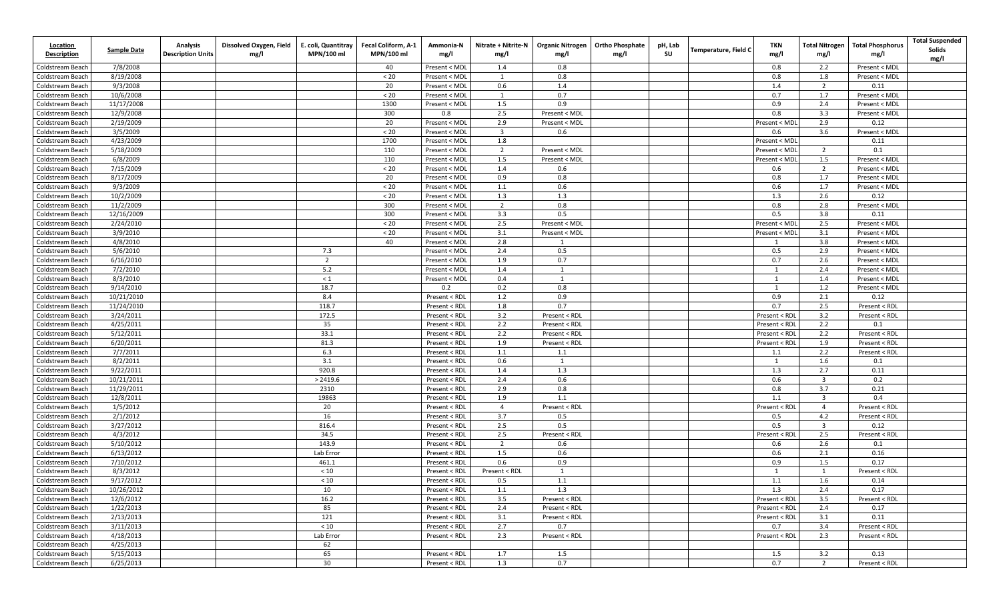| <b>Location</b><br><b>Description</b> | Sample Date           | <b>Analysis</b><br><b>Description Units</b> | Dissolved Oxygen, Field<br>mg/l | E. coli, Quantitray<br>MPN/100 ml | Fecal Coliform, A-1<br>MPN/100 ml | Ammonia-N<br>mg/l              | Nitrate + Nitrite-N<br>mg/l | <b>Organic Nitrogen</b><br>mg/l | <b>Ortho Phosphate</b><br>mg/l | pH, Lab<br>SU | <b>Temperature, Field C</b> | TKN<br>mg/l    | <b>Total Nitrogen</b><br>mg/l | <b>Total Phosphorus</b><br>mg/l | <b>Total Suspended</b><br><b>Solids</b><br>mg/l |
|---------------------------------------|-----------------------|---------------------------------------------|---------------------------------|-----------------------------------|-----------------------------------|--------------------------------|-----------------------------|---------------------------------|--------------------------------|---------------|-----------------------------|----------------|-------------------------------|---------------------------------|-------------------------------------------------|
| Coldstream Beach                      | 7/8/2008              |                                             |                                 |                                   | 40                                | Present < MDL                  | 1.4                         | 0.8                             |                                |               |                             | 0.8            | 2.2                           | Present < MDL                   |                                                 |
| Coldstream Beach                      | 8/19/2008             |                                             |                                 |                                   | $< 20$                            | Present < MDL                  | 1                           | 0.8                             |                                |               |                             | 0.8            | 1.8                           | Present < MDL                   |                                                 |
| Coldstream Beach                      | 9/3/2008              |                                             |                                 |                                   | 20                                | Present < MDL                  | 0.6                         | 1.4                             |                                |               |                             | 1.4            | $\overline{2}$                | 0.11                            |                                                 |
| Coldstream Beach                      | 10/6/2008             |                                             |                                 |                                   | $< 20$                            | Present < MDL                  | 1                           | 0.7                             |                                |               |                             | 0.7            | 1.7                           | Present < MDL                   |                                                 |
| Coldstream Beach                      | 11/17/2008            |                                             |                                 |                                   | 1300                              | Present < MDL                  | 1.5                         | 0.9                             |                                |               |                             | 0.9            | 2.4                           | Present < MDL                   |                                                 |
| Coldstream Beach                      | 12/9/2008             |                                             |                                 |                                   | 300                               | 0.8                            | 2.5                         | Present < MDL                   |                                |               |                             | 0.8            | 3.3                           | Present < MDL                   |                                                 |
| Coldstream Beach                      | 2/19/2009             |                                             |                                 |                                   | 20                                | Present < MDL                  | 2.9                         | Present < MDL                   |                                |               |                             | Present < MD   | 2.9                           | 0.12                            |                                                 |
| Coldstream Beach                      | 3/5/2009              |                                             |                                 |                                   | $< 20$                            | Present < MDL                  | $\overline{\mathbf{3}}$     | 0.6                             |                                |               |                             | 0.6            | 3.6                           | Present < MDL                   |                                                 |
| Coldstream Beach                      | 4/23/2009             |                                             |                                 |                                   | 1700                              | Present < MDL                  | 1.8                         |                                 |                                |               |                             | Present < MDI  |                               | 0.11                            |                                                 |
| Coldstream Beach                      | 5/18/2009             |                                             |                                 |                                   | 110                               | Present < MDL                  | $\overline{2}$              | Present < MDL                   |                                |               |                             | Present < MD   | 2                             | 0.1                             |                                                 |
| Coldstream Beach                      | 6/8/2009              |                                             |                                 |                                   | 110                               | Present < MDL                  | 1.5                         | Present < MDL                   |                                |               |                             | Present < MD   | 1.5                           | Present < MDL                   |                                                 |
| Coldstream Beach                      | 7/15/2009             |                                             |                                 |                                   | $< 20$                            | Present < MDL                  | 1.4                         | 0.6                             |                                |               |                             | 0.6            | $\overline{2}$                | Present < MDL                   |                                                 |
| Coldstream Beach                      | 8/17/2009             |                                             |                                 |                                   | 20                                | Present < MDL                  | 0.9                         | 0.8                             |                                |               |                             | 0.8            | 1.7                           | Present < MDL                   |                                                 |
| Coldstream Beach                      | 9/3/2009              |                                             |                                 |                                   | $20$                              | Present < MDL                  | $1.1$                       | 0.6                             |                                |               |                             | 0.6            | 1.7                           | Present < MDL                   |                                                 |
| Coldstream Beach                      | 10/2/2009             |                                             |                                 |                                   | $< 20$                            | Present < MDL                  | 1.3                         | 1.3                             |                                |               |                             | 1.3            | 2.6                           | 0.12                            |                                                 |
| Coldstream Beach                      | 11/2/2009             |                                             |                                 |                                   | 300                               | Present < MDL                  | $\overline{2}$              | 0.8                             |                                |               |                             | 0.8            | 2.8                           | Present < MDL                   |                                                 |
| Coldstream Beach                      | 12/16/2009            |                                             |                                 |                                   | 300                               | Present < MDL                  | 3.3                         | 0.5                             |                                |               |                             | 0.5            | 3.8                           | 0.11                            |                                                 |
| Coldstream Beach                      | 2/24/2010             |                                             |                                 |                                   | $< 20$                            | Present < MDL                  | 2.5                         | Present < MDL                   |                                |               |                             | Present < MDI  | 2.5                           | Present < MDL                   |                                                 |
| Coldstream Beach                      | 3/9/2010              |                                             |                                 |                                   | < 20                              | Present < MDL                  | 3.1                         | Present < MDL                   |                                |               |                             | Present < MDI  | 3.1                           | Present < MDL                   |                                                 |
| Coldstream Beach                      | 4/8/2010              |                                             |                                 |                                   | 40                                | Present < MDL<br>Present < MDL | 2.8                         | 1                               |                                |               |                             | 1              | 3.8                           | Present < MDL                   |                                                 |
| Coldstream Beach<br>Coldstream Beach  | 5/6/2010<br>6/16/2010 |                                             |                                 | 7.3<br>$\overline{2}$             |                                   | Present < MDL                  | 2.4<br>1.9                  | 0.5<br>0.7                      |                                |               |                             | 0.5<br>0.7     | 2.9<br>2.6                    | Present < MDL<br>Present < MDL  |                                                 |
| Coldstream Beach                      | 7/2/2010              |                                             |                                 | 5.2                               |                                   | Present < MDL                  | 1.4                         | $\mathbf{1}$                    |                                |               |                             | $\mathbf{1}$   | 2.4                           | Present < MDL                   |                                                 |
| Coldstream Beach                      | 8/3/2010              |                                             |                                 | $\leq 1$                          |                                   | Present < MDL                  | 0.4                         | 1                               |                                |               |                             | $\mathbf{1}$   | 1.4                           | Present < MDL                   |                                                 |
| Coldstream Beach                      | 9/14/2010             |                                             |                                 | 18.7                              |                                   | 0.2                            | 0.2                         | 0.8                             |                                |               |                             |                | 1.2                           | Present < MDL                   |                                                 |
| Coldstream Beach                      | 10/21/2010            |                                             |                                 | 8.4                               |                                   | Present < RDL                  | 1.2                         | 0.9                             |                                |               |                             | 0.9            | 2.1                           | 0.12                            |                                                 |
| Coldstream Beach                      | 11/24/2010            |                                             |                                 | 118.7                             |                                   | Present < RDL                  | 1.8                         | 0.7                             |                                |               |                             | 0.7            | 2.5                           | Present < RDL                   |                                                 |
| Coldstream Beach                      | 3/24/2011             |                                             |                                 | 172.5                             |                                   | Present < RDL                  | 3.2                         | Present < RDL                   |                                |               |                             | Present < RDL  | 3.2                           | Present < RDL                   |                                                 |
| Coldstream Beach                      | 4/25/2011             |                                             |                                 | 35                                |                                   | Present < RDL                  | 2.2                         | Present < RDL                   |                                |               |                             | Present < RDI  | 2.2                           | 0.1                             |                                                 |
| Coldstream Beach                      | 5/12/2011             |                                             |                                 | 33.1                              |                                   | Present < RDL                  | 2.2                         | Present < RDL                   |                                |               |                             | Present < RDI  | 2.2                           | Present < RDL                   |                                                 |
| Coldstream Beach                      | 6/20/2011             |                                             |                                 | 81.3                              |                                   | Present < RDL                  | 1.9                         | Present < RDL                   |                                |               |                             | Present < RD   | 1.9                           | Present < RDL                   |                                                 |
| Coldstream Beach                      | 7/7/2011              |                                             |                                 | 6.3                               |                                   | Present < RDL                  | 1.1                         | 1.1                             |                                |               |                             | 1.1            | 2.2                           | Present < RDL                   |                                                 |
| Coldstream Beach                      | 8/2/2011              |                                             |                                 | 3.1                               |                                   | Present < RDL                  | 0.6                         | 1                               |                                |               |                             | <sup>1</sup>   | 1.6                           | 0.1                             |                                                 |
| Coldstream Beach                      | 9/22/2011             |                                             |                                 | 920.8                             |                                   | Present < RDL                  | 1.4                         | 1.3                             |                                |               |                             | 1.3            | 2.7                           | 0.11                            |                                                 |
| Coldstream Beach                      | 10/21/2011            |                                             |                                 | > 2419.6                          |                                   | Present < RDL                  | 2.4                         | 0.6                             |                                |               |                             | 0.6            | $\overline{\mathbf{3}}$       | 0.2                             |                                                 |
| Coldstream Beach                      | 11/29/2011            |                                             |                                 | 2310                              |                                   | Present < RDL                  | 2.9                         | 0.8                             |                                |               |                             | 0.8            | 3.7                           | 0.21                            |                                                 |
| Coldstream Beach                      | 12/8/2011             |                                             |                                 | 19863                             |                                   | Present < RDL                  | 1.9                         | 1.1                             |                                |               |                             | 1.1            | $\overline{3}$                | 0.4                             |                                                 |
| Coldstream Beach                      | 1/5/2012              |                                             |                                 | 20                                |                                   | Present < RDL                  | $\overline{4}$              | Present < RDL                   |                                |               |                             | Present < RDI  | $\overline{4}$                | Present < RDL                   |                                                 |
| Coldstream Beach                      | 2/1/2012              |                                             |                                 | 16                                |                                   | Present < RDL                  | 3.7                         | 0.5                             |                                |               |                             | 0.5            | 4.2                           | Present < RDL                   |                                                 |
| Coldstream Beach                      | 3/27/2012             |                                             |                                 | 816.4                             |                                   | Present < RDL                  | 2.5                         | 0.5                             |                                |               |                             | 0.5            | $\overline{\mathbf{3}}$       | 0.12                            |                                                 |
| Coldstream Beach                      | 4/3/2012              |                                             |                                 | 34.5                              |                                   | Present < RDL                  | 2.5                         | Present < RDL                   |                                |               |                             | Present < RDI  | 2.5                           | Present < RDL                   |                                                 |
| Coldstream Beach                      | 5/10/2012             |                                             |                                 | 143.9                             |                                   | Present < RDL                  | $\overline{2}$              | 0.6                             |                                |               |                             | 0.6            | 2.6                           | 0.1                             |                                                 |
| Coldstream Beach                      | 6/13/2012             |                                             |                                 | Lab Error                         |                                   | Present < RDL                  | 1.5                         | 0.6                             |                                |               |                             | 0.6            | 2.1                           | 0.16                            |                                                 |
| Coldstream Beach                      | 7/10/2012             |                                             |                                 | 461.1                             |                                   | Present < RDL                  | 0.6                         | 0.9                             |                                |               |                             | 0.9            | 1.5                           | 0.17                            |                                                 |
| Coldstream Beach                      | 8/3/2012              |                                             |                                 | $<10$                             |                                   | Present < RDL                  | Present < RDL               | 1                               |                                |               |                             | $\overline{1}$ | 1                             | Present < RDL                   |                                                 |
| Coldstream Beach                      | 9/17/2012             |                                             |                                 | $<10\,$                           |                                   | Present < RDL                  | 0.5                         | 1.1                             |                                |               |                             | 1.1            | 1.6                           | 0.14                            |                                                 |
| Coldstream Beach                      | 10/26/2012            |                                             |                                 | 10                                |                                   | Present < RDL                  | 1.1                         | 1.3                             |                                |               |                             | 1.3            | 2.4                           | 0.17                            |                                                 |
| Coldstream Beach                      | 12/6/2012             |                                             |                                 | 16.2                              |                                   | Present < RDL                  | 3.5                         | Present < RDL                   |                                |               |                             | Present < RDL  | 3.5                           | Present < RDL                   |                                                 |
| Coldstream Beach                      | 1/22/2013             |                                             |                                 | 85                                |                                   | Present < RDL                  | 2.4                         | Present < RDL                   |                                |               |                             | Present < RDI  | 2.4                           | 0.17                            |                                                 |
| Coldstream Beach                      | 2/13/2013             |                                             |                                 | 121                               |                                   | Present < RDL                  | 3.1                         | Present < RDL                   |                                |               |                             | Present < RDL  | 3.1                           | 0.11                            |                                                 |
| Coldstream Beach                      | 3/11/2013             |                                             |                                 | $<10$                             |                                   | Present < RDL                  | 2.7                         | 0.7                             |                                |               |                             | 0.7            | 3.4                           | Present < RDL                   |                                                 |
| Coldstream Beach                      | 4/18/2013             |                                             |                                 | Lab Error                         |                                   | Present < RDL                  | 2.3                         | Present < RDL                   |                                |               |                             | Present < RDL  | 2.3                           | Present < RDL                   |                                                 |
| Coldstream Beach                      | 4/25/2013             |                                             |                                 | 62                                |                                   |                                |                             |                                 |                                |               |                             |                |                               |                                 |                                                 |
| Coldstream Beach                      | 5/15/2013             |                                             |                                 | 65                                |                                   | Present < RDL                  | 1.7                         | 1.5                             |                                |               |                             | 1.5            | 3.2                           | 0.13                            |                                                 |
| Coldstream Beach                      | 6/25/2013             |                                             |                                 | 30                                |                                   | Present < RDL                  | 1.3                         | 0.7                             |                                |               |                             | 0.7            | $\overline{2}$                | Present < RDL                   |                                                 |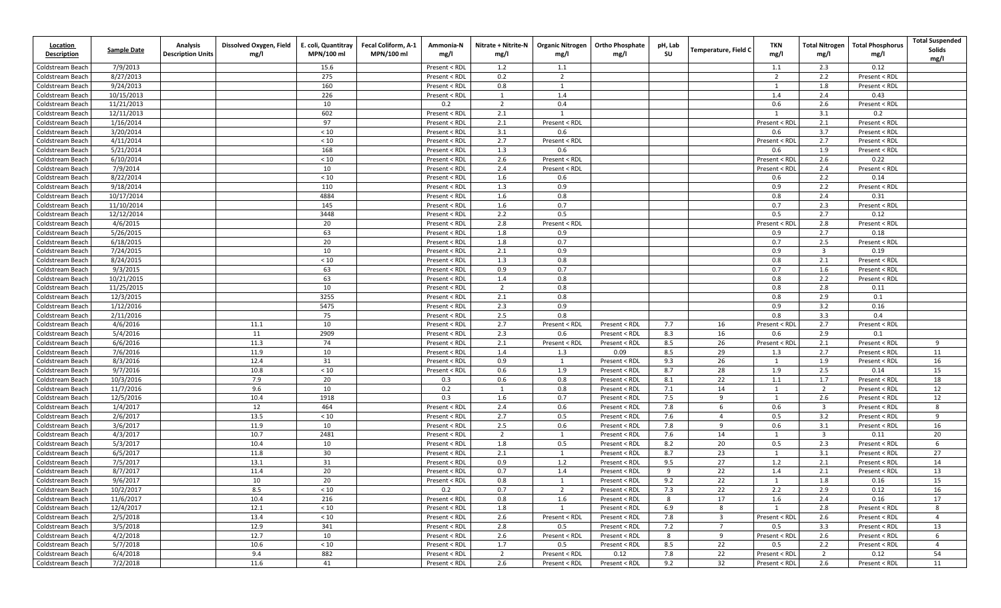| <b>Location</b><br><b>Description</b> | <b>Sample Date</b>     | <b>Analysis</b><br><b>Description Units</b> | Dissolved Oxygen, Field<br>mg/l | E. coli, Quantitray<br>MPN/100 ml | Fecal Coliform, A-1<br>MPN/100 ml | Ammonia-N<br>mg/l              | Nitrate + Nitrite-N<br>mg/l | <b>Organic Nitrogen</b><br>mg/l | <b>Ortho Phosphate</b><br>mg/l | pH, Lab<br>SU | Temperature, Field C    | TKN<br>mg/l    | <b>Total Nitrogen</b><br>mg/l  | <b>Total Phosphorus</b><br>mg/l | <b>Total Suspended</b><br><b>Solids</b><br>mg/l |
|---------------------------------------|------------------------|---------------------------------------------|---------------------------------|-----------------------------------|-----------------------------------|--------------------------------|-----------------------------|---------------------------------|--------------------------------|---------------|-------------------------|----------------|--------------------------------|---------------------------------|-------------------------------------------------|
| Coldstream Beach                      | 7/9/2013               |                                             |                                 | 15.6                              |                                   | Present < RDL                  | 1.2                         | 1.1                             |                                |               |                         | 1.1            | 2.3                            | 0.12                            |                                                 |
| Coldstream Beach                      | 8/27/2013              |                                             |                                 | 275                               |                                   | Present < RDL                  | 0.2                         | $\overline{2}$                  |                                |               |                         | $\overline{2}$ | 2.2                            | Present < RDL                   |                                                 |
| Coldstream Beach                      | 9/24/2013              |                                             |                                 | 160                               |                                   | Present < RDL                  | 0.8                         | 1                               |                                |               |                         | -1             | 1.8                            | Present < RDL                   |                                                 |
| Coldstream Beach                      | 10/15/2013             |                                             |                                 | 226                               |                                   | Present < RDL                  | -1                          | 1.4                             |                                |               |                         | 1.4            | 2.4                            | 0.43                            |                                                 |
| Coldstream Beach                      | 11/21/2013             |                                             |                                 | 10                                |                                   | 0.2                            | $\overline{2}$              | 0.4                             |                                |               |                         | 0.6            | 2.6                            | Present < RDL                   |                                                 |
| Coldstream Beach                      | 12/11/2013             |                                             |                                 | 602                               |                                   | Present < RDL                  | 2.1                         | $\mathbf{1}$                    |                                |               |                         | -1             | 3.1                            | 0.2                             |                                                 |
| Coldstream Beach                      | 1/16/2014              |                                             |                                 | 97                                |                                   | Present < RDL                  | 2.1                         | Present < RDL                   |                                |               |                         | Present < RD   | 2.1                            | Present < RDL                   |                                                 |
| Coldstream Beach                      | 3/20/2014              |                                             |                                 | < 10                              |                                   | Present < RDL                  | 3.1                         | 0.6                             |                                |               |                         | 0.6            | 3.7                            | Present < RDL                   |                                                 |
| Coldstream Beach                      | 4/11/2014              |                                             |                                 | < 10                              |                                   | Present < RDL                  | 2.7                         | Present < RDL                   |                                |               |                         | Present < RDI  | 2.7                            | Present < RDL                   |                                                 |
| Coldstream Beach                      | 5/21/2014              |                                             |                                 | 168                               |                                   | Present < RDL                  | 1.3                         | 0.6                             |                                |               |                         | 0.6            | 1.9                            | Present < RDL                   |                                                 |
| Coldstream Beach                      | 6/10/2014              |                                             |                                 | < 10                              |                                   | Present < RDL                  | 2.6                         | Present < RDL                   |                                |               |                         | Present < RD   | 2.6                            | 0.22                            |                                                 |
| Coldstream Beach                      | 7/9/2014               |                                             |                                 | 10                                |                                   | Present < RDL                  | 2.4                         | Present < RDL                   |                                |               |                         | Present < RDI  | 2.4                            | Present < RDL                   |                                                 |
| Coldstream Beach                      | 8/22/2014              |                                             |                                 | < 10                              |                                   | Present < RDL                  | 1.6                         | 0.6                             |                                |               |                         | 0.6            | 2.2                            | 0.14                            |                                                 |
| Coldstream Beach                      | 9/18/2014              |                                             |                                 | 110                               |                                   | Present < RDL                  | 1.3                         | 0.9                             |                                |               |                         | 0.9            | 2.2                            | Present < RDL                   |                                                 |
| Coldstream Beach                      | 10/17/2014             |                                             |                                 | 4884                              |                                   | Present < RDL                  | 1.6                         | 0.8                             |                                |               |                         | 0.8            | 2.4                            | 0.31                            |                                                 |
| Coldstream Beach                      | 11/10/2014             |                                             |                                 | 145                               |                                   | Present < RDL                  | 1.6                         | 0.7                             |                                |               |                         | 0.7            | 2.3                            | Present < RDL                   |                                                 |
| Coldstream Beach                      | 12/12/2014             |                                             |                                 | 3448                              |                                   | Present < RDL                  | 2.2                         | 0.5                             |                                |               |                         | 0.5            | 2.7                            | 0.12                            |                                                 |
| Coldstream Beach                      | 4/6/2015               |                                             |                                 | 20                                |                                   | Present < RDL                  | 2.8                         | Present < RDL                   |                                |               |                         | Present < RDI  | 2.8                            | Present < RDL                   |                                                 |
| Coldstream Beach                      | 5/26/2015              |                                             |                                 | 63                                |                                   | Present < RDL                  | 1.8                         | 0.9                             |                                |               |                         | 0.9            | 2.7                            | 0.18                            |                                                 |
| Coldstream Beach                      | 6/18/2015              |                                             |                                 | 20                                |                                   | Present < RDL                  | 1.8                         | 0.7                             |                                |               |                         | 0.7            | 2.5                            | Present < RDL                   |                                                 |
| Coldstream Beach<br>Coldstream Beach  | 7/24/2015<br>8/24/2015 |                                             |                                 | 10<br>< 10                        |                                   | Present < RDL                  | 2.1<br>1.3                  | 0.9<br>0.8                      |                                |               |                         | 0.9<br>0.8     | $\overline{\mathbf{3}}$<br>2.1 | 0.19<br>Present < RDL           |                                                 |
| Coldstream Beach                      | 9/3/2015               |                                             |                                 | 63                                |                                   | Present < RDL<br>Present < RDL | 0.9                         | 0.7                             |                                |               |                         | 0.7            | 1.6                            | Present < RDL                   |                                                 |
| Coldstream Beach                      | 10/21/2015             |                                             |                                 | 63                                |                                   | Present < RDL                  | 1.4                         | 0.8                             |                                |               |                         | 0.8            | 2.2                            | Present < RDL                   |                                                 |
| Coldstream Beach                      | 11/25/2015             |                                             |                                 | 10                                |                                   | Present < RDL                  | $\overline{2}$              | 0.8                             |                                |               |                         | 0.8            | 2.8                            | 0.11                            |                                                 |
| Coldstream Beach                      | 12/3/2015              |                                             |                                 | 3255                              |                                   | Present < RDL                  | 2.1                         | 0.8                             |                                |               |                         | 0.8            | 2.9                            | 0.1                             |                                                 |
| Coldstream Beach                      | 1/12/2016              |                                             |                                 | 5475                              |                                   | Present < RDL                  | 2.3                         | 0.9                             |                                |               |                         | 0.9            | 3.2                            | 0.16                            |                                                 |
| Coldstream Beach                      | 2/11/2016              |                                             |                                 | 75                                |                                   | Present < RDL                  | 2.5                         | 0.8                             |                                |               |                         | 0.8            | 3.3                            | 0.4                             |                                                 |
| Coldstream Beach                      | 4/6/2016               |                                             | 11.1                            | 10                                |                                   | Present < RDL                  | 2.7                         | Present < RDL                   | Present < RDL                  | 7.7           | 16                      | Present < RDL  | 2.7                            | Present < RDL                   |                                                 |
| Coldstream Beach                      | 5/4/2016               |                                             | 11                              | 2909                              |                                   | Present < RDL                  | 2.3                         | 0.6                             | Present < RDL                  | 8.3           | 16                      | 0.6            | 2.9                            | 0.1                             |                                                 |
| Coldstream Beach                      | 6/6/2016               |                                             | 11.3                            | 74                                |                                   | Present < RDL                  | 2.1                         | Present < RDI                   | Present < RDL                  | 8.5           | 26                      | Present < RD   | 2.1                            | Present < RDL                   | 9                                               |
| Coldstream Beach                      | 7/6/2016               |                                             | 11.9                            | 10                                |                                   | Present < RDL                  | 1.4                         | 1.3                             | 0.09                           | 8.5           | 29                      | 1.3            | 2.7                            | Present < RDL                   | 11                                              |
| Coldstream Beach                      | 8/3/2016               |                                             | 12.4                            | 31                                |                                   | Present < RDL                  | 0.9                         | 1                               | Present < RDL                  | 9.3           | 26                      | 1              | 1.9                            | Present < RDL                   | 16                                              |
| Coldstream Beach                      | 9/7/2016               |                                             | 10.8                            | < 10                              |                                   | Present < RDL                  | 0.6                         | 1.9                             | Present < RDL                  | 8.7           | 28                      | 1.9            | 2.5                            | 0.14                            | 15                                              |
| Coldstream Beach                      | 10/3/2016              |                                             | 7.9                             | 20                                |                                   | 0.3                            | 0.6                         | 0.8                             | Present < RDL                  | 8.1           | 22                      | 1.1            | 1.7                            | Present < RDL                   | 18                                              |
| Coldstream Beach                      | 11/7/2016              |                                             | 9.6                             | 10                                |                                   | 0.2                            | 1                           | 0.8                             | Present < RDL                  | 7.1           | 14                      | $\mathbf{1}$   | $\overline{2}$                 | Present < RDL                   | 12                                              |
| Coldstream Beach                      | 12/5/2016              |                                             | 10.4                            | 1918                              |                                   | 0.3                            | 1.6                         | 0.7                             | Present < RDL                  | 7.5           | 9                       | $\overline{1}$ | 2.6                            | Present < RDL                   | 12                                              |
| Coldstream Beach                      | 1/4/2017               |                                             | 12                              | 464                               |                                   | Present < RDL                  | 2.4                         | 0.6                             | Present < RDL                  | 7.8           | 6                       | 0.6            | $\overline{\mathbf{3}}$        | Present < RDL                   | 8                                               |
| Coldstream Beach                      | 2/6/2017               |                                             | 13.5                            | < 10                              |                                   | Present < RDL                  | 2.7                         | 0.5                             | Present < RDL                  | 7.6           | $\overline{4}$          | 0.5            | 3.2                            | Present < RDL                   | 9                                               |
| Coldstream Beach                      | 3/6/2017               |                                             | 11.9                            | 10                                |                                   | Present < RDL                  | 2.5                         | 0.6                             | Present < RDL                  | 7.8           | 9                       | 0.6            | 3.1                            | Present < RDL                   | 16                                              |
| Coldstream Beach                      | 4/3/2017               |                                             | 10.7                            | 2481                              |                                   | Present < RDL                  | $\overline{2}$              | 1                               | Present < RDL                  | 7.6           | 14                      | - 1            | $\overline{\mathbf{3}}$        | 0.11                            | 20                                              |
| Coldstream Beach                      | 5/3/2017               |                                             | 10.4                            | 10                                |                                   | Present < RDL                  | 1.8                         | 0.5                             | Present < RDL                  | 8.2           | 20                      | 0.5            | 2.3                            | Present < RDL                   | 6                                               |
| Coldstream Beach                      | 6/5/2017               |                                             | 11.8                            | 30                                |                                   | Present < RDL                  | 2.1                         | 1                               | Present < RDL                  | 8.7           | 23                      | -1             | 3.1                            | Present < RDL                   | 27                                              |
| Coldstream Beach                      | 7/5/2017               |                                             | 13.1                            | 31                                |                                   | Present < RDL                  | 0.9                         | 1.2                             | Present < RDL                  | 9.5           | 27                      | 1.2            | 2.1                            | Present < RDL                   | 14                                              |
| Coldstream Beach                      | 8/7/2017               |                                             | 11.4                            | 20                                |                                   | Present < RDL                  | 0.7                         | 1.4                             | Present < RDL                  | 9             | 22                      | 1.4            | 2.1                            | Present < RDL                   | 13                                              |
| Coldstream Beach                      | 9/6/2017               |                                             | 10                              | 20                                |                                   | Present < RDL                  | 0.8                         | 1                               | Present < RDL                  | 9.2           | 22                      | 1              | 1.8                            | 0.16                            | 15                                              |
| Coldstream Beach                      | 10/2/2017              |                                             | 8.5                             | < 10                              |                                   | 0.2                            | 0.7                         | $\overline{2}$                  | Present < RDL                  | 7.3           | 22                      | 2.2            | 2.9                            | 0.12                            | 16                                              |
| Coldstream Beach                      | 11/6/2017              |                                             | 10.4                            | 216                               |                                   | Present < RDL                  | 0.8                         | 1.6                             | Present < RDL                  | 8             | 17                      | 1.6            | 2.4                            | 0.16                            | 17                                              |
| Coldstream Beach                      | 12/4/2017              |                                             | 12.1                            | $<10$                             |                                   | Present < RDL                  | 1.8                         | 1                               | Present < RDL                  | 6.9           | 8                       | $\mathbf{1}$   | 2.8                            | Present < RDL                   | 8                                               |
| Coldstream Beach                      | 2/5/2018               |                                             | 13.4                            | $<10$                             |                                   | Present < RDL                  | 2.6                         | Present < RDL                   | Present < RDL                  | 7.8           | $\overline{\mathbf{3}}$ | Present < RDL  | 2.6                            | Present < RDL                   | -4                                              |
| Coldstream Beach                      | 3/5/2018               |                                             | 12.9                            | 341                               |                                   | Present < RDL                  | 2.8                         | 0.5                             | Present < RDL                  | 7.2           | $\overline{7}$          | 0.5            | 3.3                            | Present < RDL                   | 13                                              |
| Coldstream Beach                      | 4/2/2018               |                                             | 12.7                            | 10                                |                                   | Present < RDL                  | 2.6                         | Present < RDL                   | Present < RDL                  | 8             | 9                       | Present < RDL  | 2.6                            | Present < RDL                   | 6                                               |
| Coldstream Beach                      | 5/7/2018               |                                             | 10.6                            | $<10$                             |                                   | Present < RDL                  | 1.7                         | 0.5                             | Present < RDL                  | 8.5           | 22                      | 0.5            | 2.2                            | Present < RDL                   | $\overline{4}$                                  |
| Coldstream Beach                      | 6/4/2018               |                                             | 9.4                             | 882                               |                                   | Present < RDL                  | $\overline{2}$              | Present < RDL                   | 0.12                           | 7.8           | 22                      | Present < RDL  | $\overline{2}$                 | 0.12                            | 54                                              |
| Coldstream Beach                      | 7/2/2018               |                                             | 11.6                            | 41                                |                                   | Present < RDL                  | 2.6                         | Present < RDL                   | Present < RDL                  | 9.2           | 32                      | Present < RDL  | 2.6                            | Present < RDL                   | 11                                              |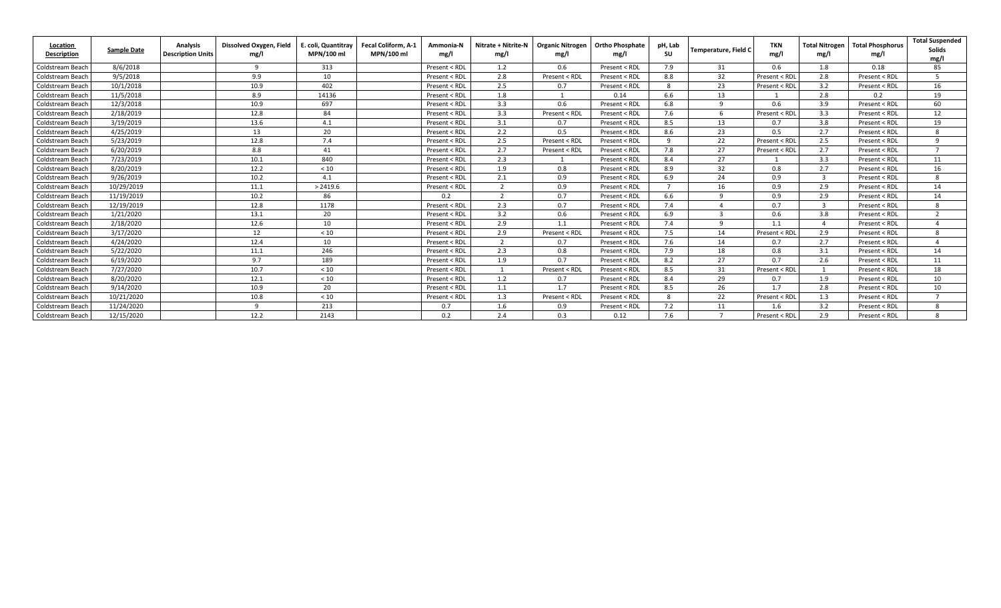| Location<br>Description | <b>Sample Date</b> | <b>Analysis</b><br><b>Description Units</b> | Dissolved Oxygen, Field<br>mg/l | E. coli. Quantitrav<br>MPN/100 ml | Fecal Coliform, A-1<br>MPN/100 ml | Ammonia-N<br>mg/l | <b>Nitrate + Nitrite-N</b><br>mg/l | <b>Organic Nitrogen</b><br>mg/l | <b>Ortho Phosphate</b><br>mg/l | pH, Lab<br><b>SU</b> | Temperature, Field C | <b>TKN</b><br>mg/l | <b>Total Nitrogen</b><br>mg/l | <b>Total Phosphorus</b><br>mg/l | <b>Total Suspended</b><br><b>Solids</b><br>mg/l |
|-------------------------|--------------------|---------------------------------------------|---------------------------------|-----------------------------------|-----------------------------------|-------------------|------------------------------------|---------------------------------|--------------------------------|----------------------|----------------------|--------------------|-------------------------------|---------------------------------|-------------------------------------------------|
| Coldstream Beach        | 8/6/2018           |                                             | $\mathbf{q}$                    | 313                               |                                   | Present < RDL     | 1.2                                | 0.6                             | Present < RDL                  | 7.9                  | 31                   | 0.6                | 1.8                           | 0.18                            | 85                                              |
| Coldstream Beach        | 9/5/2018           |                                             | 9.9                             | 10                                |                                   | Present < RDL     | 2.8                                | Present < RDL                   | Present < RDL                  | 8.8                  | 32                   | Present < RD       | 2.8                           | Present < RDL                   | -5                                              |
| Coldstream Beach        | 10/1/2018          |                                             | 10.9                            | 402                               |                                   | Present < RDL     | 2.5                                | 0.7                             | Present < RDL                  | 8                    | 23                   | Present < RD       | 3.2                           | Present < RDL                   | 16                                              |
| Coldstream Beach        | 11/5/2018          |                                             | 8.9                             | 14136                             |                                   | Present < RDL     | 1.8                                |                                 | 0.14                           | 6.6                  | 13                   |                    | 2.8                           | 0.2                             | 19                                              |
| Coldstream Beach        | 12/3/2018          |                                             | 10.9                            | 697                               |                                   | Present < RDL     | 3.3                                | 0.6                             | Present < RDL                  | 6.8                  | $\Omega$             | 0.6                | 3.9                           | Present < RDL                   | 60                                              |
| Coldstream Beach        | 2/18/2019          |                                             | 12.8                            | 84                                |                                   | Present < RDL     | 3.3                                | Present < RDL                   | Present < RDL                  | 7.6                  |                      | Present < RD       | 3.3                           | Present < RDL                   | 12                                              |
| Coldstream Beach        | 3/19/2019          |                                             | 13.6                            | 4.1                               |                                   | Present < RDL     | 3.1                                | 0.7                             | Present < RDL                  | 8.5                  | 13                   | 0.7                | 3.8                           | Present < RDL                   | 19                                              |
| Coldstream Beach        | 4/25/2019          |                                             | 13                              | 20                                |                                   | Present < RDL     | 2.2                                | 0.5                             | Present < RDL                  | 8.6                  | 23                   | 0.5                | 2.7                           | Present < RDL                   | 8                                               |
| Coldstream Beach        | 5/23/2019          |                                             | 12.8                            | 7.4                               |                                   | Present < RDL     | 2.5                                | Present < RDL                   | Present < RDL                  | $\Omega$             | 22                   | Present < RD       | 2.5                           | Present < RDL                   | $\alpha$                                        |
| Coldstream Beach        | 6/20/2019          |                                             | 8.8                             | 41                                |                                   | Present < RDL     | 2.7                                | Present < RDL                   | Present < RDL                  | 7.8                  | 27                   | Present < RD       | 2.7                           | Present < RDL                   |                                                 |
| Coldstream Beach        | 7/23/2019          |                                             | 10.1                            | 840                               |                                   | Present < RDL     | 2.3                                |                                 | Present < RDL                  | 8.4                  | 27                   |                    | 3.3                           | Present < RDL                   | 11                                              |
| Coldstream Beach        | 8/20/2019          |                                             | 12.2                            | < 10                              |                                   | Present < RDL     | 1.9                                | 0.8                             | Present < RDL                  | 8.9                  | 32                   | 0.8                | 2.7                           | Present < RDL                   | 16                                              |
| Coldstream Beach        | 9/26/2019          |                                             | 10.2                            | 4.1                               |                                   | Present < RDL     | 2.1                                | 0.9                             | Present < RDL                  | 6.9                  | 24                   | 0.9                | $\overline{3}$                | Present < RDL                   | 8                                               |
| Coldstream Beach        | 10/29/2019         |                                             | 11.1                            | > 2419.6                          |                                   | Present < RDL     | $\overline{2}$                     | 0.9                             | Present < RDL                  |                      | 16                   | 0.9                | 2.9                           | Present < RDL                   | 14                                              |
| Coldstream Beach        | 11/19/2019         |                                             | 10.2                            | 86                                |                                   | 0.2               | $\overline{2}$                     | 0.7                             | Present < RDL                  | 6.6                  |                      | 0.9                | 2.9                           | Present < RDL                   | 14                                              |
| Coldstream Beach        | 12/19/2019         |                                             | 12.8                            | 1178                              |                                   | Present < RDL     | 2.3                                | 0.7                             | Present < RDL                  | 7.4                  |                      | 0.7                | $\overline{3}$                | Present < RDL                   | 8                                               |
| Coldstream Beach        | 1/21/2020          |                                             | 13.1                            | 20                                |                                   | Present < RDL     | 3.2                                | 0.6                             | Present < RDL                  | 6.9                  |                      | 0.6                | 3.8                           | Present < RDL                   | $\overline{2}$                                  |
| Coldstream Beach        | 2/18/2020          |                                             | 12.6                            | 10                                |                                   | Present < RDL     | 2.9                                | 1.1                             | Present < RDL                  | 7.4                  | $\alpha$             | 1.1                | $\Delta$                      | Present < RDL                   |                                                 |
| Coldstream Beach        | 3/17/2020          |                                             | 12                              | < 10                              |                                   | Present < RDL     | 2.9                                | Present < RDL                   | Present < RDL                  | 7.5                  | 14                   | Present < RD       | 2.9                           | Present < RDL                   | 8                                               |
| Coldstream Beach        | 4/24/2020          |                                             | 12.4                            | 10                                |                                   | Present < RDL     | $\overline{2}$                     | 0.7                             | Present < RDL                  | 7.6                  | 14                   | 0.7                | 2.7                           | Present < RDL                   |                                                 |
| Coldstream Beach        | 5/22/2020          |                                             | 11.1                            | 246                               |                                   | Present < RDL     | 2.3                                | 0.8                             | Present < RDL                  | 7.9                  | 18                   | 0.8                | 3.1                           | Present < RDL                   | 14                                              |
| Coldstream Beach        | 6/19/2020          |                                             | 9.7                             | 189                               |                                   | Present < RDL     | 1.9                                | 0.7                             | Present < RDL                  | 8.2                  | 27                   | 07                 | 2.6                           | Present < RDL                   | 11                                              |
| Coldstream Beach        | 7/27/2020          |                                             | 10.7                            | $<10$                             |                                   | Present < RDL     |                                    | Present < RDL                   | Present < RDL                  | 8.5                  | 31                   | Present < RD       | $\mathbf{1}$                  | Present < RDL                   | 18                                              |
| Coldstream Beach        | 8/20/2020          |                                             | 12.1                            | $<10$                             |                                   | Present < RDL     | 1.2                                | 0.7                             | Present < RDL                  | 8.4                  | 29                   | 0.7                | 1.9                           | Present < RDL                   | 10                                              |
| Coldstream Beach        | 9/14/2020          |                                             | 10.9                            | 20                                |                                   | Present < RDL     | 1.1                                | 1.7                             | Present < RDL                  | 8.5                  | 26                   | 1.7                | 2.8                           | Present < RDL                   | 10                                              |
| Coldstream Beach        | 10/21/2020         |                                             | 10.8                            | $<10$                             |                                   | Present < RDL     | 1.3                                | Present < RDL                   | Present < RDL                  | 8                    | 22                   | Present < RD       | 1.3                           | Present < RDL                   | $\overline{ }$                                  |
| Coldstream Beach        | 11/24/2020         |                                             | Q                               | 213                               |                                   | 0.7               | 1.6                                | 0.9                             | Present < RDL                  | 7.2                  | 11                   | 1.6                | 3.2                           | Present < RDL                   | 8                                               |
| Coldstream Beach        | 12/15/2020         |                                             | 12.2                            | 2143                              |                                   | 0.2               | 2.4                                | 0.3                             | 0.12                           | 7.6                  | $\overline{ }$       | Present < RDI      | 2.9                           | Present < RDL                   | 8                                               |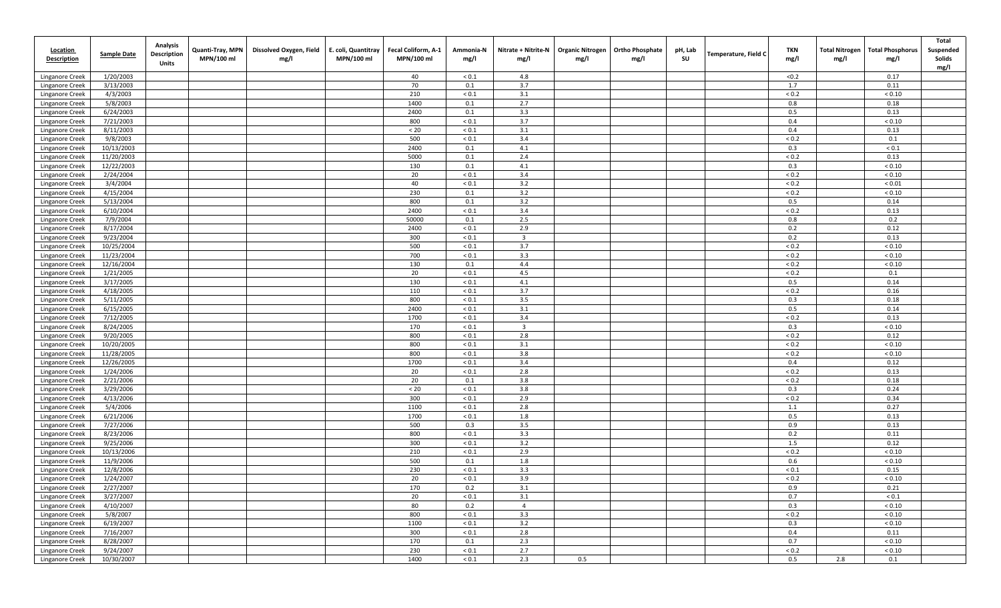| <b>Location</b><br><b>Description</b> | <b>Sample Date</b>     | Analysis<br><b>Description</b><br>Units | Quanti-Tray, MPN<br>MPN/100 ml | Dissolved Oxygen, Field<br>mg/l | E. coli, Quantitray<br>MPN/100 ml | Fecal Coliform, A-1<br>MPN/100 ml | Ammonia-N<br>mg/l        | Nitrate + Nitrite-N<br>mg/l | mg/l | Organic Nitrogen   Ortho Phosphate<br>mg/l | pH, Lab<br>SU | <b>Temperature, Field C</b> | TKN<br>mg/l | <b>Total Nitrogen</b><br>mg/l | <b>Total Phosphorus</b><br>mg/l | Total<br>Suspended<br>Solids<br>mg/l |
|---------------------------------------|------------------------|-----------------------------------------|--------------------------------|---------------------------------|-----------------------------------|-----------------------------------|--------------------------|-----------------------------|------|--------------------------------------------|---------------|-----------------------------|-------------|-------------------------------|---------------------------------|--------------------------------------|
| Linganore Creek                       | 1/20/2003              |                                         |                                |                                 |                                   | 40                                | ${}_{0.1}$               | 4.8                         |      |                                            |               |                             | < 0.2       |                               | 0.17                            |                                      |
| Linganore Creek                       | 3/13/2003              |                                         |                                |                                 |                                   | 70                                | 0.1                      | 3.7                         |      |                                            |               |                             | 1.7         |                               | 0.11                            |                                      |
| Linganore Creek                       | 4/3/2003               |                                         |                                |                                 |                                   | 210                               | ${}_{0.1}$               | 3.1                         |      |                                            |               |                             | ${}_{0.2}$  |                               | ${}< 0.10$                      |                                      |
| Linganore Creek                       | 5/8/2003               |                                         |                                |                                 |                                   | 1400                              | 0.1                      | 2.7                         |      |                                            |               |                             | 0.8         |                               | 0.18                            |                                      |
| Linganore Creek                       | 6/24/2003              |                                         |                                |                                 |                                   | 2400                              | 0.1                      | 3.3                         |      |                                            |               |                             | 0.5         |                               | 0.13                            |                                      |
| Linganore Creek                       | 7/21/2003              |                                         |                                |                                 |                                   | 800                               | ${}_{< 0.1}$             | 3.7                         |      |                                            |               |                             | 0.4         |                               | ${}< 0.10$                      |                                      |
| Linganore Creek                       | 8/11/2003              |                                         |                                |                                 |                                   | < 20                              | ${}_{< 0.1}$             | 3.1                         |      |                                            |               |                             | 0.4         |                               | 0.13                            |                                      |
| Linganore Creek                       | 9/8/2003               |                                         |                                |                                 |                                   | 500                               | ${}_{0.1}$               | 3.4                         |      |                                            |               |                             | ${}_{0.2}$  |                               | 0.1                             |                                      |
| Linganore Creek                       | 10/13/2003             |                                         |                                |                                 |                                   | 2400                              | 0.1                      | 4.1                         |      |                                            |               |                             | 0.3         |                               | ${}_{0.1}$                      |                                      |
| Linganore Creek                       | 11/20/2003             |                                         |                                |                                 |                                   | 5000                              | 0.1                      | 2.4                         |      |                                            |               |                             | < 0.2       |                               | 0.13                            |                                      |
| Linganore Creek                       | 12/22/2003             |                                         |                                |                                 |                                   | 130                               | 0.1                      | 4.1                         |      |                                            |               |                             | 0.3         |                               | ${}_{< 0.10}$                   |                                      |
| Linganore Creek                       | 2/24/2004              |                                         |                                |                                 |                                   | 20                                | ${}_{0.1}$               | 3.4                         |      |                                            |               |                             | < 0.2       |                               | ${}< 0.10$                      |                                      |
| Linganore Creek                       | 3/4/2004               |                                         |                                |                                 |                                   | 40                                | ${}_{< 0.1}$             | 3.2                         |      |                                            |               |                             | ${}_{0.2}$  |                               | ${}_{0.01}$                     |                                      |
| Linganore Creek                       | 4/15/2004              |                                         |                                |                                 |                                   | 230                               | 0.1                      | 3.2                         |      |                                            |               |                             | ${}_{0.2}$  |                               | ${}< 0.10$                      |                                      |
| Linganore Creek                       | 5/13/2004              |                                         |                                |                                 |                                   | 800                               | 0.1                      | 3.2                         |      |                                            |               |                             | 0.5         |                               | 0.14                            |                                      |
| Linganore Creek                       | 6/10/2004              |                                         |                                |                                 |                                   | 2400                              | ${}_{< 0.1}$             | 3.4                         |      |                                            |               |                             | ${}_{0.2}$  |                               | 0.13                            |                                      |
| Linganore Creek                       | 7/9/2004               |                                         |                                |                                 |                                   | 50000                             | 0.1                      | 2.5                         |      |                                            |               |                             | 0.8         |                               | 0.2                             |                                      |
| Linganore Creek                       | 8/17/2004<br>9/23/2004 |                                         |                                |                                 |                                   | 2400<br>300                       | ${}_{0.1}$<br>${}_{0.1}$ | 2.9<br>$\overline{3}$       |      |                                            |               |                             | 0.2<br>0.2  |                               | 0.12<br>0.13                    |                                      |
| Linganore Creek<br>Linganore Creek    | 10/25/2004             |                                         |                                |                                 |                                   | 500                               | ${}_{0.1}$               | 3.7                         |      |                                            |               |                             | ${}_{0.2}$  |                               | ${}< 0.10$                      |                                      |
| Linganore Creek                       | 11/23/2004             |                                         |                                |                                 |                                   | 700                               | ${}_{0.1}$               | 3.3                         |      |                                            |               |                             | < 0.2       |                               | ${}_{< 0.10}$                   |                                      |
| Linganore Creek                       | 12/16/2004             |                                         |                                |                                 |                                   | 130                               | 0.1                      | 4.4                         |      |                                            |               |                             | ${}_{0.2}$  |                               | ${}_{< 0.10}$                   |                                      |
| Linganore Creek                       | 1/21/2005              |                                         |                                |                                 |                                   | 20                                | ${}_{0.1}$               | 4.5                         |      |                                            |               |                             | ${}_{0.2}$  |                               | 0.1                             |                                      |
| Linganore Creek                       | 3/17/2005              |                                         |                                |                                 |                                   | 130                               | ${}_{< 0.1}$             | 4.1                         |      |                                            |               |                             | 0.5         |                               | 0.14                            |                                      |
| Linganore Creek                       | 4/18/2005              |                                         |                                |                                 |                                   | 110                               | ${}_{0.1}$               | 3.7                         |      |                                            |               |                             | ${}_{0.2}$  |                               | 0.16                            |                                      |
| Linganore Creek                       | 5/11/2005              |                                         |                                |                                 |                                   | 800                               | ${}_{< 0.1}$             | 3.5                         |      |                                            |               |                             | 0.3         |                               | 0.18                            |                                      |
| Linganore Creek                       | 6/15/2005              |                                         |                                |                                 |                                   | 2400                              | ${}_{0.1}$               | 3.1                         |      |                                            |               |                             | 0.5         |                               | 0.14                            |                                      |
| Linganore Creek                       | 7/12/2005              |                                         |                                |                                 |                                   | 1700                              | ${}_{0.1}$               | 3.4                         |      |                                            |               |                             | ${}_{0.2}$  |                               | 0.13                            |                                      |
| Linganore Creek                       | 8/24/2005              |                                         |                                |                                 |                                   | 170                               | ${}_{< 0.1}$             | $\overline{\mathbf{3}}$     |      |                                            |               |                             | 0.3         |                               | ${}_{< 0.10}$                   |                                      |
| Linganore Creek                       | 9/20/2005              |                                         |                                |                                 |                                   | 800                               | ${}_{0.1}$               | 2.8                         |      |                                            |               |                             | ${}_{0.2}$  |                               | 0.12                            |                                      |
| Linganore Creek                       | 10/20/2005             |                                         |                                |                                 |                                   | 800                               | ${}_{< 0.1}$             | 3.1                         |      |                                            |               |                             | ${}_{0.2}$  |                               | ${}_{< 0.10}$                   |                                      |
| Linganore Creek                       | 11/28/2005             |                                         |                                |                                 |                                   | 800                               | ${}_{0.1}$               | 3.8                         |      |                                            |               |                             | ${}_{0.2}$  |                               | ${}_{< 0.10}$                   |                                      |
| Linganore Creek                       | 12/26/2005             |                                         |                                |                                 |                                   | 1700                              | ${}_{0.1}$               | 3.4                         |      |                                            |               |                             | 0.4         |                               | 0.12                            |                                      |
| Linganore Creek                       | 1/24/2006              |                                         |                                |                                 |                                   | 20                                | ${}_{0.1}$               | 2.8                         |      |                                            |               |                             | ${}_{0.2}$  |                               | 0.13                            |                                      |
| Linganore Creek                       | 2/21/2006              |                                         |                                |                                 |                                   | 20                                | 0.1                      | 3.8                         |      |                                            |               |                             | ${}_{0.2}$  |                               | 0.18                            |                                      |
| Linganore Creek                       | 3/29/2006              |                                         |                                |                                 |                                   | < 20                              | ${}_{0.1}$               | 3.8                         |      |                                            |               |                             | 0.3         |                               | 0.24                            |                                      |
| Linganore Creek                       | 4/13/2006              |                                         |                                |                                 |                                   | 300                               | ${}_{0.1}$               | 2.9                         |      |                                            |               |                             | ${}_{0.2}$  |                               | 0.34                            |                                      |
| Linganore Creek                       | 5/4/2006               |                                         |                                |                                 |                                   | 1100                              | ${}_{0.1}$               | 2.8                         |      |                                            |               |                             | 1.1         |                               | 0.27                            |                                      |
| Linganore Creek                       | 6/21/2006              |                                         |                                |                                 |                                   | 1700                              | ${}_{0.1}$               | 1.8                         |      |                                            |               |                             | 0.5         |                               | 0.13                            |                                      |
| <b>Linganore Creek</b>                | 7/27/2006              |                                         |                                |                                 |                                   | 500                               | 0.3                      | 3.5                         |      |                                            |               |                             | 0.9         |                               | 0.13                            |                                      |
| Linganore Creek                       | 8/23/2006<br>9/25/2006 |                                         |                                |                                 |                                   | 800<br>300                        | ${}_{0.1}$               | 3.3<br>3.2                  |      |                                            |               |                             | 0.2<br>1.5  |                               | 0.11                            |                                      |
| Linganore Creek                       | 10/13/2006             |                                         |                                |                                 |                                   | 210                               | ${}_{0.1}$<br>${}_{0.1}$ | 2.9                         |      |                                            |               |                             | < 0.2       |                               | 0.12<br>${}_{< 0.10}$           |                                      |
| Linganore Creek<br>Linganore Creek    | 11/9/2006              |                                         |                                |                                 |                                   | 500                               | 0.1                      | 1.8                         |      |                                            |               |                             | 0.6         |                               | ${}< 0.10$                      |                                      |
| Linganore Creek                       | 12/8/2006              |                                         |                                |                                 |                                   | 230                               | ${}_{< 0.1}$             | 3.3                         |      |                                            |               |                             | ${}_{0.1}$  |                               | 0.15                            |                                      |
| Linganore Creek                       | 1/24/2007              |                                         |                                |                                 |                                   | 20                                | ${}_{0.1}$               | 3.9                         |      |                                            |               |                             | ${}_{0.2}$  |                               | ${}_{< 0.10}$                   |                                      |
| Linganore Creek                       | 2/27/2007              |                                         |                                |                                 |                                   | 170                               | 0.2                      | 3.1                         |      |                                            |               |                             | 0.9         |                               | 0.21                            |                                      |
| Linganore Creek                       | 3/27/2007              |                                         |                                |                                 |                                   | 20                                | $< 0.1$                  | 3.1                         |      |                                            |               |                             | 0.7         |                               | $< 0.1$                         |                                      |
| Linganore Creek                       | 4/10/2007              |                                         |                                |                                 |                                   | 80                                | 0.2                      | $\overline{4}$              |      |                                            |               |                             | 0.3         |                               | ${}< 0.10$                      |                                      |
| Linganore Creek                       | 5/8/2007               |                                         |                                |                                 |                                   | 800                               | $< 0.1$                  | 3.3                         |      |                                            |               |                             | ${}_{0.2}$  |                               | ${}_{< 0.10}$                   |                                      |
| Linganore Creek                       | 6/19/2007              |                                         |                                |                                 |                                   | 1100                              | $< 0.1$                  | 3.2                         |      |                                            |               |                             | 0.3         |                               | < 0.10                          |                                      |
| Linganore Creek                       | 7/16/2007              |                                         |                                |                                 |                                   | 300                               | $< 0.1$                  | 2.8                         |      |                                            |               |                             | 0.4         |                               | 0.11                            |                                      |
| Linganore Creek                       | 8/28/2007              |                                         |                                |                                 |                                   | 170                               | 0.1                      | 2.3                         |      |                                            |               |                             | 0.7         |                               | ${}_{< 0.10}$                   |                                      |
| Linganore Creek                       | 9/24/2007              |                                         |                                |                                 |                                   | 230                               | < 0.1                    | 2.7                         |      |                                            |               |                             | ${}_{0.2}$  |                               | ${}_{< 0.10}$                   |                                      |
| Linganore Creek                       | 10/30/2007             |                                         |                                |                                 |                                   | 1400                              | $< 0.1$                  | 2.3                         | 0.5  |                                            |               |                             | 0.5         | 2.8                           | 0.1                             |                                      |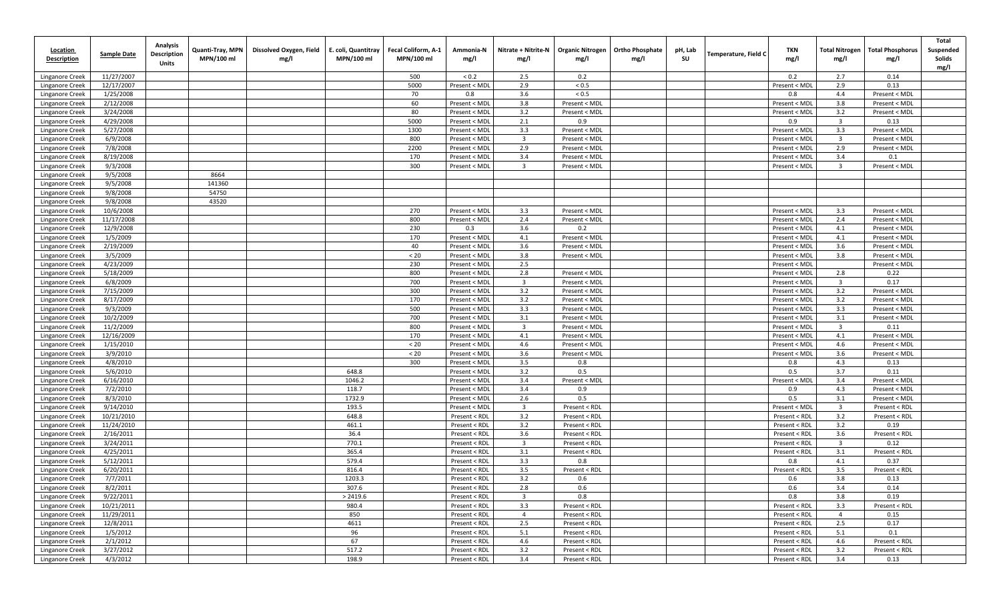| <b>Location</b><br><b>Description</b> | <b>Sample Date</b>    | <b>Analysis</b><br><b>Description</b><br>Units | Quanti-Tray, MPN<br>MPN/100 ml | Dissolved Oxygen, Field<br>mg/l | E. coli, Quantitray<br>MPN/100 ml | Fecal Coliform, A-1<br>MPN/100 ml | Ammonia-N<br>mg/l              | Nitrate + Nitrite-N<br>mg/l | <b>Organic Nitrogen</b><br>mg/l | <b>Ortho Phosphate</b><br>mg/l | pH, Lab<br>SU | Temperature, Field C | TKN<br>mg/l                    | <b>Total Nitrogen</b><br>mg/l  | <b>Total Phosphorus</b><br>mg/l | Total<br>Suspended<br>Solids<br>mg/l |
|---------------------------------------|-----------------------|------------------------------------------------|--------------------------------|---------------------------------|-----------------------------------|-----------------------------------|--------------------------------|-----------------------------|---------------------------------|--------------------------------|---------------|----------------------|--------------------------------|--------------------------------|---------------------------------|--------------------------------------|
| Linganore Creek                       | 11/27/2007            |                                                |                                |                                 |                                   | 500                               | ${}_{0.2}$                     | 2.5                         | 0.2                             |                                |               |                      | 0.2                            | 2.7                            | 0.14                            |                                      |
| Linganore Creek                       | 12/17/2007            |                                                |                                |                                 |                                   | 5000                              | Present < MDI                  | 2.9                         | ${}_{0.5}$                      |                                |               |                      | Present < MDI                  | 2.9                            | 0.13                            |                                      |
| Linganore Creek                       | 1/25/2008             |                                                |                                |                                 |                                   | 70                                | 0.8                            | 3.6                         | ${}_{0.5}$                      |                                |               |                      | 0.8                            | 4.4                            | Present < MDL                   |                                      |
| Linganore Creek                       | 2/12/2008             |                                                |                                |                                 |                                   | 60                                | Present < MDI                  | 3.8                         | Present < MDL                   |                                |               |                      | Present < MDI                  | 3.8                            | Present < MDL                   |                                      |
| Linganore Creek                       | 3/24/2008             |                                                |                                |                                 |                                   | 80                                | Present < MDI                  | 3.2                         | Present < MDL                   |                                |               |                      | Present < MDL                  | 3.2                            | Present < MDL                   |                                      |
| Linganore Creek                       | 4/29/2008             |                                                |                                |                                 |                                   | 5000                              | Present < MDI                  | 2.1                         | 0.9                             |                                |               |                      | 0.9                            | $\overline{\mathbf{3}}$        | 0.13                            |                                      |
| Linganore Creek                       | 5/27/2008             |                                                |                                |                                 |                                   | 1300                              | Present < MDI                  | 3.3                         | Present < MDL                   |                                |               |                      | Present < MDI                  | 3.3                            | Present < MDL                   |                                      |
| Linganore Creek                       | 6/9/2008              |                                                |                                |                                 |                                   | 800                               | Present < MDI                  | $\overline{3}$              | Present < MDL                   |                                |               |                      | Present < MDL                  | $\overline{\mathbf{3}}$        | Present < MDL                   |                                      |
| Linganore Creek                       | 7/8/2008              |                                                |                                |                                 |                                   | 2200                              | Present < MDI                  | 2.9                         | Present < MDL                   |                                |               |                      | Present < MDI                  | 2.9                            | Present < MDL                   |                                      |
| Linganore Creek                       | 8/19/2008             |                                                |                                |                                 |                                   | 170                               | Present < MDI                  | 3.4                         | Present < MDL                   |                                |               |                      | Present < MDL                  | 3.4                            | 0.1                             |                                      |
| Linganore Creek                       | 9/3/2008              |                                                |                                |                                 |                                   | 300                               | Present < MDI                  | $\overline{3}$              | Present < MDL                   |                                |               |                      | Present < MDL                  | $\overline{3}$                 | Present < MDL                   |                                      |
| Linganore Creek                       | 9/5/2008              |                                                | 8664                           |                                 |                                   |                                   |                                |                             |                                 |                                |               |                      |                                |                                |                                 |                                      |
| Linganore Creek                       | 9/5/2008              |                                                | 141360                         |                                 |                                   |                                   |                                |                             |                                 |                                |               |                      |                                |                                |                                 |                                      |
| Linganore Creek                       | 9/8/2008              |                                                | 54750                          |                                 |                                   |                                   |                                |                             |                                 |                                |               |                      |                                |                                |                                 |                                      |
| Linganore Creek<br>Linganore Creek    | 9/8/2008<br>10/6/2008 |                                                | 43520                          |                                 |                                   | 270                               | Present < MDI                  | 3.3                         | Present < MDL                   |                                |               |                      |                                | 3.3                            | Present < MDL                   |                                      |
| Linganore Creek                       | 11/17/2008            |                                                |                                |                                 |                                   | 800                               | Present < MDI                  | 2.4                         | Present < MDL                   |                                |               |                      | Present < MDI<br>Present < MDL | 2.4                            | Present < MDL                   |                                      |
| Linganore Creek                       | 12/9/2008             |                                                |                                |                                 |                                   | 230                               | 0.3                            | 3.6                         | 0.2                             |                                |               |                      | Present < MDL                  | 4.1                            | Present < MDL                   |                                      |
| Linganore Creek                       | 1/5/2009              |                                                |                                |                                 |                                   | 170                               | Present < MD                   | 4.1                         | Present < MDL                   |                                |               |                      | Present < MDL                  | 4.1                            | Present < MDL                   |                                      |
| Linganore Creek                       | 2/19/2009             |                                                |                                |                                 |                                   | 40                                | Present < MDI                  | 3.6                         | Present < MDL                   |                                |               |                      | Present < MDL                  | 3.6                            | Present < MDL                   |                                      |
| Linganore Creek                       | 3/5/2009              |                                                |                                |                                 |                                   | $< 20$                            | Present < MDI                  | 3.8                         | Present < MDL                   |                                |               |                      | Present < MDL                  | 3.8                            | Present < MDL                   |                                      |
| Linganore Creek                       | 4/23/2009             |                                                |                                |                                 |                                   | 230                               | Present < MDI                  | 2.5                         |                                 |                                |               |                      | Present < MDL                  |                                | Present < MDL                   |                                      |
| Linganore Creek                       | 5/18/2009             |                                                |                                |                                 |                                   | 800                               | Present < MDI                  | 2.8                         | Present < MDL                   |                                |               |                      | Present < MDL                  | 2.8                            | 0.22                            |                                      |
| Linganore Creek                       | 6/8/2009              |                                                |                                |                                 |                                   | 700                               | Present < MDI                  | $\overline{3}$              | Present < MDL                   |                                |               |                      | Present < MDL                  | $\overline{\mathbf{3}}$        | 0.17                            |                                      |
| Linganore Creek                       | 7/15/2009             |                                                |                                |                                 |                                   | 300                               | Present < MDI                  | 3.2                         | Present < MDL                   |                                |               |                      | Present < MDL                  | 3.2                            | Present < MDL                   |                                      |
| Linganore Creek                       | 8/17/2009             |                                                |                                |                                 |                                   | 170                               | Present < MDI                  | 3.2                         | Present < MDL                   |                                |               |                      | Present < MDL                  | 3.2                            | Present < MDL                   |                                      |
| Linganore Creek                       | 9/3/2009              |                                                |                                |                                 |                                   | 500                               | Present < MDI                  | 3.3                         | Present < MDL                   |                                |               |                      | Present < MDL                  | 3.3                            | Present < MDL                   |                                      |
| Linganore Creek                       | 10/2/2009             |                                                |                                |                                 |                                   | 700                               | Present < MDI                  | 3.1                         | Present < MDL                   |                                |               |                      | Present < MDL                  | 3.1                            | Present < MDL                   |                                      |
| Linganore Creek                       | 11/2/2009             |                                                |                                |                                 |                                   | 800                               | Present < MDI                  | $\overline{3}$              | Present < MDL                   |                                |               |                      | Present < MDL                  | $\overline{\mathbf{3}}$        | 0.11                            |                                      |
| Linganore Creek                       | 12/16/2009            |                                                |                                |                                 |                                   | 170                               | Present < MDI                  | 4.1                         | Present < MDL                   |                                |               |                      | Present < MDL                  | 4.1                            | Present < MDL                   |                                      |
| Linganore Creek                       | 1/15/2010             |                                                |                                |                                 |                                   | < 20                              | Present < MDI                  | 4.6                         | Present < MDL                   |                                |               |                      | Present < MDL                  | 4.6                            | Present < MDL                   |                                      |
| <b>Linganore Creek</b>                | 3/9/2010              |                                                |                                |                                 |                                   | < 20                              | Present < MDI                  | 3.6                         | Present < MDL                   |                                |               |                      | Present < MDL                  | 3.6                            | Present < MDL                   |                                      |
| Linganore Creek                       | 4/8/2010              |                                                |                                |                                 |                                   | 300                               | Present < MDI                  | 3.5                         | 0.8                             |                                |               |                      | 0.8                            | 4.3                            | 0.13                            |                                      |
| Linganore Creek                       | 5/6/2010              |                                                |                                |                                 | 648.8                             |                                   | Present < MDI                  | 3.2                         | 0.5                             |                                |               |                      | 0.5                            | 3.7                            | 0.11                            |                                      |
| Linganore Creek                       | 6/16/2010             |                                                |                                |                                 | 1046.2                            |                                   | Present < MDI                  | 3.4                         | Present < MDL                   |                                |               |                      | Present < MDI                  | 3.4                            | Present < MDL                   |                                      |
| Linganore Creek                       | 7/2/2010              |                                                |                                |                                 | 118.7                             |                                   | Present < MDI                  | 3.4                         | 0.9                             |                                |               |                      | 0.9                            | 4.3                            | Present < MDL                   |                                      |
| Linganore Creek                       | 8/3/2010<br>9/14/2010 |                                                |                                |                                 | 1732.9<br>193.5                   |                                   | Present < MDI                  | 2.6<br>$\overline{3}$       | 0.5<br>Present < RDL            |                                |               |                      | 0.5                            | 3.1<br>$\overline{\mathbf{3}}$ | Present < MDL                   |                                      |
| Linganore Creek<br>Linganore Creek    | 10/21/2010            |                                                |                                |                                 | 648.8                             |                                   | Present < MDI<br>Present < RDL | 3.2                         | Present < RDL                   |                                |               |                      | Present < MDI<br>Present < RDL | 3.2                            | Present < RDL<br>Present < RDL  |                                      |
| Linganore Creek                       | 11/24/2010            |                                                |                                |                                 | 461.1                             |                                   | Present < RDL                  | 3.2                         | Present < RDL                   |                                |               |                      | Present < RDL                  | 3.2                            | 0.19                            |                                      |
| Linganore Creek                       | 2/16/2011             |                                                |                                |                                 | 36.4                              |                                   | Present < RDL                  | 3.6                         | Present < RDL                   |                                |               |                      | Present < RDL                  | 3.6                            | Present < RDL                   |                                      |
| Linganore Creek                       | 3/24/2011             |                                                |                                |                                 | 770.1                             |                                   | Present < RDL                  | $\overline{\mathbf{3}}$     | Present < RDL                   |                                |               |                      | Present < RDL                  | $\overline{\mathbf{3}}$        | 0.12                            |                                      |
| Linganore Creek                       | 4/25/2011             |                                                |                                |                                 | 365.4                             |                                   | Present < RDL                  | 3.1                         | Present < RDL                   |                                |               |                      | Present < RDL                  | 3.1                            | Present < RDL                   |                                      |
| Linganore Creek                       | 5/12/2011             |                                                |                                |                                 | 579.4                             |                                   | Present < RDL                  | 3.3                         | 0.8                             |                                |               |                      | 0.8                            | 4.1                            | 0.37                            |                                      |
| Linganore Creek                       | 6/20/2011             |                                                |                                |                                 | 816.4                             |                                   | Present < RDL                  | 3.5                         | Present < RDL                   |                                |               |                      | Present < RDI                  | 3.5                            | Present < RDL                   |                                      |
| Linganore Creek                       | 7/7/2011              |                                                |                                |                                 | 1203.3                            |                                   | Present < RDL                  | 3.2                         | 0.6                             |                                |               |                      | 0.6                            | 3.8                            | 0.13                            |                                      |
| Linganore Creek                       | 8/2/2011              |                                                |                                |                                 | 307.6                             |                                   | Present < RDL                  | 2.8                         | 0.6                             |                                |               |                      | 0.6                            | 3.4                            | 0.14                            |                                      |
| Linganore Creek                       | 9/22/2011             |                                                |                                |                                 | > 2419.6                          |                                   | Present < RDL                  | $\overline{\mathbf{3}}$     | 0.8                             |                                |               |                      | 0.8                            | 3.8                            | 0.19                            |                                      |
| Linganore Creek                       | 10/21/2011            |                                                |                                |                                 | 980.4                             |                                   | Present < RDL                  | 3.3                         | Present < RDL                   |                                |               |                      | Present < RDL                  | 3.3                            | Present < RDL                   |                                      |
| Linganore Creek                       | 11/29/2011            |                                                |                                |                                 | 850                               |                                   | Present < RDL                  | $\overline{4}$              | Present < RDL                   |                                |               |                      | Present < RDL                  | $\overline{4}$                 | 0.15                            |                                      |
| Linganore Creek                       | 12/8/2011             |                                                |                                |                                 | 4611                              |                                   | Present < RDL                  | 2.5                         | Present < RDL                   |                                |               |                      | Present < RDL                  | 2.5                            | 0.17                            |                                      |
| <b>Linganore Creek</b>                | 1/5/2012              |                                                |                                |                                 | 96                                |                                   | Present < RDL                  | 5.1                         | Present < RDL                   |                                |               |                      | Present < RDL                  | 5.1                            | 0.1                             |                                      |
| Linganore Creek                       | 2/1/2012              |                                                |                                |                                 | 67                                |                                   | Present < RDL                  | 4.6                         | Present < RDL                   |                                |               |                      | Present < RDL                  | 4.6                            | Present < RDL                   |                                      |
| Linganore Creek                       | 3/27/2012             |                                                |                                |                                 | 517.2                             |                                   | Present < RDL                  | 3.2                         | Present < RDL                   |                                |               |                      | Present < RDL                  | 3.2                            | Present < RDL                   |                                      |
| Linganore Creek                       | 4/3/2012              |                                                |                                |                                 | 198.9                             |                                   | Present < RDL                  | 3.4                         | Present < RDL                   |                                |               |                      | Present < RDL                  | 3.4                            | 0.13                            |                                      |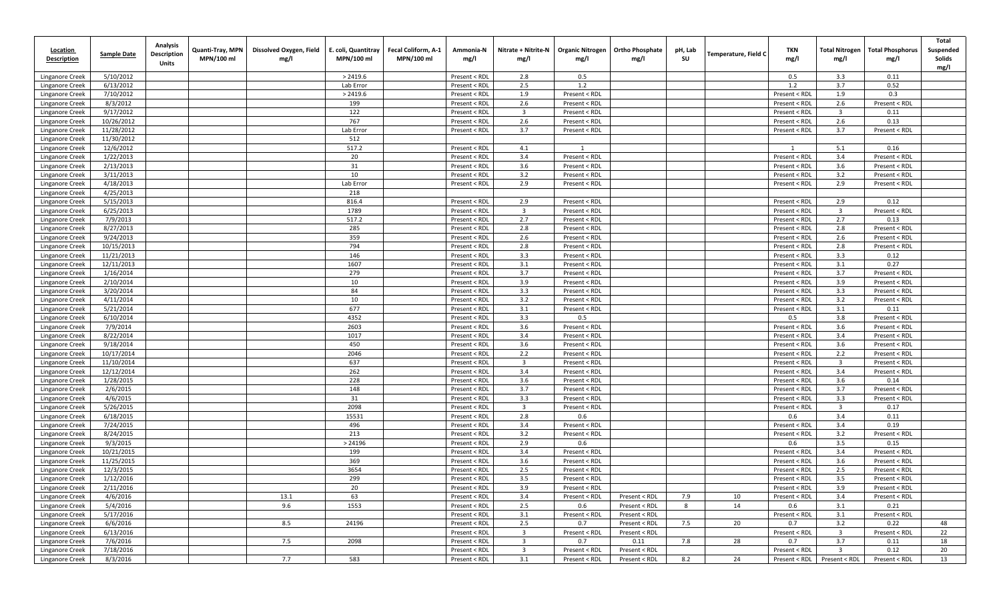| <b>Location</b><br><b>Description</b> | <b>Sample Date</b>     | Analysis<br><b>Description</b><br>Units | Quanti-Tray, MPN<br>MPN/100 ml | Dissolved Oxygen, Field<br>mg/l | E. coli, Quantitray<br>MPN/100 ml | Fecal Coliform, A-1<br>MPN/100 ml | Ammonia-N<br>mg/l              | Nitrate + Nitrite-N<br>mg/l    | <b>Organic Nitrogen</b><br>mg/l | <b>Ortho Phosphate</b><br>mg/l | pH, Lab<br>SU | Temperature, Field C | TKN<br>mg/l                    | <b>Total Nitrogen</b><br>mg/l  | <b>Total Phosphorus</b><br>mg/l | Total<br>Suspended<br>Solids<br>mg/l |
|---------------------------------------|------------------------|-----------------------------------------|--------------------------------|---------------------------------|-----------------------------------|-----------------------------------|--------------------------------|--------------------------------|---------------------------------|--------------------------------|---------------|----------------------|--------------------------------|--------------------------------|---------------------------------|--------------------------------------|
| Linganore Creek                       | 5/10/2012              |                                         |                                |                                 | > 2419.6                          |                                   | Present < RDL                  | 2.8                            | 0.5                             |                                |               |                      | 0.5                            | 3.3                            | 0.11                            |                                      |
| Linganore Creek                       | 6/13/2012              |                                         |                                |                                 | Lab Error                         |                                   | Present < RDL                  | 2.5                            | 1.2                             |                                |               |                      | 1.2                            | 3.7                            | 0.52                            |                                      |
| Linganore Creek                       | 7/10/2012              |                                         |                                |                                 | > 2419.6                          |                                   | Present < RDL                  | 1.9                            | Present < RDL                   |                                |               |                      | Present < RDI                  | 1.9                            | 0.3                             |                                      |
| Linganore Creek                       | 8/3/2012               |                                         |                                |                                 | 199                               |                                   | Present < RDL                  | 2.6                            | Present < RDL                   |                                |               |                      | Present < RDL                  | 2.6                            | Present < RDL                   |                                      |
| Linganore Creek                       | 9/17/2012              |                                         |                                |                                 | 122                               |                                   | Present < RDL                  | $\overline{\mathbf{3}}$        | Present < RDL                   |                                |               |                      | Present < RDL                  | $\overline{\mathbf{3}}$        | 0.11                            |                                      |
| Linganore Creek                       | 10/26/2012             |                                         |                                |                                 | 767                               |                                   | Present < RDL                  | 2.6                            | Present < RDL                   |                                |               |                      | Present < RDL                  | 2.6                            | 0.13                            |                                      |
| Linganore Creek                       | 11/28/2012             |                                         |                                |                                 | Lab Error                         |                                   | Present < RDL                  | 3.7                            | Present < RDL                   |                                |               |                      | Present < RDL                  | 3.7                            | Present < RDL                   |                                      |
| Linganore Creek                       | 11/30/2012             |                                         |                                |                                 | 512                               |                                   |                                |                                |                                 |                                |               |                      |                                |                                |                                 |                                      |
| Linganore Creek                       | 12/6/2012              |                                         |                                |                                 | 517.2                             |                                   | Present < RDL                  | 4.1                            |                                 |                                |               |                      | 1                              | 5.1                            | 0.16                            |                                      |
| Linganore Creek                       | 1/22/2013              |                                         |                                |                                 | 20                                |                                   | Present < RDL                  | 3.4                            | Present < RDL                   |                                |               |                      | Present < RDL                  | 3.4                            | Present < RDL                   |                                      |
| Linganore Creek                       | 2/13/2013              |                                         |                                |                                 | 31                                |                                   | Present < RDL                  | 3.6                            | Present < RDL                   |                                |               |                      | Present < RDL                  | 3.6                            | Present < RDL                   |                                      |
| Linganore Creek                       | 3/11/2013              |                                         |                                |                                 | 10                                |                                   | Present < RDL                  | 3.2                            | Present < RDL                   |                                |               |                      | Present < RDL                  | 3.2                            | Present < RDL                   |                                      |
| Linganore Creek                       | 4/18/2013              |                                         |                                |                                 | Lab Error                         |                                   | Present < RDL                  | 2.9                            | Present < RDL                   |                                |               |                      | Present < RDL                  | 2.9                            | Present < RDL                   |                                      |
| Linganore Creek                       | 4/25/2013<br>5/15/2013 |                                         |                                |                                 | 218<br>816.4                      |                                   | Present < RDL                  | 2.9                            | Present < RDL                   |                                |               |                      |                                | 2.9                            | 0.12                            |                                      |
| Linganore Creek<br>Linganore Creek    | 6/25/2013              |                                         |                                |                                 | 1789                              |                                   | Present < RDL                  | $\overline{\mathbf{3}}$        | Present < RDL                   |                                |               |                      | Present < RDL<br>Present < RDL | $\overline{\mathbf{3}}$        | Present < RDL                   |                                      |
| Linganore Creek                       | 7/9/2013               |                                         |                                |                                 | 517.2                             |                                   | Present < RDL                  | 2.7                            | Present < RDL                   |                                |               |                      | Present < RDL                  | 2.7                            | 0.13                            |                                      |
| Linganore Creek                       | 8/27/2013              |                                         |                                |                                 | 285                               |                                   | Present < RDL                  | 2.8                            | Present < RDL                   |                                |               |                      | Present < RDL                  | 2.8                            | Present < RDL                   |                                      |
| Linganore Creek                       | 9/24/2013              |                                         |                                |                                 | 359                               |                                   | Present < RDL                  | 2.6                            | Present < RDL                   |                                |               |                      | Present < RDL                  | 2.6                            | Present < RDL                   |                                      |
| Linganore Creek                       | 10/15/2013             |                                         |                                |                                 | 794                               |                                   | Present < RDL                  | 2.8                            | Present < RDL                   |                                |               |                      | Present < RDL                  | 2.8                            | Present < RDL                   |                                      |
| Linganore Creek                       | 11/21/2013             |                                         |                                |                                 | 146                               |                                   | Present < RDL                  | 3.3                            | Present < RDL                   |                                |               |                      | Present < RDL                  | 3.3                            | 0.12                            |                                      |
| Linganore Creek                       | 12/11/2013             |                                         |                                |                                 | 1607                              |                                   | Present < RDL                  | 3.1                            | Present < RDL                   |                                |               |                      | Present < RDL                  | 3.1                            | 0.27                            |                                      |
| Linganore Creek                       | 1/16/2014              |                                         |                                |                                 | 279                               |                                   | Present < RDL                  | 3.7                            | Present < RDL                   |                                |               |                      | Present < RDL                  | 3.7                            | Present < RDL                   |                                      |
| Linganore Creek                       | 2/10/2014              |                                         |                                |                                 | 10                                |                                   | Present < RDL                  | 3.9                            | Present < RDL                   |                                |               |                      | Present < RDL                  | 3.9                            | Present < RDL                   |                                      |
| Linganore Creek                       | 3/20/2014              |                                         |                                |                                 | 84                                |                                   | Present < RDL                  | 3.3                            | Present < RDL                   |                                |               |                      | Present < RDL                  | 3.3                            | Present < RDL                   |                                      |
| Linganore Creek                       | 4/11/2014              |                                         |                                |                                 | 10                                |                                   | Present < RDL                  | 3.2                            | Present < RDL                   |                                |               |                      | Present < RDL                  | 3.2                            | Present < RDL                   |                                      |
| Linganore Creek                       | 5/21/2014              |                                         |                                |                                 | 677                               |                                   | Present < RDL                  | 3.1                            | Present < RDL                   |                                |               |                      | Present < RDL                  | 3.1                            | 0.11                            |                                      |
| Linganore Creek                       | 6/10/2014              |                                         |                                |                                 | 4352                              |                                   | Present < RDL                  | 3.3                            | 0.5                             |                                |               |                      | 0.5                            | 3.8                            | Present < RDL                   |                                      |
| Linganore Creek                       | 7/9/2014               |                                         |                                |                                 | 2603                              |                                   | Present < RDL                  | 3.6                            | Present < RDL                   |                                |               |                      | Present < RDL                  | 3.6                            | Present < RDL                   |                                      |
| Linganore Creek                       | 8/22/2014              |                                         |                                |                                 | 1017                              |                                   | Present < RDL                  | 3.4                            | Present < RDL                   |                                |               |                      | Present < RDL                  | 3.4                            | Present < RDL                   |                                      |
| Linganore Creek                       | 9/18/2014              |                                         |                                |                                 | 450                               |                                   | Present < RDL                  | 3.6                            | Present < RDL                   |                                |               |                      | Present < RDL                  | 3.6                            | Present < RDL                   |                                      |
| Linganore Creek                       | 10/17/2014             |                                         |                                |                                 | 2046                              |                                   | Present < RDL                  | 2.2                            | Present < RDL                   |                                |               |                      | Present < RDL                  | 2.2                            | Present < RDL                   |                                      |
| Linganore Creek                       | 11/10/2014             |                                         |                                |                                 | 637                               |                                   | Present < RDL                  | $\overline{\mathbf{3}}$        | Present < RDL                   |                                |               |                      | Present < RDL                  | $\overline{\mathbf{3}}$        | Present < RDL                   |                                      |
| Linganore Creek                       | 12/12/2014             |                                         |                                |                                 | 262                               |                                   | Present < RDL                  | 3.4                            | Present < RDL                   |                                |               |                      | Present < RDL                  | 3.4                            | Present < RDL                   |                                      |
| Linganore Creek                       | 1/28/2015              |                                         |                                |                                 | 228                               |                                   | Present < RDL                  | 3.6                            | Present < RDL                   |                                |               |                      | Present < RDL                  | 3.6                            | 0.14                            |                                      |
| Linganore Creek                       | 2/6/2015               |                                         |                                |                                 | 148                               |                                   | Present < RDL                  | 3.7                            | Present < RDL                   |                                |               |                      | Present < RDL                  | 3.7                            | Present < RDL                   |                                      |
| Linganore Creek                       | 4/6/2015<br>5/26/2015  |                                         |                                |                                 | 31<br>2098                        |                                   | Present < RDL                  | 3.3<br>$\overline{\mathbf{3}}$ | Present < RDL                   |                                |               |                      | Present < RDL                  | 3.3<br>$\overline{\mathbf{3}}$ | Present < RDL                   |                                      |
| Linganore Creek                       | 6/18/2015              |                                         |                                |                                 | 15531                             |                                   | Present < RDL<br>Present < RDL | 2.8                            | Present < RDL<br>0.6            |                                |               |                      | Present < RDL<br>0.6           | 3.4                            | 0.17<br>0.11                    |                                      |
| Linganore Creek<br>Linganore Creek    | 7/24/2015              |                                         |                                |                                 | 496                               |                                   | Present < RDL                  | 3.4                            | Present < RDL                   |                                |               |                      | Present < RDL                  | 3.4                            | 0.19                            |                                      |
| Linganore Creek                       | 8/24/2015              |                                         |                                |                                 | 213                               |                                   | Present < RDL                  | 3.2                            | Present < RDL                   |                                |               |                      | Present < RDL                  | 3.2                            | Present < RDL                   |                                      |
| Linganore Creek                       | 9/3/2015               |                                         |                                |                                 | > 24196                           |                                   | Present < RDL                  | 2.9                            | 0.6                             |                                |               |                      | 0.6                            | 3.5                            | 0.15                            |                                      |
| Linganore Creek                       | 10/21/2015             |                                         |                                |                                 | 199                               |                                   | Present < RDL                  | 3.4                            | Present < RDL                   |                                |               |                      | Present < RDL                  | 3.4                            | Present < RDL                   |                                      |
| Linganore Creek                       | 11/25/2015             |                                         |                                |                                 | 369                               |                                   | Present < RDL                  | 3.6                            | Present < RDL                   |                                |               |                      | Present < RDL                  | 3.6                            | Present < RDL                   |                                      |
| Linganore Creek                       | 12/3/2015              |                                         |                                |                                 | 3654                              |                                   | Present < RDL                  | 2.5                            | Present < RDL                   |                                |               |                      | Present < RDL                  | 2.5                            | Present < RDL                   |                                      |
| Linganore Creek                       | 1/12/2016              |                                         |                                |                                 | 299                               |                                   | Present < RDL                  | 3.5                            | Present < RDL                   |                                |               |                      | Present < RDL                  | 3.5                            | Present < RDL                   |                                      |
| Linganore Creek                       | 2/11/2016              |                                         |                                |                                 | 20                                |                                   | Present < RDL                  | 3.9                            | Present < RDL                   |                                |               |                      | Present < RDL                  | 3.9                            | Present < RDL                   |                                      |
| Linganore Creek                       | 4/6/2016               |                                         |                                | 13.1                            | 63                                |                                   | Present < RDL                  | 3.4                            | Present < RDL                   | Present < RDL                  | 7.9           | 10                   | Present < RDL                  | 3.4                            | Present < RDL                   |                                      |
| Linganore Creek                       | 5/4/2016               |                                         |                                | 9.6                             | 1553                              |                                   | Present < RDL                  | 2.5                            | 0.6                             | Present < RDL                  | 8             | 14                   | 0.6                            | 3.1                            | 0.21                            |                                      |
| Linganore Creek                       | 5/17/2016              |                                         |                                |                                 |                                   |                                   | Present < RDL                  | 3.1                            | Present < RDL                   | Present < RDL                  |               |                      | Present < RDL                  | 3.1                            | Present < RDL                   |                                      |
| Linganore Creek                       | 6/6/2016               |                                         |                                | 8.5                             | 24196                             |                                   | Present < RDL                  | 2.5                            | 0.7                             | Present < RDL                  | 7.5           | 20                   | 0.7                            | 3.2                            | 0.22                            | 48                                   |
| Linganore Creek                       | 6/13/2016              |                                         |                                |                                 |                                   |                                   | Present < RDL                  | $\overline{\mathbf{3}}$        | Present < RDL                   | Present < RDL                  |               |                      | Present < RDL                  | $\overline{\mathbf{3}}$        | Present < RDL                   | 22                                   |
| Linganore Creek                       | 7/6/2016               |                                         |                                | 7.5                             | 2098                              |                                   | Present < RDL                  | $\overline{\mathbf{3}}$        | 0.7                             | 0.11                           | 7.8           | 28                   | 0.7                            | 3.7                            | 0.11                            | 18                                   |
| Linganore Creek                       | 7/18/2016              |                                         |                                |                                 |                                   |                                   | Present < RDL                  | $\overline{\mathbf{3}}$        | Present < RDL                   | Present < RDL                  |               |                      | Present < RDL                  | $\overline{\mathbf{3}}$        | 0.12                            | 20                                   |
| Linganore Creek                       | 8/3/2016               |                                         |                                | 7.7                             | 583                               |                                   | Present < RDL                  | 3.1                            | Present < RDL                   | Present < RDL                  | 8.2           | 24                   | Present < RDL                  | Present < RDL                  | Present < RDL                   | 13                                   |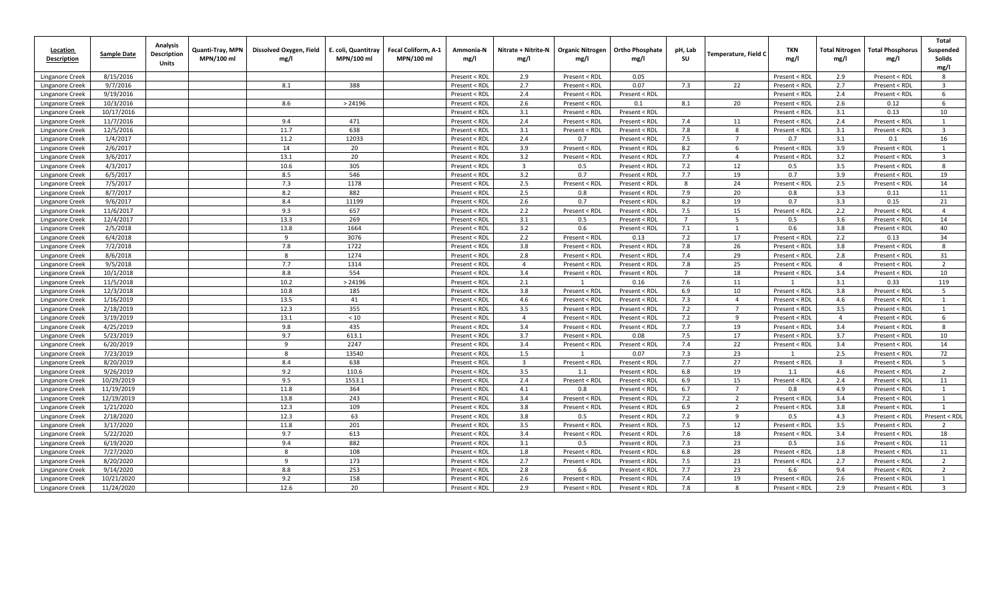| Location<br><b>Description</b>     | <b>Sample Date</b>    | Analysis<br><b>Description</b><br><b>Units</b> | Quanti-Tray, MPN<br>MPN/100 ml | Dissolved Oxygen, Field<br>mg/l | E. coli, Quantitray<br>MPN/100 ml | Fecal Coliform, A-1<br>MPN/100 ml | Ammonia-N<br>mg/l              | Nitrate + Nitrite-N<br>mg/l | <b>Organic Nitrogen</b><br>mg/l | <b>Ortho Phosphate</b><br>mg/l | pH, Lab<br>SU      | <b>Temperature, Field C</b> | TKN<br>mg/l   | <b>Total Nitrogen</b><br>mg/l | <b>Total Phosphorus</b><br>mg/l | Total<br>Suspended<br>Solids<br>mg/l |
|------------------------------------|-----------------------|------------------------------------------------|--------------------------------|---------------------------------|-----------------------------------|-----------------------------------|--------------------------------|-----------------------------|---------------------------------|--------------------------------|--------------------|-----------------------------|---------------|-------------------------------|---------------------------------|--------------------------------------|
| Linganore Creek                    | 8/15/2016             |                                                |                                |                                 |                                   |                                   | Present < RDI                  | 2.9                         | Present < RDL                   | 0.05                           |                    |                             | Present < RDI | 2.9                           | Present < RDL                   | 8                                    |
| Linganore Creek                    | 9/7/2016              |                                                |                                | 8.1                             | 388                               |                                   | Present < RDI                  | 2.7                         | Present < RDL                   | 0.07                           | 7.3                | 22                          | Present < RDL | 2.7                           | Present < RDL                   | $\overline{3}$                       |
| Linganore Creek                    | 9/19/2016             |                                                |                                |                                 |                                   |                                   | Present < RDI                  | 2.4                         | Present < RDL                   | Present < RDL                  |                    |                             | Present < RDL | 2.4                           | Present < RDL                   | 6                                    |
| Linganore Creek                    | 10/3/2016             |                                                |                                | 8.6                             | > 24196                           |                                   | Present < RDI                  | 2.6                         | Present < RDL                   | 0.1                            | 8.1                | 20                          | Present < RDL | 2.6                           | 0.12                            | 6                                    |
| Linganore Creek                    | 10/17/2016            |                                                |                                |                                 |                                   |                                   | Present < RDI                  | 3.1                         | Present < RDL                   | Present < RDL                  |                    |                             | Present < RDL | 3.1                           | 0.13                            | 10                                   |
| Linganore Creek                    | 11/7/2016             |                                                |                                | 9.4                             | 471                               |                                   | Present < RDL                  | 2.4                         | Present < RDL                   | Present < RDL                  | 7.4                | 11                          | Present < RDL | 2.4                           | Present < RDL                   |                                      |
| Linganore Creek                    | 12/5/2016             |                                                |                                | 11.7                            | 638                               |                                   | Present < RDL                  | 3.1                         | Present < RDL                   | Present < RDL                  | 7.8                | 8                           | Present < RDL | 3.1                           | Present < RDL                   | 3                                    |
| Linganore Creek                    | 1/4/2017              |                                                |                                | 11.2                            | 12033                             |                                   | Present < RDL                  | 2.4                         | 0.7                             | Present < RDL                  | 7.5                | $\overline{7}$              | 0.7           | 3.1                           | 0.1                             | 16                                   |
| Linganore Creek                    | 2/6/2017              |                                                |                                | 14                              | 20                                |                                   | Present < RDL                  | 3.9                         | Present < RDL                   | Present < RDL                  | 8.2                | 6                           | Present < RDL | 3.9                           | Present < RDL                   | $\overline{1}$                       |
| Linganore Creek                    | 3/6/2017              |                                                |                                | 13.1                            | 20                                |                                   | Present < RDI                  | 3.2                         | Present < RDL                   | Present < RDL                  | 7.7                | $\overline{4}$              | Present < RDL | 3.2                           | Present < RDL                   | $\overline{3}$                       |
| Linganore Creek                    | 4/3/2017              |                                                |                                | 10.6                            | 305                               |                                   | Present < RDI                  | $\overline{3}$              | 0.5                             | Present < RDL                  | 7.2                | 12                          | 0.5           | 3.5                           | Present < RDL                   | 8                                    |
| Linganore Creek                    | 6/5/2017              |                                                |                                | 8.5                             | 546                               |                                   | Present < RDI                  | 3.2                         | 0.7                             | Present < RDL                  | 7.7                | 19                          | 0.7           | 3.9                           | Present < RDL                   | 19                                   |
| Linganore Creek                    | 7/5/2017              |                                                |                                | 7.3                             | 1178                              |                                   | Present < RDI                  | 2.5                         | Present < RDL                   | Present < RDL                  | 8                  | 24                          | Present < RDL | 2.5                           | Present < RDL                   | 14                                   |
| Linganore Creek                    | 8/7/2017              |                                                |                                | 8.2                             | 882                               |                                   | Present < RDI                  | 2.5                         | 0.8                             | Present < RDI                  | 7.9                | 20                          | 0.8           | 3.3                           | 0.11                            | 11                                   |
| Linganore Creek                    | 9/6/2017              |                                                |                                | 8.4                             | 11199                             |                                   | Present < RDI                  | 2.6                         | 0.7                             | Present < RDL                  | 8.2                | 19                          | 0.7           | 3.3                           | 0.15                            | 21                                   |
| Linganore Creek                    | 11/6/2017             |                                                |                                | 9.3                             | 657                               |                                   | Present < RDI                  | 2.2                         | Present < RDL                   | Present < RDI                  | 7.5                | 15                          | Present < RDI | 2.2                           | Present < RDL                   | $\overline{4}$                       |
| Linganore Creek                    | 12/4/2017             |                                                |                                | 13.3                            | 269                               |                                   | Present < RDI                  | 3.1                         | 0.5                             | Present < RDI                  | $\overline{7}$     | 5                           | 0.5           | 3.6                           | Present < RDL                   | 14                                   |
| Linganore Creek                    | 2/5/2018              |                                                |                                | 13.8                            | 1664                              |                                   | Present < RDI                  | 3.2                         | 0.6                             | Present < RDL                  | 7.1                | <sup>1</sup>                | 0.6           | 3.8                           | Present < RDL                   | 40                                   |
| Linganore Creek                    | 6/4/2018              |                                                |                                | 9                               | 3076                              |                                   | Present < RDL                  | 2.2                         | Present < RDL                   | 0.13                           | 7.2                | 17                          | Present < RDL | 2.2                           | 0.13                            | 34<br>$\mathbf{R}$                   |
| Linganore Creek                    | 7/2/2018              |                                                |                                | 7.8                             | 1722                              |                                   | Present < RDL                  | 3.8                         | Present < RDL                   | Present < RDL                  | 7.8                | 26                          | Present < RDL | 3.8                           | Present < RDL                   |                                      |
| Linganore Creek                    | 8/6/2018              |                                                |                                | 8<br>7.7                        | 1274                              |                                   | Present < RDL                  | 2.8<br>$\overline{a}$       | Present < RDL                   | Present < RDL                  | 7.4                | 29                          | Present < RDL | 2.8                           | Present < RDL                   | 31<br>$\overline{2}$                 |
| Linganore Creek                    | 9/5/2018<br>10/1/2018 |                                                |                                | 8.8                             | 1314<br>554                       |                                   | Present < RDL                  | 3.4                         | Present < RDL                   | Present < RDL                  | 7.8<br>$7^{\circ}$ | 25<br>18                    | Present < RDL | $\overline{4}$<br>3.4         | Present < RDL                   | 10                                   |
| Linganore Creek                    | 11/5/2018             |                                                |                                | 10.2                            | > 24196                           |                                   | Present < RDI                  | 2.1                         | Present < RDL                   | Present < RDL                  | 7.6                | 11                          | Present < RDL | 3.1                           | Present < RDL<br>0.33           | 119                                  |
| Linganore Creek<br>Linganore Creek | 12/3/2018             |                                                |                                | 10.8                            | 185                               |                                   | Present < RDI<br>Present < RDI | 3.8                         | Present < RDL                   | 0.16<br>Present < RDL          | 6.9                | 10                          | Present < RDL | 3.8                           | Present < RDL                   | 5                                    |
| Linganore Creek                    | 1/16/2019             |                                                |                                | 13.5                            | 41                                |                                   | Present < RDI                  | 4.6                         | Present < RDL                   | Present < RDI                  | 7.3                | $\overline{4}$              | Present < RDL | 4.6                           | Present < RDL                   | 1                                    |
| Linganore Creek                    | 2/18/2019             |                                                |                                | 12.3                            | 355                               |                                   | Present < RDI                  | 3.5                         | Present < RDL                   | Present < RDI                  | 7.2                | $7\overline{ }$             | Present < RDL | 3.5                           | Present < RDL                   | 1                                    |
| Linganore Creek                    | 3/19/2019             |                                                |                                | 13.1                            | $<10$                             |                                   | Present < RDI                  | $\overline{a}$              | Present < RDL                   | Present < RDL                  | 7.2                | 9                           | Present < RDL | $\overline{4}$                | Present < RDL                   | 6                                    |
| Linganore Creek                    | 4/25/2019             |                                                |                                | 9.8                             | 435                               |                                   | Present < RDI                  | 3.4                         | Present < RDL                   | Present < RDI                  | 7.7                | 19                          | Present < RDL | 3.4                           | Present < RDL                   | 8                                    |
| Linganore Creek                    | 5/23/2019             |                                                |                                | 9.7                             | 613.1                             |                                   | Present < RDI                  | 3.7                         | Present < RDL                   | 0.08                           | 7.5                | 17                          | Present < RDL | 3.7                           | Present < RDL                   | 10                                   |
| Linganore Creek                    | 6/20/2019             |                                                |                                | 9                               | 2247                              |                                   | Present < RDI                  | 3.4                         | Present < RDL                   | Present < RDL                  | 7.4                | 22                          | Present < RDL | 3.4                           | Present < RDL                   | 14                                   |
| Linganore Creek                    | 7/23/2019             |                                                |                                | 8                               | 13540                             |                                   | Present < RDL                  | 1.5                         | $\mathbf{1}$                    | 0.07                           | 7.3                | 23                          | 1             | 2.5                           | Present < RDL                   | 72                                   |
| Linganore Creek                    | 8/20/2019             |                                                |                                | 8.4                             | 638                               |                                   | Present < RDL                  | $\overline{3}$              | Present < RDL                   | Present < RDL                  | 7.7                | 27                          | Present < RDL | $\overline{3}$                | Present < RDL                   | 5                                    |
| Linganore Creek                    | 9/26/2019             |                                                |                                | 9.2                             | 110.6                             |                                   | Present < RDL                  | 3.5                         | 1.1                             | Present < RDL                  | 6.8                | 19                          | 1.1           | 4.6                           | Present < RDL                   | $\overline{2}$                       |
| Linganore Creek                    | 10/29/2019            |                                                |                                | 9.5                             | 1553.1                            |                                   | Present < RDL                  | 2.4                         | Present < RDL                   | Present < RDL                  | 6.9                | 15                          | Present < RDL | 2.4                           | Present < RDL                   | 11                                   |
| Linganore Creek                    | 11/19/2019            |                                                |                                | 11.8                            | 364                               |                                   | Present < RDL                  | 4.1                         | 0.8                             | Present < RDL                  | 6.7                | $\overline{7}$              | 0.8           | 4.9                           | Present < RDL                   | $\overline{1}$                       |
| Linganore Creek                    | 12/19/2019            |                                                |                                | 13.8                            | 243                               |                                   | Present < RDI                  | 3.4                         | Present < RDL                   | Present < RDL                  | 7.2                | $\overline{2}$              | Present < RDL | 3.4                           | Present < RDL                   |                                      |
| Linganore Creek                    | 1/21/2020             |                                                |                                | 12.3                            | 109                               |                                   | Present < RDI                  | 3.8                         | Present < RDL                   | Present < RDL                  | 6.9                | $\overline{2}$              | Present < RDL | 3.8                           | Present < RDL                   | 1                                    |
| Linganore Creek                    | 2/18/2020             |                                                |                                | 12.3                            | 63                                |                                   | Present < RDI                  | 3.8                         | 0.5                             | Present < RDL                  | 7.2                | 9                           | 0.5           | 4.3                           | Present < RDL                   | Present < RDL                        |
| Linganore Creek                    | 3/17/2020             |                                                |                                | 11.8                            | 201                               |                                   | Present < RDL                  | 3.5                         | Present < RDL                   | Present < RDL                  | 7.5                | 12                          | Present < RDL | 3.5                           | Present < RDL                   | $\overline{2}$                       |
| <b>Linganore Creek</b>             | 5/22/2020             |                                                |                                | 9.7                             | 613                               |                                   | Present < RDI                  | 3.4                         | Present < RDL                   | Present < RDL                  | 7.6                | 18                          | Present < RDL | 3.4                           | Present < RDL                   | 18                                   |
| Linganore Creek                    | 6/19/2020             |                                                |                                | 9.4                             | 882                               |                                   | Present < RDI                  | 3.1                         | 0.5                             | Present < RDL                  | 7.3                | 23                          | 0.5           | 3.6                           | Present < RDL                   | 11                                   |
| Linganore Creek                    | 7/27/2020             |                                                |                                | 8                               | 108                               |                                   | Present < RDI                  | 1.8                         | Present < RDL                   | Present < RDI                  | 6.8                | 28                          | Present < RDI | 1.8                           | Present < RDL                   | 11                                   |
| Linganore Creek                    | 8/20/2020             |                                                |                                | 9                               | 173                               |                                   | Present < RDI                  | 2.7                         | Present < RDL                   | Present < RDI                  | 7.5                | 23                          | Present < RDL | 2.7                           | Present < RDL                   | $\overline{2}$                       |
| Linganore Creek                    | 9/14/2020             |                                                |                                | 8.8                             | 253                               |                                   | Present < RDI                  | 2.8                         | 6.6                             | Present < RDL                  | 7.7                | 23                          | 6.6           | 9.4                           | Present < RDL                   | 2                                    |
| Linganore Creek                    | 10/21/2020            |                                                |                                | 9.2                             | 158                               |                                   | Present < RDI                  | 2.6                         | Present < RDL                   | Present < RDL                  | 7.4                | 19                          | Present < RDI | 2.6                           | Present < RDL                   | $\overline{1}$                       |
| Linganore Creek                    | 11/24/2020            |                                                |                                | 12.6                            | 20                                |                                   | Present < RDL                  | 2.9                         | Present < RDL                   | Present < RDL                  | 7.8                | 8                           | Present < RDL | 2.9                           | Present < RDL                   |                                      |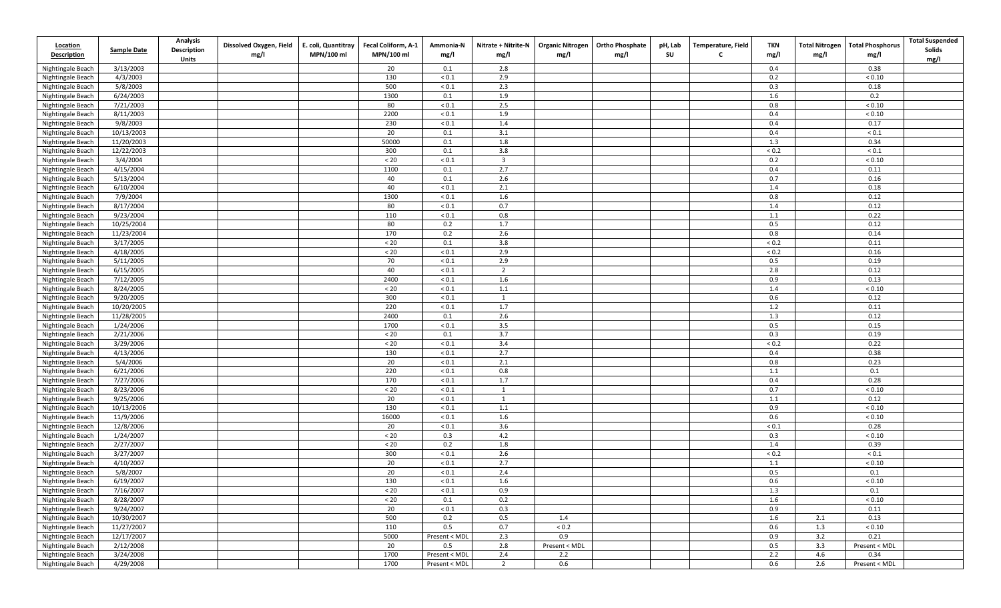| <b>Location</b><br><b>Description</b> | <b>Sample Date</b> | Analysis<br>Description<br>Units | Dissolved Oxygen, Field<br>mg/l | E. coli, Quantitray<br>MPN/100 ml | Fecal Coliform, A-1<br>MPN/100 ml | Ammonia-N<br>mg/l | Nitrate + Nitrite-N<br>mg/l | mg/l          | Organic Nitrogen   Ortho Phosphate<br>mg/l | pH, Lab<br>SU | Temperature, Field<br>C | TKN<br>mg/l  | <b>Total Phosphorus</b><br><b>Total Nitrogen</b><br>mg/l<br>mg/l | <b>Total Suspended</b><br>Solids<br>mg/l |
|---------------------------------------|--------------------|----------------------------------|---------------------------------|-----------------------------------|-----------------------------------|-------------------|-----------------------------|---------------|--------------------------------------------|---------------|-------------------------|--------------|------------------------------------------------------------------|------------------------------------------|
| Nightingale Beach                     | 3/13/2003          |                                  |                                 |                                   | 20                                | 0.1               | 2.8                         |               |                                            |               |                         | 0.4          | 0.38                                                             |                                          |
| Nightingale Beach                     | 4/3/2003           |                                  |                                 |                                   | 130                               | ${}_{0.1}$        | 2.9                         |               |                                            |               |                         | 0.2          | ${}_{< 0.10}$                                                    |                                          |
| Nightingale Beach                     | 5/8/2003           |                                  |                                 |                                   | 500                               | ${}_{0.1}$        | 2.3                         |               |                                            |               |                         | 0.3          | 0.18                                                             |                                          |
| Nightingale Beach                     | 6/24/2003          |                                  |                                 |                                   | 1300                              | 0.1               | 1.9                         |               |                                            |               |                         | 1.6          | 0.2                                                              |                                          |
| Nightingale Beach                     | 7/21/2003          |                                  |                                 |                                   | 80                                | ${}_{0.1}$        | 2.5                         |               |                                            |               |                         | 0.8          | ${}_{< 0.10}$                                                    |                                          |
| Nightingale Beach                     | 8/11/2003          |                                  |                                 |                                   | 2200                              | ${}_{0.1}$        | 1.9                         |               |                                            |               |                         | 0.4          | ${}_{< 0.10}$                                                    |                                          |
| Nightingale Beach                     | 9/8/2003           |                                  |                                 |                                   | 230                               | ${}_{0.1}$        | 1.4                         |               |                                            |               |                         | 0.4          | 0.17                                                             |                                          |
| Nightingale Beach                     | 10/13/2003         |                                  |                                 |                                   | 20                                | 0.1               | 3.1                         |               |                                            |               |                         | 0.4          | ${}_{0.1}$                                                       |                                          |
| Nightingale Beach                     | 11/20/2003         |                                  |                                 |                                   | 50000                             | 0.1               | 1.8                         |               |                                            |               |                         | 1.3          | 0.34                                                             |                                          |
| Nightingale Beach                     | 12/22/2003         |                                  |                                 |                                   | 300                               | 0.1               | 3.8                         |               |                                            |               |                         | ${}_{0.2}$   | ${}_{0.1}$                                                       |                                          |
| Nightingale Beach                     | 3/4/2004           |                                  |                                 |                                   | $< 20$                            | ${}_{0.1}$        | $\overline{\mathbf{3}}$     |               |                                            |               |                         | 0.2          | ${}_{< 0.10}$                                                    |                                          |
| Nightingale Beach                     | 4/15/2004          |                                  |                                 |                                   | 1100                              | 0.1               | 2.7                         |               |                                            |               |                         | 0.4          | 0.11                                                             |                                          |
| Nightingale Beach                     | 5/13/2004          |                                  |                                 |                                   | 40                                | 0.1               | 2.6                         |               |                                            |               |                         | 0.7          | 0.16                                                             |                                          |
| Nightingale Beach                     | 6/10/2004          |                                  |                                 |                                   | 40                                | ${}_{< 0.1}$      | 2.1                         |               |                                            |               |                         | 1.4          | 0.18                                                             |                                          |
| Nightingale Beach                     | 7/9/2004           |                                  |                                 |                                   | 1300                              | ${}_{0.1}$        | 1.6                         |               |                                            |               |                         | 0.8          | 0.12                                                             |                                          |
| Nightingale Beach                     | 8/17/2004          |                                  |                                 |                                   | 80                                | ${}_{0.1}$        | 0.7                         |               |                                            |               |                         | 1.4          | 0.12                                                             |                                          |
| Nightingale Beach                     | 9/23/2004          |                                  |                                 |                                   | 110                               | ${}_{0.1}$        | 0.8                         |               |                                            |               |                         | 1.1          | 0.22                                                             |                                          |
| Nightingale Beach                     | 10/25/2004         |                                  |                                 |                                   | 80                                | 0.2               | 1.7                         |               |                                            |               |                         | 0.5          | 0.12                                                             |                                          |
| Nightingale Beach                     | 11/23/2004         |                                  |                                 |                                   | 170                               | 0.2               | 2.6                         |               |                                            |               |                         | 0.8          | 0.14                                                             |                                          |
| Nightingale Beach                     | 3/17/2005          |                                  |                                 |                                   | $< 20$                            | 0.1               | 3.8                         |               |                                            |               |                         | ${}_{0.2}$   | 0.11                                                             |                                          |
| Nightingale Beach                     | 4/18/2005          |                                  |                                 |                                   | $< 20$                            | ${}_{0.1}$        | 2.9                         |               |                                            |               |                         | ${}_{0.2}$   | 0.16                                                             |                                          |
| Nightingale Beach                     | 5/11/2005          |                                  |                                 |                                   | 70                                | ${}_{0.1}$        | 2.9                         |               |                                            |               |                         | 0.5          | 0.19                                                             |                                          |
| Nightingale Beach                     | 6/15/2005          |                                  |                                 |                                   | 40                                | ${}_{0.1}$        | $\overline{2}$              |               |                                            |               |                         | 2.8          | 0.12                                                             |                                          |
| Nightingale Beach                     | 7/12/2005          |                                  |                                 |                                   | 2400                              | ${}_{0.1}$        | 1.6                         |               |                                            |               |                         | 0.9          | 0.13                                                             |                                          |
| Nightingale Beach                     | 8/24/2005          |                                  |                                 |                                   | $< 20\,$                          | ${}_{0.1}$        | 1.1                         |               |                                            |               |                         | 1.4          | ${}_{< 0.10}$                                                    |                                          |
| Nightingale Beach                     | 9/20/2005          |                                  |                                 |                                   | 300                               | ${}_{< 0.1}$      | $\mathbf{1}$                |               |                                            |               |                         | 0.6          | 0.12                                                             |                                          |
| Nightingale Beach                     | 10/20/2005         |                                  |                                 |                                   | 220                               | $< 0.1$           | 1.7                         |               |                                            |               |                         | 1.2          | 0.11                                                             |                                          |
| Nightingale Beach                     | 11/28/2005         |                                  |                                 |                                   | 2400                              | 0.1               | 2.6                         |               |                                            |               |                         | 1.3          | 0.12                                                             |                                          |
| Nightingale Beach                     | 1/24/2006          |                                  |                                 |                                   | 1700                              | ${}_{0.1}$        | 3.5                         |               |                                            |               |                         | 0.5          | 0.15                                                             |                                          |
| Nightingale Beach                     | 2/21/2006          |                                  |                                 |                                   | $< 20$                            | 0.1               | 3.7                         |               |                                            |               |                         | 0.3          | 0.19                                                             |                                          |
| Nightingale Beach                     | 3/29/2006          |                                  |                                 |                                   | $20$                              | ${}_{0.1}$        | 3.4                         |               |                                            |               |                         | ${}_{0.2}$   | 0.22                                                             |                                          |
| Nightingale Beach                     | 4/13/2006          |                                  |                                 |                                   | 130                               | ${}_{0.1}$        | 2.7                         |               |                                            |               |                         | 0.4          | 0.38                                                             |                                          |
| Nightingale Beach                     | 5/4/2006           |                                  |                                 |                                   | 20                                | ${}_{0.1}$        | 2.1                         |               |                                            |               |                         | 0.8          | 0.23                                                             |                                          |
| Nightingale Beach                     | 6/21/2006          |                                  |                                 |                                   | 220                               | ${}_{0.1}$        | 0.8                         |               |                                            |               |                         | 1.1          | 0.1                                                              |                                          |
| Nightingale Beach                     | 7/27/2006          |                                  |                                 |                                   | 170                               | ${}_{0.1}$        | 1.7                         |               |                                            |               |                         | 0.4          | 0.28                                                             |                                          |
| Nightingale Beach                     | 8/23/2006          |                                  |                                 |                                   | $< 20\,$                          | ${}_{0.1}$        | $\overline{1}$              |               |                                            |               |                         | 0.7          | ${}_{< 0.10}$                                                    |                                          |
| Nightingale Beach                     | 9/25/2006          |                                  |                                 |                                   | 20                                | ${}_{0.1}$        | $\mathbf{1}$                |               |                                            |               |                         | 1.1          | 0.12                                                             |                                          |
| Nightingale Beach                     | 10/13/2006         |                                  |                                 |                                   | 130                               | $< 0.1$           | 1.1                         |               |                                            |               |                         | 0.9          | ${}_{< 0.10}$                                                    |                                          |
| Nightingale Beach                     | 11/9/2006          |                                  |                                 |                                   | 16000                             | $< 0.1$           | 1.6                         |               |                                            |               |                         | 0.6          | ${}_{< 0.10}$                                                    |                                          |
| Nightingale Beach                     | 12/8/2006          |                                  |                                 |                                   | 20                                | ${}_{< 0.1}$      | 3.6                         |               |                                            |               |                         | ${}_{< 0.1}$ | 0.28                                                             |                                          |
| Nightingale Beach                     | 1/24/2007          |                                  |                                 |                                   | $< 20\,$                          | 0.3               | $4.2\,$                     |               |                                            |               |                         | 0.3          | ${}_{< 0.10}$                                                    |                                          |
| Nightingale Beach                     | 2/27/2007          |                                  |                                 |                                   | $< 20$                            | 0.2               | 1.8                         |               |                                            |               |                         | 1.4          | 0.39                                                             |                                          |
| Nightingale Beach                     | 3/27/2007          |                                  |                                 |                                   | 300                               | ${}_{0.1}$        | 2.6                         |               |                                            |               |                         | ${}_{0.2}$   | ${}_{0.1}$                                                       |                                          |
| Nightingale Beach                     | 4/10/2007          |                                  |                                 |                                   | 20                                | ${}_{0.1}$        | 2.7                         |               |                                            |               |                         | 1.1          | ${}_{< 0.10}$                                                    |                                          |
| Nightingale Beach                     | 5/8/2007           |                                  |                                 |                                   | 20                                | ${}_{0.1}$        | 2.4                         |               |                                            |               |                         | 0.5          | 0.1                                                              |                                          |
| Nightingale Beach                     | 6/19/2007          |                                  |                                 |                                   | 130                               | $< 0.1\,$         | $1.6\,$                     |               |                                            |               |                         | $0.6\,$      | $< 0.10$                                                         |                                          |
| Nightingale Beach                     | 7/16/2007          |                                  |                                 |                                   | < 20                              | < 0.1             | 0.9                         |               |                                            |               |                         | 1.3          | 0.1                                                              |                                          |
| Nightingale Beach                     | 8/28/2007          |                                  |                                 |                                   | < 20                              | 0.1               | 0.2                         |               |                                            |               |                         | 1.6          | ${}_{< 0.10}$                                                    |                                          |
| Nightingale Beach                     | 9/24/2007          |                                  |                                 |                                   | 20                                | ${}_{< 0.1}$      | 0.3                         |               |                                            |               |                         | 0.9          | 0.11                                                             |                                          |
| Nightingale Beach                     | 10/30/2007         |                                  |                                 |                                   | 500                               | 0.2               | 0.5                         | 1.4           |                                            |               |                         | 1.6          | 0.13<br>2.1                                                      |                                          |
| Nightingale Beach                     | 11/27/2007         |                                  |                                 |                                   | 110                               | 0.5               | 0.7                         | ${}_{0.2}$    |                                            |               |                         | 0.6          | ${}_{< 0.10}$<br>1.3                                             |                                          |
| Nightingale Beach                     | 12/17/2007         |                                  |                                 |                                   | 5000                              | Present < MDL     | 2.3                         | 0.9           |                                            |               |                         | 0.9          | 3.2<br>0.21                                                      |                                          |
| Nightingale Beach                     | 2/12/2008          |                                  |                                 |                                   | 20                                | 0.5               | 2.8                         | Present < MDL |                                            |               |                         | 0.5          | 3.3<br>Present < MDL                                             |                                          |
| Nightingale Beach                     | 3/24/2008          |                                  |                                 |                                   | 1700                              | Present < MDL     | 2.4                         | 2.2           |                                            |               |                         | 2.2          | 0.34<br>4.6                                                      |                                          |
| Nightingale Beach                     | 4/29/2008          |                                  |                                 |                                   | 1700                              | Present < MDL     | $\overline{2}$              | 0.6           |                                            |               |                         | 0.6          | 2.6<br>Present < MDL                                             |                                          |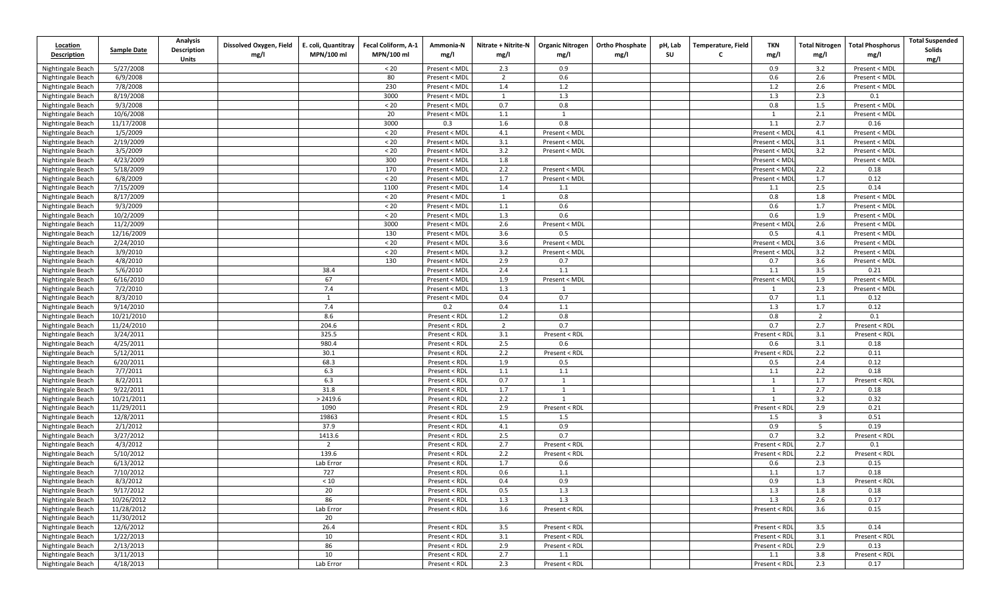| <b>Location</b><br><b>Description</b>  | <b>Sample Date</b>    | <b>Analysis</b><br><b>Description</b><br>Units | Dissolved Oxygen, Field<br>mg/l | E. coli, Quantitray<br>MPN/100 ml | Fecal Coliform, A-1<br>MPN/100 ml | Ammonia-N<br>mg/l              | Nitrate + Nitrite-N<br>mg/l | <b>Organic Nitrogen</b><br>mg/l | <b>Ortho Phosphate</b><br>mg/l | pH, Lab<br>SU | <b>Temperature, Field</b><br>C | TKN<br>mg/l   | <b>Total Nitrogen</b><br>mg/l | <b>Total Phosphorus</b><br>mg/l | <b>Total Suspended</b><br>Solids<br>mg/l |
|----------------------------------------|-----------------------|------------------------------------------------|---------------------------------|-----------------------------------|-----------------------------------|--------------------------------|-----------------------------|---------------------------------|--------------------------------|---------------|--------------------------------|---------------|-------------------------------|---------------------------------|------------------------------------------|
| Nightingale Beach                      | 5/27/2008             |                                                |                                 |                                   | < 20                              | Present < MDL                  | 2.3                         | 0.9                             |                                |               |                                | 0.9           | 3.2                           | Present < MDL                   |                                          |
| Nightingale Beach                      | 6/9/2008              |                                                |                                 |                                   | 80                                | Present < MDL                  | $\overline{2}$              | 0.6                             |                                |               |                                | 0.6           | 2.6                           | Present < MDL                   |                                          |
| Nightingale Beach                      | 7/8/2008              |                                                |                                 |                                   | 230                               | Present < MDL                  | 1.4                         | 1.2                             |                                |               |                                | 1.2           | 2.6                           | Present < MDL                   |                                          |
| Nightingale Beach                      | 8/19/2008             |                                                |                                 |                                   | 3000                              | Present < MDL                  | 1                           | 1.3                             |                                |               |                                | 1.3           | 2.3                           | 0.1                             |                                          |
| Nightingale Beach                      | 9/3/2008              |                                                |                                 |                                   | $< 20$                            | Present < MDL                  | 0.7                         | 0.8                             |                                |               |                                | 0.8           | 1.5                           | Present < MDL                   |                                          |
| Nightingale Beach                      | 10/6/2008             |                                                |                                 |                                   | 20                                | Present < MDL                  | 1.1                         | 1                               |                                |               |                                | 1             | 2.1                           | Present < MDL                   |                                          |
| Nightingale Beach                      | 11/17/2008            |                                                |                                 |                                   | 3000                              | 0.3                            | 1.6                         | 0.8                             |                                |               |                                | 1.1           | 2.7                           | 0.16                            |                                          |
| Nightingale Beach                      | 1/5/2009              |                                                |                                 |                                   | < 20                              | Present < MDL                  | 4.1                         | Present < MDL                   |                                |               |                                | Present < MDI | 4.1                           | Present < MDL                   |                                          |
| Nightingale Beach                      | 2/19/2009             |                                                |                                 |                                   | < 20                              | Present < MDL                  | 3.1                         | Present < MDL                   |                                |               |                                | Present < MD  | 3.1                           | Present < MDL                   |                                          |
| Nightingale Beach                      | 3/5/2009              |                                                |                                 |                                   | $< 20$                            | Present < MDL                  | 3.2                         | Present < MDL                   |                                |               |                                | Present < MD  | 3.2                           | Present < MDL                   |                                          |
| Nightingale Beach                      | 4/23/2009             |                                                |                                 |                                   | 300                               | Present < MDL                  | 1.8                         |                                 |                                |               |                                | Present < MDI |                               | Present < MDL                   |                                          |
| Nightingale Beach                      | 5/18/2009             |                                                |                                 |                                   | 170                               | Present < MDL                  | 2.2                         | Present < MDL                   |                                |               |                                | Present < MDI | 2.2                           | 0.18                            |                                          |
| Nightingale Beach                      | 6/8/2009              |                                                |                                 |                                   | < 20                              | Present < MDL                  | 1.7                         | Present < MDL                   |                                |               |                                | Present < MDL | 1.7                           | 0.12                            |                                          |
| Nightingale Beach                      | 7/15/2009             |                                                |                                 |                                   | 1100                              | Present < MDL                  | 1.4                         | 1.1                             |                                |               |                                | 1.1           | 2.5                           | 0.14                            |                                          |
| Nightingale Beach                      | 8/17/2009             |                                                |                                 |                                   | < 20                              | Present < MDL                  | $\mathbf{1}$                | 0.8                             |                                |               |                                | 0.8           | 1.8                           | Present < MDL                   |                                          |
| Nightingale Beach                      | 9/3/2009              |                                                |                                 |                                   | $< 20$                            | Present < MDL                  | 1.1                         | 0.6                             |                                |               |                                | 0.6           | 1.7                           | Present < MDL                   |                                          |
| Nightingale Beach                      | 10/2/2009             |                                                |                                 |                                   | $< 20$                            | Present < MDL                  | 1.3                         | 0.6                             |                                |               |                                | 0.6           | 1.9                           | Present < MDL                   |                                          |
| Nightingale Beach                      | 11/2/2009             |                                                |                                 |                                   | 3000                              | Present < MDL                  | 2.6                         | Present < MDL                   |                                |               |                                | Present < MDI | 2.6                           | Present < MDL                   |                                          |
| Nightingale Beach                      | 12/16/2009            |                                                |                                 |                                   | 130                               | Present < MDL                  | 3.6                         | 0.5                             |                                |               |                                | 0.5           | 4.1                           | Present < MDL                   |                                          |
| Nightingale Beach                      | 2/24/2010             |                                                |                                 |                                   | $< 20$                            | Present < MDL                  | 3.6                         | Present < MDL                   |                                |               |                                | Present < MDI | 3.6                           | Present < MDL                   |                                          |
| Nightingale Beach                      | 3/9/2010              |                                                |                                 |                                   | < 20                              | Present < MDL                  | 3.2                         | Present < MDL                   |                                |               |                                | Present < MDI | 3.2                           | Present < MDL                   |                                          |
| Nightingale Beach                      | 4/8/2010              |                                                |                                 |                                   | 130                               | Present < MDL                  | 2.9                         | 0.7                             |                                |               |                                | 0.7           | 3.6                           | Present < MDL                   |                                          |
| Nightingale Beach                      | 5/6/2010              |                                                |                                 | 38.4                              |                                   | Present < MDL                  | 2.4                         | 1.1                             |                                |               |                                | 1.1           | 3.5                           | 0.21                            |                                          |
| Nightingale Beach                      | 6/16/2010             |                                                |                                 | 67                                |                                   | Present < MDL                  | 1.9                         | Present < MDL                   |                                |               |                                | Present < MDI | 1.9                           | Present < MDL                   |                                          |
| Nightingale Beach                      | 7/2/2010              |                                                |                                 | 7.4                               |                                   | Present < MDL                  | 1.3                         | 1                               |                                |               |                                | 1             | 2.3                           | Present < MDL                   |                                          |
| Nightingale Beach                      | 8/3/2010              |                                                |                                 | 1                                 |                                   | Present < MDL                  | 0.4                         | 0.7                             |                                |               |                                | 0.7           | 1.1                           | 0.12                            |                                          |
| Nightingale Beach                      | 9/14/2010             |                                                |                                 | 7.4                               |                                   | 0.2                            | 0.4                         | 1.1                             |                                |               |                                | 1.3           | 1.7                           | 0.12                            |                                          |
| Nightingale Beach                      | 10/21/2010            |                                                |                                 | 8.6                               |                                   | Present < RDL                  | 1.2                         | 0.8                             |                                |               |                                | 0.8           | 2                             | 0.1                             |                                          |
| Nightingale Beach                      | 11/24/2010            |                                                |                                 | 204.6                             |                                   | Present < RDL                  | $\overline{2}$              | 0.7                             |                                |               |                                | 0.7           | 2.7                           | Present < RDL                   |                                          |
| Nightingale Beach                      | 3/24/2011             |                                                |                                 | 325.5                             |                                   | Present < RDL                  | 3.1                         | Present < RDL                   |                                |               |                                | Present < RDL | 3.1                           | Present < RDL                   |                                          |
| Nightingale Beach                      | 4/25/2011             |                                                |                                 | 980.4                             |                                   | Present < RDL                  | 2.5                         | 0.6                             |                                |               |                                | 0.6           | 3.1                           | 0.18                            |                                          |
| Nightingale Beach                      | 5/12/2011             |                                                |                                 | 30.1                              |                                   | Present < RDL                  | 2.2                         | Present < RDL                   |                                |               |                                | Present < RDL | 2.2                           | 0.11                            |                                          |
| Nightingale Beach                      | 6/20/2011             |                                                |                                 | 68.3                              |                                   | Present < RDL                  | 1.9                         | 0.5                             |                                |               |                                | 0.5           | 2.4                           | 0.12                            |                                          |
| Nightingale Beach                      | 7/7/2011              |                                                |                                 | 6.3                               |                                   | Present < RDL                  | 1.1                         | 1.1                             |                                |               |                                | 1.1           | 2.2                           | 0.18                            |                                          |
| Nightingale Beach                      | 8/2/2011              |                                                |                                 | 6.3                               |                                   | Present < RDL                  | 0.7                         | $\mathbf{1}$                    |                                |               |                                | 1             | 1.7                           | Present < RDL                   |                                          |
| Nightingale Beach                      | 9/22/2011             |                                                |                                 | 31.8                              |                                   | Present < RDL                  | 1.7                         | 1                               |                                |               |                                | 1             | 2.7                           | 0.18                            |                                          |
| Nightingale Beach                      | 10/21/2011            |                                                |                                 | > 2419.6                          |                                   | Present < RDL                  | 2.2                         |                                 |                                |               |                                |               | 3.2                           | 0.32                            |                                          |
| Nightingale Beach                      | 11/29/2011            |                                                |                                 | 1090                              |                                   | Present < RDL                  | 2.9                         | Present < RDL                   |                                |               |                                | Present < RDL | 2.9                           | 0.21                            |                                          |
| Nightingale Beach                      | 12/8/2011             |                                                |                                 | 19863                             |                                   | Present < RDL                  | $1.5\,$                     | 1.5                             |                                |               |                                | 1.5           | $\overline{3}$                | 0.51                            |                                          |
| Nightingale Beach<br>Nightingale Beach | 2/1/2012<br>3/27/2012 |                                                |                                 | 37.9<br>1413.6                    |                                   | Present < RDL<br>Present < RDL | 4.1<br>$2.5\,$              | 0.9<br>0.7                      |                                |               |                                | 0.9<br>0.7    | 5<br>3.2                      | 0.19<br>Present < RDL           |                                          |
|                                        | 4/3/2012              |                                                |                                 | $\overline{2}$                    |                                   | Present < RDL                  | 2.7                         | Present < RDL                   |                                |               |                                | Present < RDL | 2.7                           | 0.1                             |                                          |
| Nightingale Beach<br>Nightingale Beach | 5/10/2012             |                                                |                                 | 139.6                             |                                   | Present < RDL                  | 2.2                         | Present < RDL                   |                                |               |                                | Present < RDL | 2.2                           | Present < RDL                   |                                          |
| Nightingale Beach                      | 6/13/2012             |                                                |                                 | Lab Error                         |                                   | Present < RDL                  | 1.7                         | 0.6                             |                                |               |                                | 0.6           | 2.3                           | 0.15                            |                                          |
| Nightingale Beach                      | 7/10/2012             |                                                |                                 | 727                               |                                   | Present < RDL                  | 0.6                         | 1.1                             |                                |               |                                | 1.1           | 1.7                           | 0.18                            |                                          |
| Nightingale Beach                      | 8/3/2012              |                                                |                                 | $<10\,$                           |                                   | Present < RDL                  | 0.4                         | 0.9                             |                                |               |                                | 0.9           | 1.3                           | Present < RDL                   |                                          |
| Nightingale Beach                      | 9/17/2012             |                                                |                                 | 20                                |                                   | Present < RDL                  | 0.5                         | 1.3                             |                                |               |                                | 1.3           | 1.8                           | 0.18                            |                                          |
| Nightingale Beach                      | 10/26/2012            |                                                |                                 | 86                                |                                   | Present < RDL                  | 1.3                         | 1.3                             |                                |               |                                | 1.3           | 2.6                           | 0.17                            |                                          |
| Nightingale Beach                      | 11/28/2012            |                                                |                                 | Lab Error                         |                                   | Present < RDL                  | 3.6                         | Present < RDL                   |                                |               |                                | Present < RDL | 3.6                           | 0.15                            |                                          |
| Nightingale Beach                      | 11/30/2012            |                                                |                                 | 20                                |                                   |                                |                             |                                 |                                |               |                                |               |                               |                                 |                                          |
| Nightingale Beach                      | 12/6/2012             |                                                |                                 | 26.4                              |                                   | Present < RDL                  | 3.5                         | Present < RDL                   |                                |               |                                | Present < RDL | 3.5                           | 0.14                            |                                          |
| Nightingale Beach                      | 1/22/2013             |                                                |                                 | 10                                |                                   | Present < RDL                  | 3.1                         | Present < RDL                   |                                |               |                                | Present < RDL | 3.1                           | Present < RDL                   |                                          |
| Nightingale Beach                      | 2/13/2013             |                                                |                                 | 86                                |                                   | Present < RDL                  | 2.9                         | Present < RDL                   |                                |               |                                | Present < RDL | 2.9                           | 0.13                            |                                          |
| Nightingale Beach                      | 3/11/2013             |                                                |                                 | 10                                |                                   | Present < RDL                  | 2.7                         | 1.1                             |                                |               |                                | 1.1           | 3.8                           | Present < RDL                   |                                          |
| Nightingale Beach                      | 4/18/2013             |                                                |                                 | Lab Error                         |                                   | Present < RDL                  | 2.3                         | Present < RDL                   |                                |               |                                | Present < RDL | 2.3                           | 0.17                            |                                          |
|                                        |                       |                                                |                                 |                                   |                                   |                                |                             |                                 |                                |               |                                |               |                               |                                 |                                          |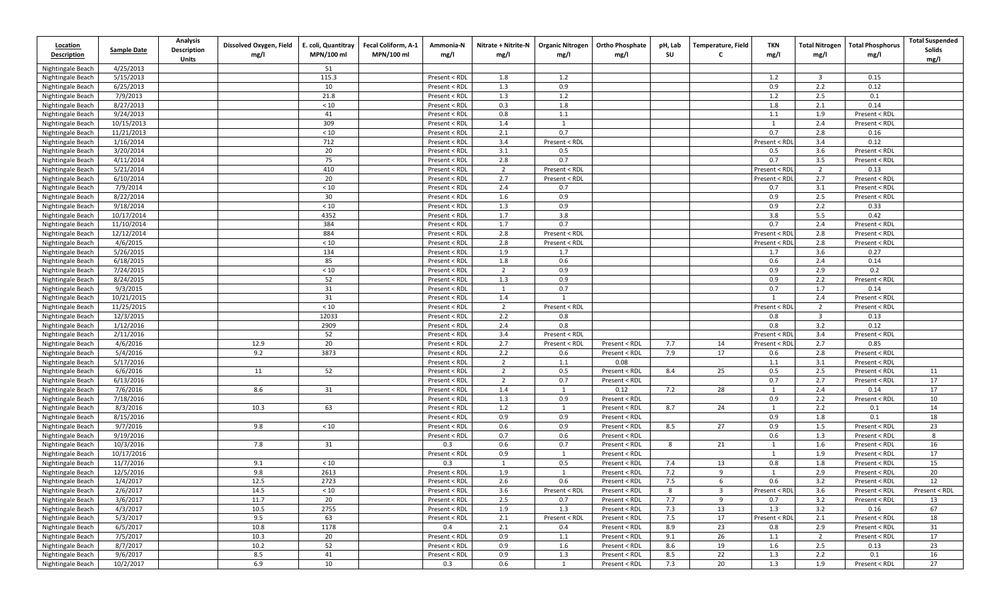| Location                               |                        | <b>Analysis</b>                    | Dissolved Oxygen, Field | E. coli, Quantitray | Fecal Coliform, A-1 | Ammonia-N                      | Nitrate + Nitrite-N   | <b>Organic Nitrogen</b> | <b>Ortho Phosphate</b> | pH, Lab | Temperature, Field      | TKN           | <b>Total Nitrogen</b>   | <b>Total Phosphorus</b>        | <b>Total Suspended</b> |
|----------------------------------------|------------------------|------------------------------------|-------------------------|---------------------|---------------------|--------------------------------|-----------------------|-------------------------|------------------------|---------|-------------------------|---------------|-------------------------|--------------------------------|------------------------|
| <b>Description</b>                     | <b>Sample Date</b>     | <b>Description</b><br><b>Units</b> | mg/l                    | MPN/100 ml          | MPN/100 ml          | mg/l                           | mg/l                  | mg/l                    | mg/l                   | SU      | C                       | mg/l          | mg/l                    | mg/l                           | Solids<br>mg/l         |
| Nightingale Beach                      | 4/25/2013              |                                    |                         | 51                  |                     |                                |                       |                         |                        |         |                         |               |                         |                                |                        |
| Nightingale Beach                      | 5/15/2013              |                                    |                         | 115.3               |                     | Present < RDL                  | 1.8                   | 1.2                     |                        |         |                         | 1.2           | $\overline{\mathbf{3}}$ | 0.15                           |                        |
| Nightingale Beach                      | 6/25/2013              |                                    |                         | 10                  |                     | Present < RDL                  | 1.3                   | 0.9                     |                        |         |                         | 0.9           | 2.2                     | 0.12                           |                        |
| Nightingale Beach                      | 7/9/2013               |                                    |                         | 21.8                |                     | Present < RDL                  | 1.3                   | 1.2                     |                        |         |                         | 1.2           | 2.5                     | 0.1                            |                        |
| Nightingale Beach                      | 8/27/2013              |                                    |                         | $<10$               |                     | Present < RDL                  | 0.3                   | 1.8                     |                        |         |                         | 1.8           | 2.1                     | 0.14                           |                        |
| Nightingale Beach                      | 9/24/2013              |                                    |                         | 41                  |                     | Present < RDL                  | 0.8                   | 1.1                     |                        |         |                         | 1.1           | 1.9                     | Present < RDL                  |                        |
| Nightingale Beach                      | 10/15/2013             |                                    |                         | 309                 |                     | Present < RDL                  | 1.4                   | 1                       |                        |         |                         | 1             | 2.4                     | Present < RDL                  |                        |
| Nightingale Beach                      | 11/21/2013             |                                    |                         | < 10                |                     | Present < RDL                  | 2.1                   | 0.7                     |                        |         |                         | 0.7           | 2.8                     | 0.16                           |                        |
| Nightingale Beach                      | 1/16/2014              |                                    |                         | 712                 |                     | Present < RDL                  | 3.4                   | Present < RDL           |                        |         |                         | Present < RD  | 3.4                     | 0.12                           |                        |
| Nightingale Beach                      | 3/20/2014              |                                    |                         | 20                  |                     | Present < RDL                  | 3.1                   | 0.5                     |                        |         |                         | 0.5           | 3.6                     | Present < RDL                  |                        |
| Nightingale Beach                      | 4/11/2014              |                                    |                         | 75                  |                     | Present < RDL                  | 2.8                   | 0.7                     |                        |         |                         | 0.7           | 3.5                     | Present < RDI                  |                        |
| Nightingale Beach                      | 5/21/2014              |                                    |                         | 410                 |                     | Present < RDL                  | $\overline{2}$        | Present < RDL           |                        |         |                         | Present < RD  | $\overline{2}$          | 0.13                           |                        |
| Nightingale Beach                      | 6/10/2014              |                                    |                         | 20                  |                     | Present < RDL                  | 2.7                   | Present < RDL           |                        |         |                         | Present < RD  | 2.7                     | Present < RDL                  |                        |
| Nightingale Beach                      | 7/9/2014               |                                    |                         | $<10$               |                     | Present < RDL                  | 2.4                   | 0.7                     |                        |         |                         | 0.7           | 3.1                     | Present < RDL                  |                        |
| Nightingale Beach                      | 8/22/2014              |                                    |                         | 30                  |                     | Present < RDL                  | 1.6                   | 0.9                     |                        |         |                         | 0.9           | 2.5                     | Present < RDL                  |                        |
| Nightingale Beach                      | 9/18/2014              |                                    |                         | $<10$               |                     | Present < RDL                  | 1.3                   | 0.9                     |                        |         |                         | 0.9           | 2.2                     | 0.33                           |                        |
| Nightingale Beach                      | 10/17/2014             |                                    |                         | 4352                |                     | Present < RDL                  | 1.7                   | 3.8                     |                        |         |                         | 3.8           | 5.5                     | 0.42                           |                        |
| Nightingale Beach                      | 11/10/2014             |                                    |                         | 384                 |                     | Present < RDL                  | 1.7                   | 0.7                     |                        |         |                         | 0.7           | 2.4                     | Present < RDL                  |                        |
| Nightingale Beach                      | 12/12/2014             |                                    |                         | 884                 |                     | Present < RDL                  | 2.8                   | Present < RDL           |                        |         |                         | Present < RD  | 2.8                     | Present < RDL                  |                        |
| Nightingale Beach                      | 4/6/2015               |                                    |                         | $<10$               |                     | Present < RDL                  | 2.8                   | Present < RDL           |                        |         |                         | Present < RD  | 2.8                     | Present < RDL                  |                        |
| Nightingale Beach                      | 5/26/2015              |                                    |                         | 134                 |                     | Present < RDL                  | 1.9                   | 1.7                     |                        |         |                         | 1.7           | 3.6                     | 0.27                           |                        |
| Nightingale Beach                      | 6/18/2015              |                                    |                         | 85                  |                     | Present < RDL                  | 1.8                   | 0.6                     |                        |         |                         | 0.6           | 2.4                     | 0.14                           |                        |
| Nightingale Beach                      | 7/24/2015              |                                    |                         | < 10                |                     | Present < RDL                  | $\overline{2}$        | 0.9                     |                        |         |                         | 0.9           | 2.9                     | 0.2                            |                        |
| Nightingale Beach                      | 8/24/2015              |                                    |                         | 52                  |                     | Present < RDL                  | 1.3                   | 0.9                     |                        |         |                         | 0.9           | 2.2                     | Present < RDI                  |                        |
| Nightingale Beach                      | 9/3/2015<br>10/21/2015 |                                    |                         | 31<br>31            |                     | Present < RDL<br>Present < RDL | $\overline{1}$<br>1.4 | 0.7<br>1                |                        |         |                         | 0.7           | 1.7<br>2.4              | 0.14                           |                        |
| Nightingale Beach                      | 11/25/2015             |                                    |                         | $<10$               |                     | Present < RDL                  | $\overline{2}$        | Present < RDL           |                        |         |                         | Present < RDI | $\overline{2}$          | Present < RDL<br>Present < RDL |                        |
| Nightingale Beach<br>Nightingale Beach | 12/3/2015              |                                    |                         | 12033               |                     | Present < RDL                  | 2.2                   | 0.8                     |                        |         |                         | 0.8           | $\overline{\mathbf{3}}$ | 0.13                           |                        |
| Nightingale Beach                      | 1/12/2016              |                                    |                         | 2909                |                     | Present < RDL                  | 2.4                   | 0.8                     |                        |         |                         | 0.8           | 3.2                     | 0.12                           |                        |
| Nightingale Beach                      | 2/11/2016              |                                    |                         | 52                  |                     | Present < RDL                  | 3.4                   | Present < RDL           |                        |         |                         | Present < RDI | 3.4                     | Present < RDL                  |                        |
| Nightingale Beach                      | 4/6/2016               |                                    | 12.9                    | 20                  |                     | Present < RDL                  | 2.7                   | Present < RDL           | Present < RDL          | 7.7     | 14                      | Present < RD  | 2.7                     | 0.85                           |                        |
| Nightingale Beach                      | 5/4/2016               |                                    | 9.2                     | 3873                |                     | Present < RDL                  | 2.2                   | 0.6                     | Present < RDL          | 7.9     | 17                      | 0.6           | 2.8                     | Present < RDL                  |                        |
| Nightingale Beach                      | 5/17/2016              |                                    |                         |                     |                     | Present < RDL                  | $\overline{2}$        | 1.1                     | 0.08                   |         |                         | 1.1           | 3.1                     | Present < RDL                  |                        |
| Nightingale Beach                      | 6/6/2016               |                                    | 11                      | 52                  |                     | Present < RDL                  | $\overline{2}$        | 0.5                     | Present < RDL          | 8.4     | 25                      | 0.5           | 2.5                     | Present < RDL                  | 11                     |
| Nightingale Beach                      | 6/13/2016              |                                    |                         |                     |                     | Present < RDL                  | $\overline{2}$        | 0.7                     | Present < RDL          |         |                         | 0.7           | 2.7                     | Present < RDL                  | 17                     |
| Nightingale Beach                      | 7/6/2016               |                                    | 8.6                     | 31                  |                     | Present < RDL                  | 1.4                   | $\mathbf{1}$            | 0.12                   | 7.2     | 28                      | 1             | 2.4                     | 0.14                           | 17                     |
| Nightingale Beach                      | 7/18/2016              |                                    |                         |                     |                     | Present < RDL                  | 1.3                   | 0.9                     | Present < RDL          |         |                         | 0.9           | 2.2                     | Present < RDI                  | 10                     |
| Nightingale Beach                      | 8/3/2016               |                                    | 10.3                    | 63                  |                     | Present < RDL                  | 1.2                   | 1                       | Present < RDL          | 8.7     | 24                      | -1            | 2.2                     | 0.1                            | 14                     |
| Nightingale Beach                      | 8/15/2016              |                                    |                         |                     |                     | Present < RDL                  | 0.9                   | 0.9                     | Present < RDL          |         |                         | 0.9           | 1.8                     | 0.1                            | 18                     |
| Nightingale Beach                      | 9/7/2016               |                                    | 9.8                     | < 10                |                     | Present < RDL                  | 0.6                   | 0.9                     | Present < RDL          | 8.5     | 27                      | 0.9           | 1.5                     | Present < RDL                  | 23                     |
| Nightingale Beach                      | 9/19/2016              |                                    |                         |                     |                     | Present < RDL                  | 0.7                   | 0.6                     | Present < RDL          |         |                         | 0.6           | 1.3                     | Present < RDL                  | 8                      |
| Nightingale Beach                      | 10/3/2016              |                                    | 7.8                     | 31                  |                     | 0.3                            | 0.6                   | 0.7                     | Present < RDL          | 8       | 21                      | 1             | 1.6                     | Present < RDL                  | 16                     |
| Nightingale Beach                      | 10/17/2016             |                                    |                         |                     |                     | Present < RDL                  | 0.9                   | 1                       | Present < RDL          |         |                         | 1             | 1.9                     | Present < RDL                  | 17                     |
| Nightingale Beach                      | 11/7/2016              |                                    | 9.1                     | < 10                |                     | 0.3                            | $\overline{1}$        | 0.5                     | Present < RDL          | 7.4     | 13                      | 0.8           | 1.8                     | Present < RDL                  | 15                     |
| Nightingale Beach                      | 12/5/2016              |                                    | 9.8                     | 2613                |                     | Present < RDL                  | 1.9                   | 1                       | Present < RDL          | 7.2     | 9                       | -1            | 2.9                     | Present < RDL                  | 20                     |
| Nightingale Beach                      | 1/4/2017               |                                    | 12.5                    | 2723                |                     | Present < RDL                  | 2.6                   | 0.6                     | Present < RDL          | 7.5     | 6                       | 0.6           | 3.2                     | Present < RDL                  | 12                     |
| Nightingale Beach                      | 2/6/2017               |                                    | 14.5                    | < 10                |                     | Present < RDL                  | 3.6                   | Present < RDL           | Present < RDL          | 8       | $\overline{\mathbf{3}}$ | Present < RDL | 3.6                     | Present < RDL                  | Present < RDL          |
| Nightingale Beach                      | 3/6/2017               |                                    | 11.7                    | 20                  |                     | Present < RDL                  | 2.5                   | 0.7                     | Present < RDL          | 7.7     | 9                       | 0.7           | 3.2                     | Present < RDL                  | 13                     |
| Nightingale Beach                      | 4/3/2017               |                                    | 10.5                    | 2755                |                     | Present < RDL                  | 1.9                   | 1.3                     | Present < RDL          | 7.3     | 13                      | 1.3           | 3.2                     | 0.16                           | 67                     |
| Nightingale Beach                      | 5/3/2017               |                                    | 9.5                     | 63                  |                     | Present < RDL                  | 2.1                   | Present < RDL           | Present < RDL          | 7.5     | 17                      | Present < RDL | 2.1                     | Present < RDL                  | 18                     |
| Nightingale Beach                      | 6/5/2017               |                                    | 10.8                    | 1178                |                     | 0.4                            | 2.1                   | 0.4                     | Present < RDL          | 8.9     | 23                      | 0.8           | 2.9                     | Present < RDL                  | 31                     |
| Nightingale Beach                      | 7/5/2017               |                                    | 10.3                    | 20                  |                     | Present < RDL                  | 0.9                   | 1.1                     | Present < RDL          | 9.1     | 26                      | 1.1           | $\overline{2}$          | Present < RDL                  | 17                     |
| Nightingale Beach                      | 8/7/2017               |                                    | 10.2                    | 52                  |                     | Present < RDL                  | 0.9                   | 1.6                     | Present < RDL          | 8.6     | 19                      | 1.6           | 2.5                     | 0.13                           | 23                     |
| Nightingale Beach                      | 9/6/2017               |                                    | 8.5                     | 41                  |                     | Present < RDL                  | 0.9                   | 1.3                     | Present < RDL          | 8.5     | 22                      | 1.3           | 2.2                     | 0.1                            | 16                     |
| Nightingale Beach                      | 10/2/2017              |                                    | 6.9                     | 10                  |                     | 0.3                            | 0.6                   | 1                       | Present < RDL          | 7.3     | 20                      | 1.3           | 1.9                     | Present < RDL                  | 27                     |